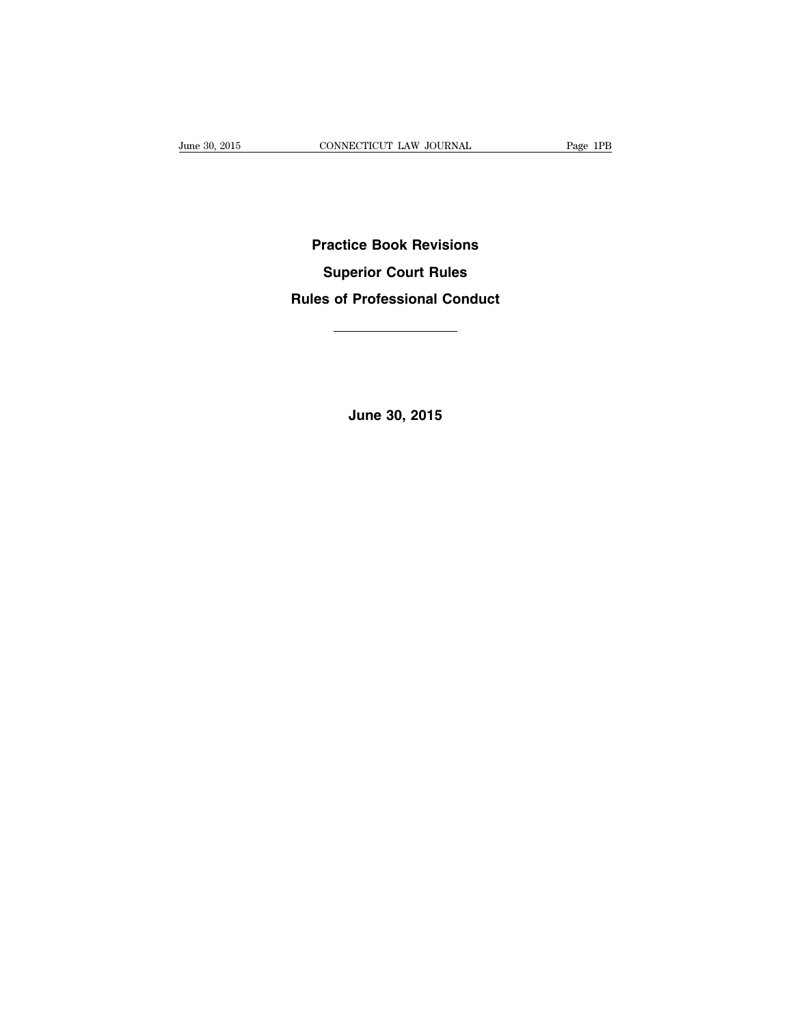**Practice Book Revisions Superior Court Rules Rules of Professional Conduct**

**June 30, 2015**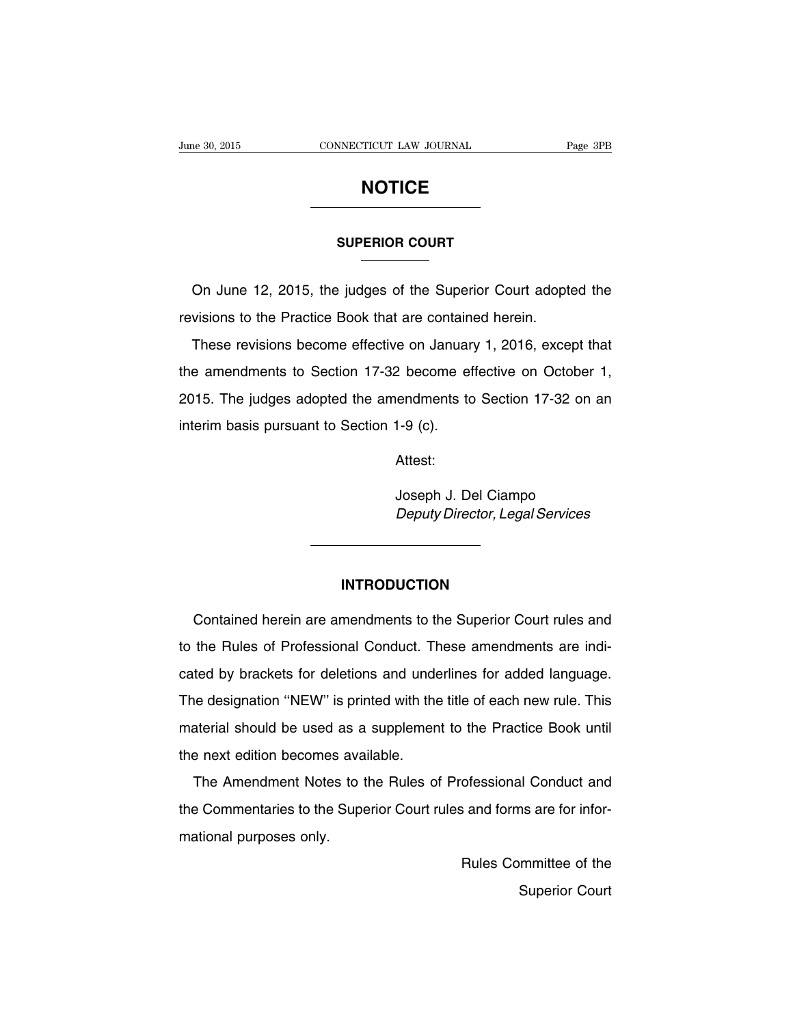# **NOTICE**

#### **SUPERIOR COURT**

On June 12, 2015, the judges of the Superior Court adopted the revisions to the Practice Book that are contained herein.

These revisions become effective on January 1, 2016, except that the amendments to Section 17-32 become effective on October 1, 2015. The judges adopted the amendments to Section 17-32 on an interim basis pursuant to Section 1-9 (c).

Attest:

Joseph J. Del Ciampo Deputy Director, Legal Services

### **INTRODUCTION**

Contained herein are amendments to the Superior Court rules and to the Rules of Professional Conduct. These amendments are indicated by brackets for deletions and underlines for added language. The designation ''NEW'' is printed with the title of each new rule. This material should be used as a supplement to the Practice Book until the next edition becomes available.

The Amendment Notes to the Rules of Professional Conduct and the Commentaries to the Superior Court rules and forms are for informational purposes only.

> Rules Committee of the Superior Court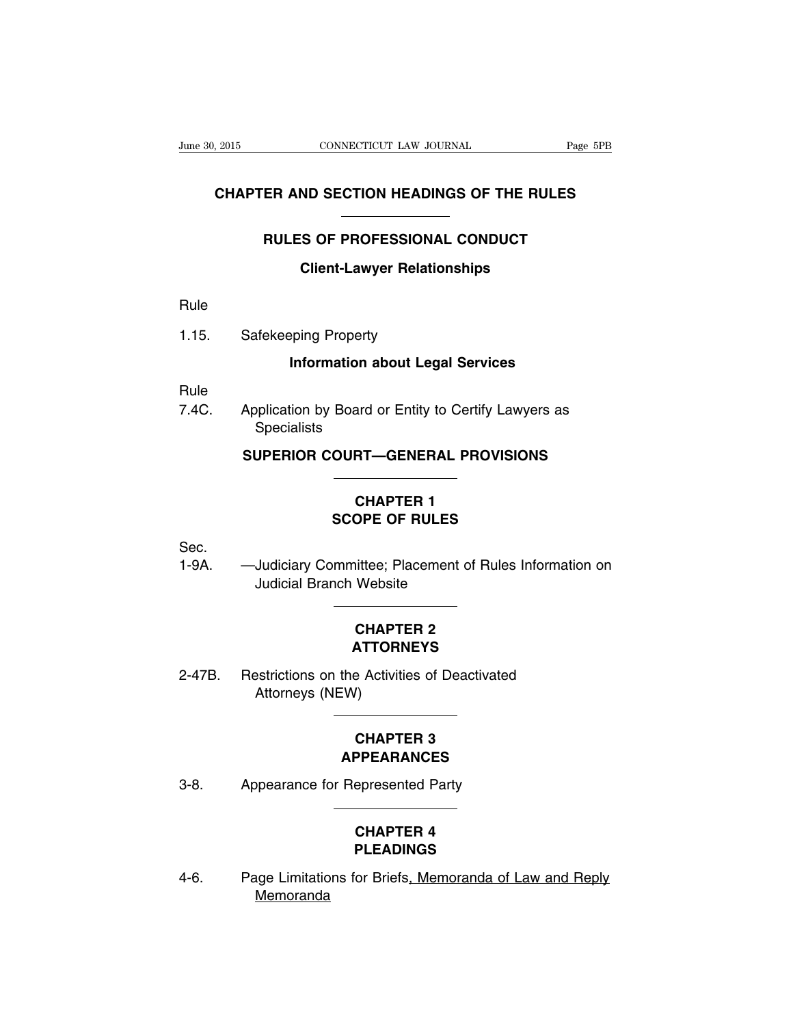### **CHAPTER AND SECTION HEADINGS OF THE RULES**

### **RULES OF PROFESSIONAL CONDUCT**

### **Client-Lawyer Relationships**

Rule

1.15. Safekeeping Property

### **Information about Legal Services**

Rule

7.4C. Application by Board or Entity to Certify Lawyers as **Specialists** 

### **SUPERIOR COURT—GENERAL PROVISIONS**

## **CHAPTER 1 SCOPE OF RULES**

Sec.

1-9A. —Judiciary Committee; Placement of Rules Information on Judicial Branch Website

### **CHAPTER 2 ATTORNEYS**

2-47B. Restrictions on the Activities of Deactivated Attorneys (NEW)

### **CHAPTER 3 APPEARANCES**

3-8. Appearance for Represented Party

## **CHAPTER 4 PLEADINGS**

4-6. Page Limitations for Briefs, Memoranda of Law and Reply Memoranda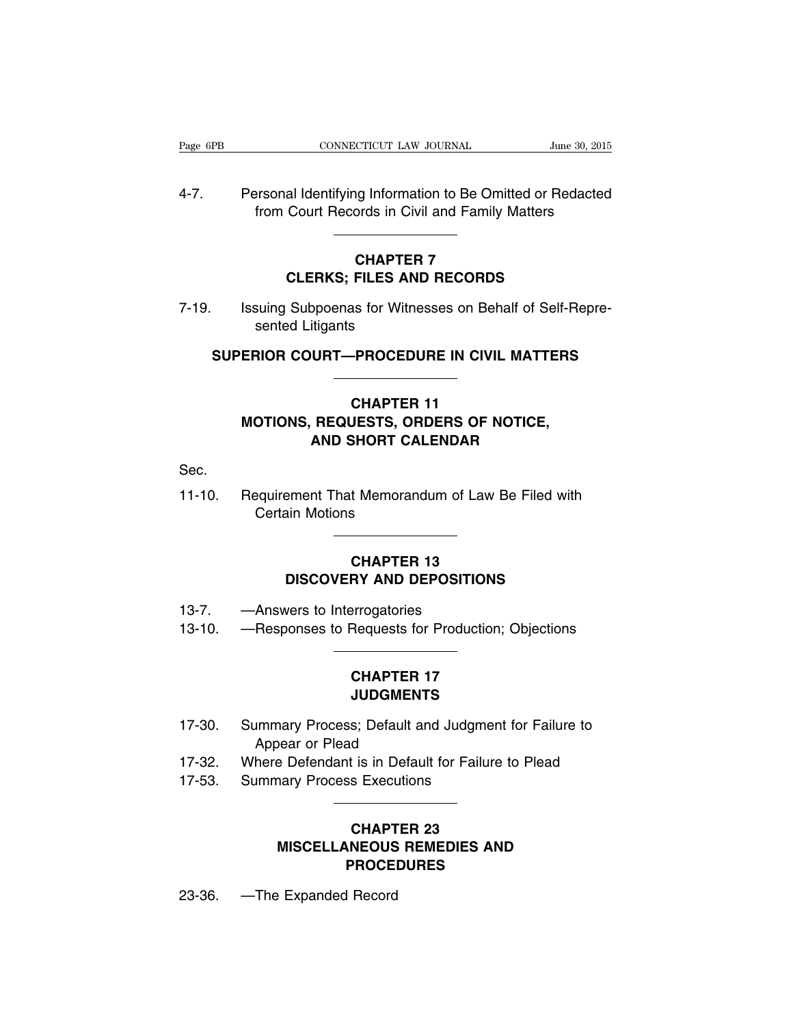4-7. Personal Identifying Information to Be Omitted or Redacted from Court Records in Civil and Family Matters

## **CHAPTER 7 CLERKS; FILES AND RECORDS**

7-19. Issuing Subpoenas for Witnesses on Behalf of Self-Represented Litigants

**SUPERIOR COURT—PROCEDURE IN CIVIL MATTERS**

## **CHAPTER 11 MOTIONS, REQUESTS, ORDERS OF NOTICE, AND SHORT CALENDAR**

Sec.

11-10. Requirement That Memorandum of Law Be Filed with Certain Motions

### **CHAPTER 13 DISCOVERY AND DEPOSITIONS**

- 13-7. —Answers to Interrogatories
- 13-10. —Responses to Requests for Production; Objections

## **CHAPTER 17 JUDGMENTS**

- 17-30. Summary Process; Default and Judgment for Failure to Appear or Plead
- 17-32. Where Defendant is in Default for Failure to Plead
- 17-53. Summary Process Executions

## **CHAPTER 23 MISCELLANEOUS REMEDIES AND PROCEDURES**

23-36. —The Expanded Record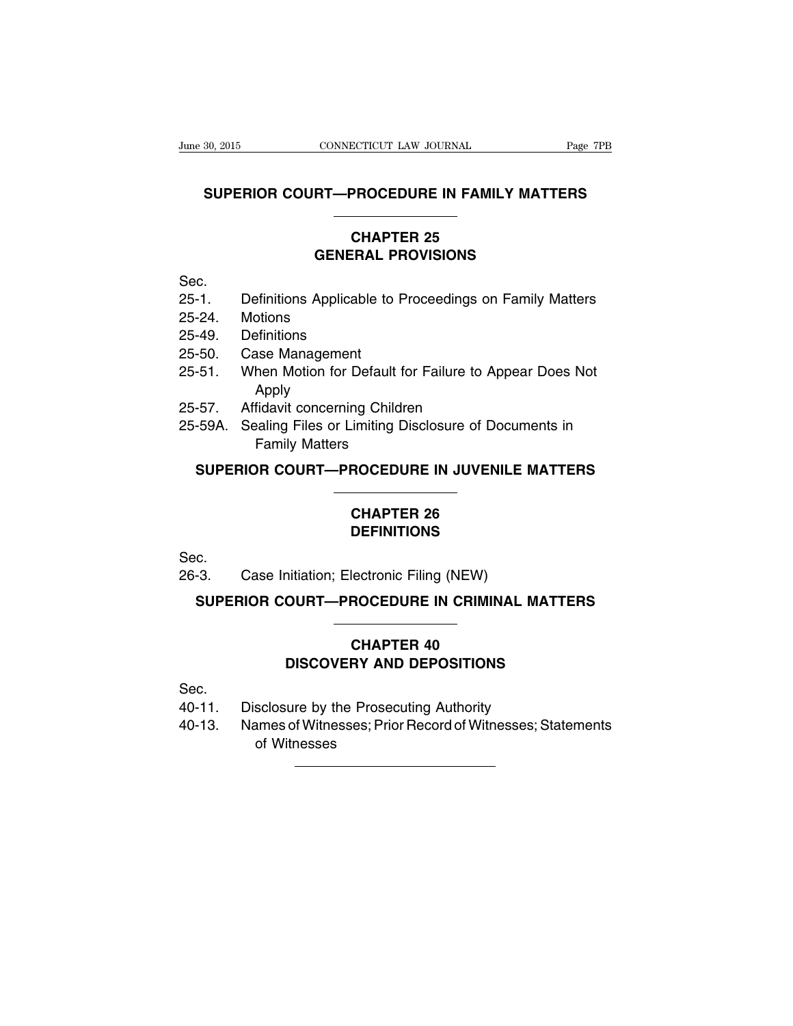### **SUPERIOR COURT—PROCEDURE IN FAMILY MATTERS**

### **CHAPTER 25 GENERAL PROVISIONS**

Sec.

- 25-1. Definitions Applicable to Proceedings on Family Matters
- 25-24. Motions
- 25-49. Definitions
- 25-50. Case Management
- 25-51. When Motion for Default for Failure to Appear Does Not Apply
- 25-57. Affidavit concerning Children
- 25-59A. Sealing Files or Limiting Disclosure of Documents in Family Matters

### **SUPERIOR COURT—PROCEDURE IN JUVENILE MATTERS**

## **CHAPTER 26 DEFINITIONS**

Sec.

26-3. Case Initiation; Electronic Filing (NEW)

**SUPERIOR COURT—PROCEDURE IN CRIMINAL MATTERS**

## **CHAPTER 40 DISCOVERY AND DEPOSITIONS**

Sec.

- 40-11. Disclosure by the Prosecuting Authority
- 40-13. Names of Witnesses; Prior Record of Witnesses; Statements of Witnesses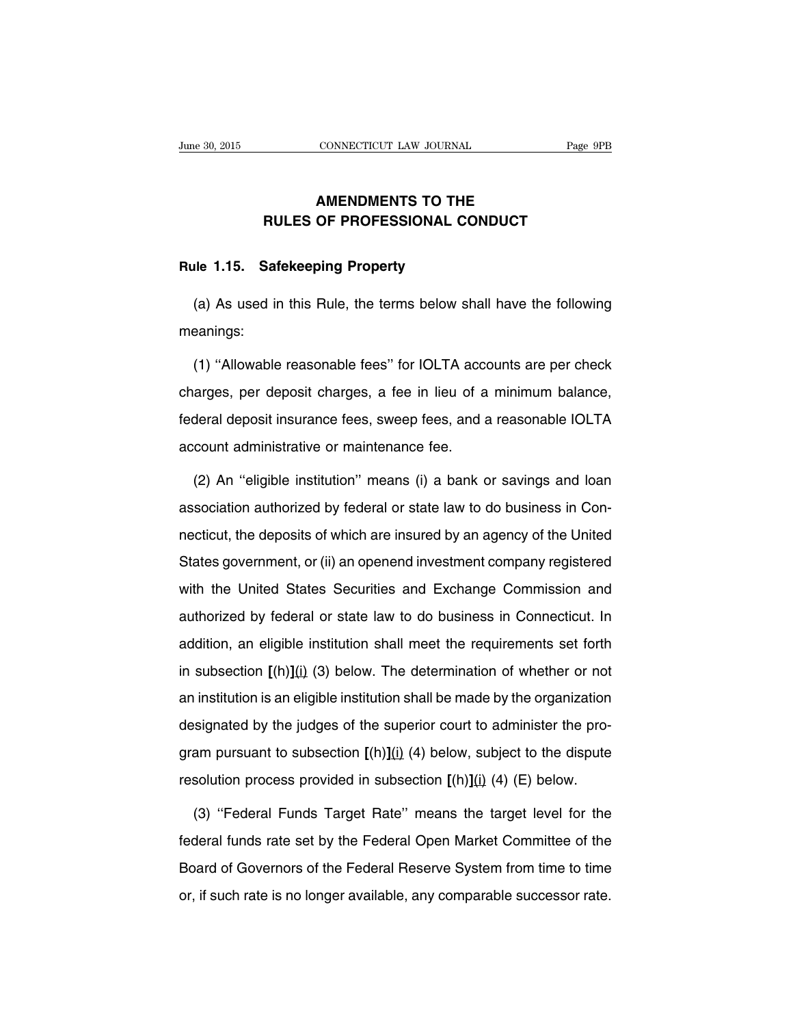### **AMENDMENTS TO THE RULES OF PROFESSIONAL CONDUCT**

#### **Rule 1.15. Safekeeping Property**

(a) As used in this Rule, the terms below shall have the following meanings:

(1) ''Allowable reasonable fees'' for IOLTA accounts are per check charges, per deposit charges, a fee in lieu of a minimum balance, federal deposit insurance fees, sweep fees, and a reasonable IOLTA account administrative or maintenance fee.

(2) An ''eligible institution'' means (i) a bank or savings and loan association authorized by federal or state law to do business in Connecticut, the deposits of which are insured by an agency of the United States government, or (ii) an openend investment company registered with the United States Securities and Exchange Commission and authorized by federal or state law to do business in Connecticut. In addition, an eligible institution shall meet the requirements set forth in subsection **[**(h)**]**(i) (3) below. The determination of whether or not an institution is an eligible institution shall be made by the organization designated by the judges of the superior court to administer the program pursuant to subsection **[**(h)**]**(i) (4) below, subject to the dispute resolution process provided in subsection **[**(h)**]**(i) (4) (E) below.

(3) ''Federal Funds Target Rate'' means the target level for the federal funds rate set by the Federal Open Market Committee of the Board of Governors of the Federal Reserve System from time to time or, if such rate is no longer available, any comparable successor rate.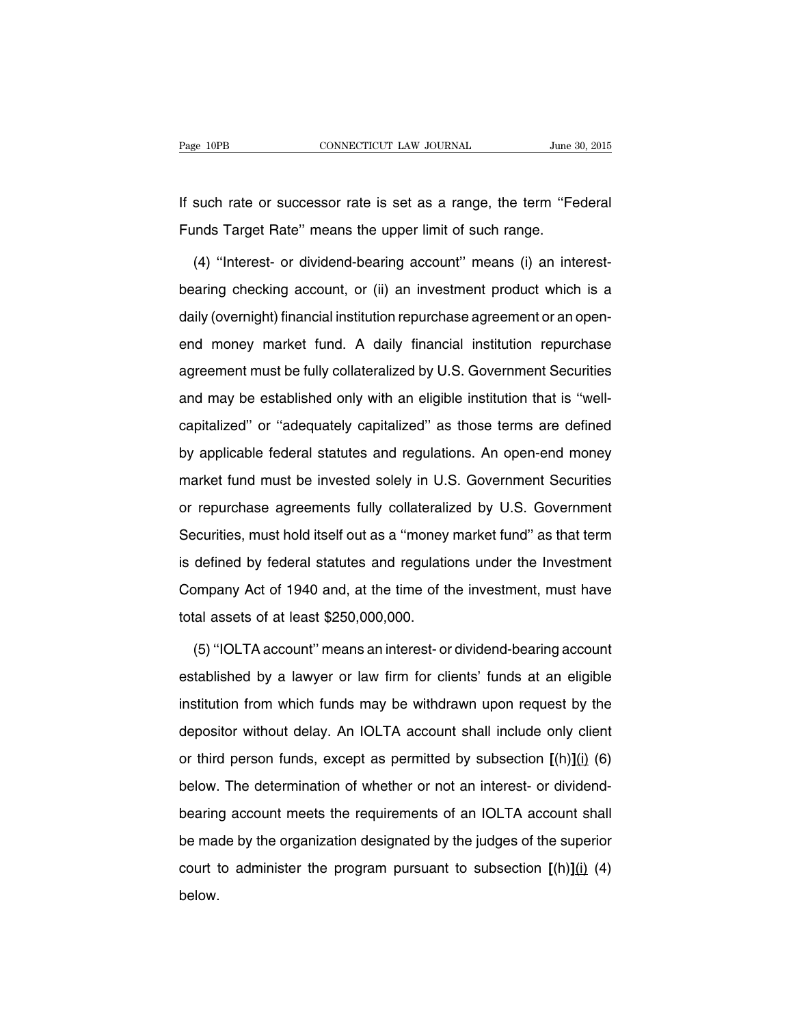If such rate or successor rate is set as a range, the term ''Federal Funds Target Rate'' means the upper limit of such range.

(4) ''Interest- or dividend-bearing account'' means (i) an interestbearing checking account, or (ii) an investment product which is a daily (overnight) financial institution repurchase agreement or an openend money market fund. A daily financial institution repurchase agreement must be fully collateralized by U.S. Government Securities and may be established only with an eligible institution that is ''wellcapitalized'' or ''adequately capitalized'' as those terms are defined by applicable federal statutes and regulations. An open-end money market fund must be invested solely in U.S. Government Securities or repurchase agreements fully collateralized by U.S. Government Securities, must hold itself out as a ''money market fund'' as that term is defined by federal statutes and regulations under the Investment Company Act of 1940 and, at the time of the investment, must have total assets of at least \$250,000,000.

(5) ''IOLTA account'' means an interest- or dividend-bearing account established by a lawyer or law firm for clients' funds at an eligible institution from which funds may be withdrawn upon request by the depositor without delay. An IOLTA account shall include only client or third person funds, except as permitted by subsection **[**(h)**]**(i) (6) below. The determination of whether or not an interest- or dividendbearing account meets the requirements of an IOLTA account shall be made by the organization designated by the judges of the superior court to administer the program pursuant to subsection **[**(h)**]**(i) (4) below.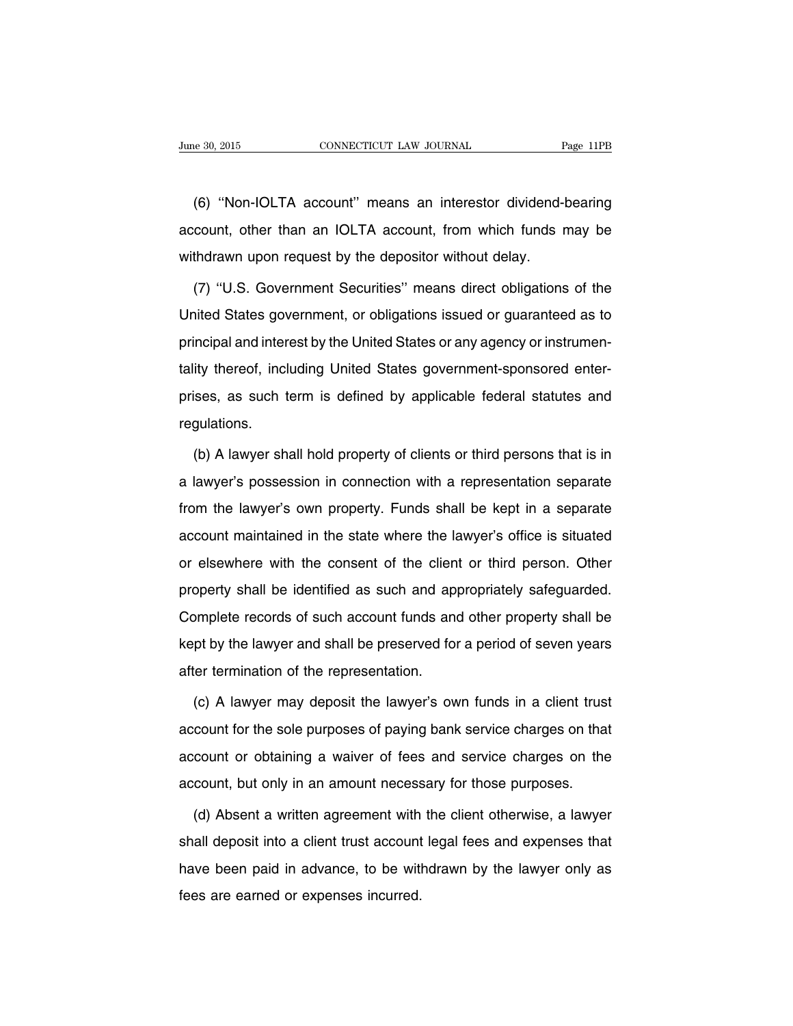(6) ''Non-IOLTA account'' means an interestor dividend-bearing account, other than an IOLTA account, from which funds may be withdrawn upon request by the depositor without delay.

(7) ''U.S. Government Securities'' means direct obligations of the United States government, or obligations issued or guaranteed as to principal and interest by the United States or any agency or instrumentality thereof, including United States government-sponsored enterprises, as such term is defined by applicable federal statutes and regulations.

(b) A lawyer shall hold property of clients or third persons that is in a lawyer's possession in connection with a representation separate from the lawyer's own property. Funds shall be kept in a separate account maintained in the state where the lawyer's office is situated or elsewhere with the consent of the client or third person. Other property shall be identified as such and appropriately safeguarded. Complete records of such account funds and other property shall be kept by the lawyer and shall be preserved for a period of seven years after termination of the representation.

(c) A lawyer may deposit the lawyer's own funds in a client trust account for the sole purposes of paying bank service charges on that account or obtaining a waiver of fees and service charges on the account, but only in an amount necessary for those purposes.

(d) Absent a written agreement with the client otherwise, a lawyer shall deposit into a client trust account legal fees and expenses that have been paid in advance, to be withdrawn by the lawyer only as fees are earned or expenses incurred.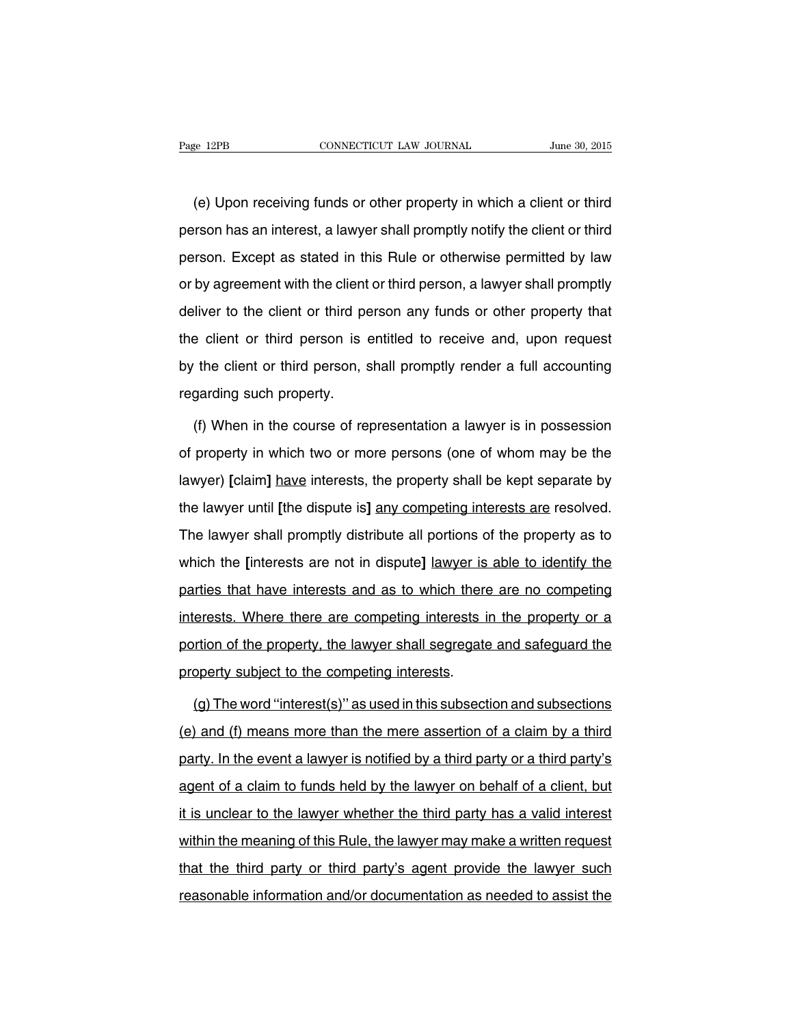(e) Upon receiving funds or other property in which a client or third person has an interest, a lawyer shall promptly notify the client or third person. Except as stated in this Rule or otherwise permitted by law or by agreement with the client or third person, a lawyer shall promptly deliver to the client or third person any funds or other property that the client or third person is entitled to receive and, upon request by the client or third person, shall promptly render a full accounting regarding such property.

(f) When in the course of representation a lawyer is in possession of property in which two or more persons (one of whom may be the lawyer) **[**claim**]** have interests, the property shall be kept separate by the lawyer until **[**the dispute is**]** any competing interests are resolved. The lawyer shall promptly distribute all portions of the property as to which the **[**interests are not in dispute**]** lawyer is able to identify the parties that have interests and as to which there are no competing interests. Where there are competing interests in the property or a portion of the property, the lawyer shall segregate and safeguard the property subject to the competing interests.

(g) The word ''interest(s)'' as used in this subsection and subsections (e) and (f) means more than the mere assertion of a claim by a third party. In the event a lawyer is notified by a third party or a third party's agent of a claim to funds held by the lawyer on behalf of a client, but it is unclear to the lawyer whether the third party has a valid interest within the meaning of this Rule, the lawyer may make a written request that the third party or third party's agent provide the lawyer such reasonable information and/or documentation as needed to assist the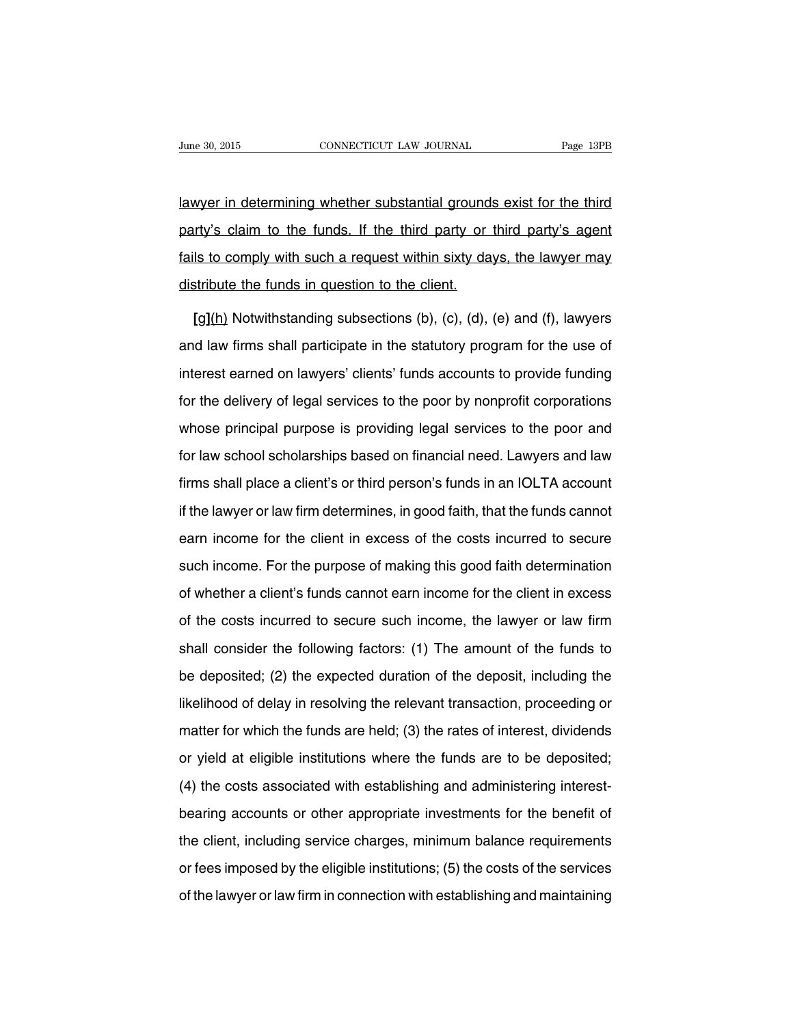lawyer in determining whether substantial grounds exist for the third party's claim to the funds. If the third party or third party's agent fails to comply with such a request within sixty days, the lawyer may distribute the funds in question to the client.

**[**g**]**(h) Notwithstanding subsections (b), (c), (d), (e) and (f), lawyers and law firms shall participate in the statutory program for the use of interest earned on lawyers' clients' funds accounts to provide funding for the delivery of legal services to the poor by nonprofit corporations whose principal purpose is providing legal services to the poor and for law school scholarships based on financial need. Lawyers and law firms shall place a client's or third person's funds in an IOLTA account if the lawyer or law firm determines, in good faith, that the funds cannot earn income for the client in excess of the costs incurred to secure such income. For the purpose of making this good faith determination of whether a client's funds cannot earn income for the client in excess of the costs incurred to secure such income, the lawyer or law firm shall consider the following factors: (1) The amount of the funds to be deposited; (2) the expected duration of the deposit, including the likelihood of delay in resolving the relevant transaction, proceeding or matter for which the funds are held; (3) the rates of interest, dividends or yield at eligible institutions where the funds are to be deposited; (4) the costs associated with establishing and administering interestbearing accounts or other appropriate investments for the benefit of the client, including service charges, minimum balance requirements or fees imposed by the eligible institutions; (5) the costs of the services of the lawyer or law firm in connection with establishing and maintaining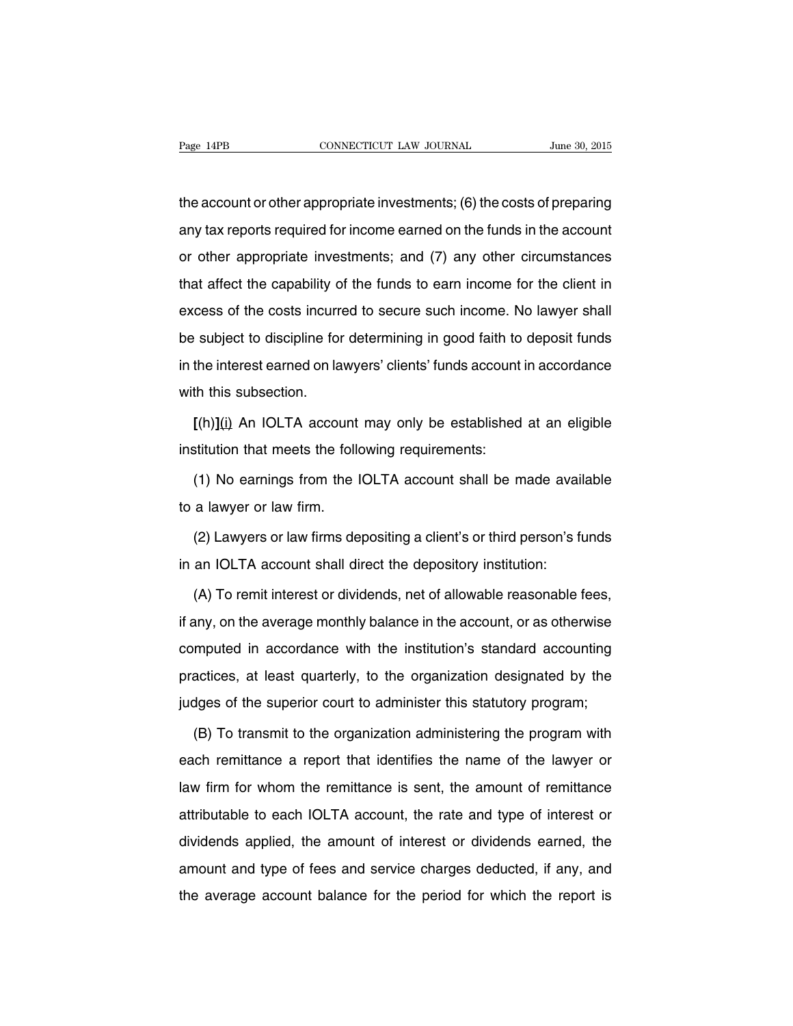the account or other appropriate investments; (6) the costs of preparing any tax reports required for income earned on the funds in the account or other appropriate investments; and (7) any other circumstances that affect the capability of the funds to earn income for the client in excess of the costs incurred to secure such income. No lawyer shall be subject to discipline for determining in good faith to deposit funds in the interest earned on lawyers' clients' funds account in accordance with this subsection

**[**(h)**]**(i) An IOLTA account may only be established at an eligible institution that meets the following requirements:

(1) No earnings from the IOLTA account shall be made available to a lawyer or law firm.

(2) Lawyers or law firms depositing a client's or third person's funds in an IOLTA account shall direct the depository institution:

(A) To remit interest or dividends, net of allowable reasonable fees, if any, on the average monthly balance in the account, or as otherwise computed in accordance with the institution's standard accounting practices, at least quarterly, to the organization designated by the judges of the superior court to administer this statutory program;

(B) To transmit to the organization administering the program with each remittance a report that identifies the name of the lawyer or law firm for whom the remittance is sent, the amount of remittance attributable to each IOLTA account, the rate and type of interest or dividends applied, the amount of interest or dividends earned, the amount and type of fees and service charges deducted, if any, and the average account balance for the period for which the report is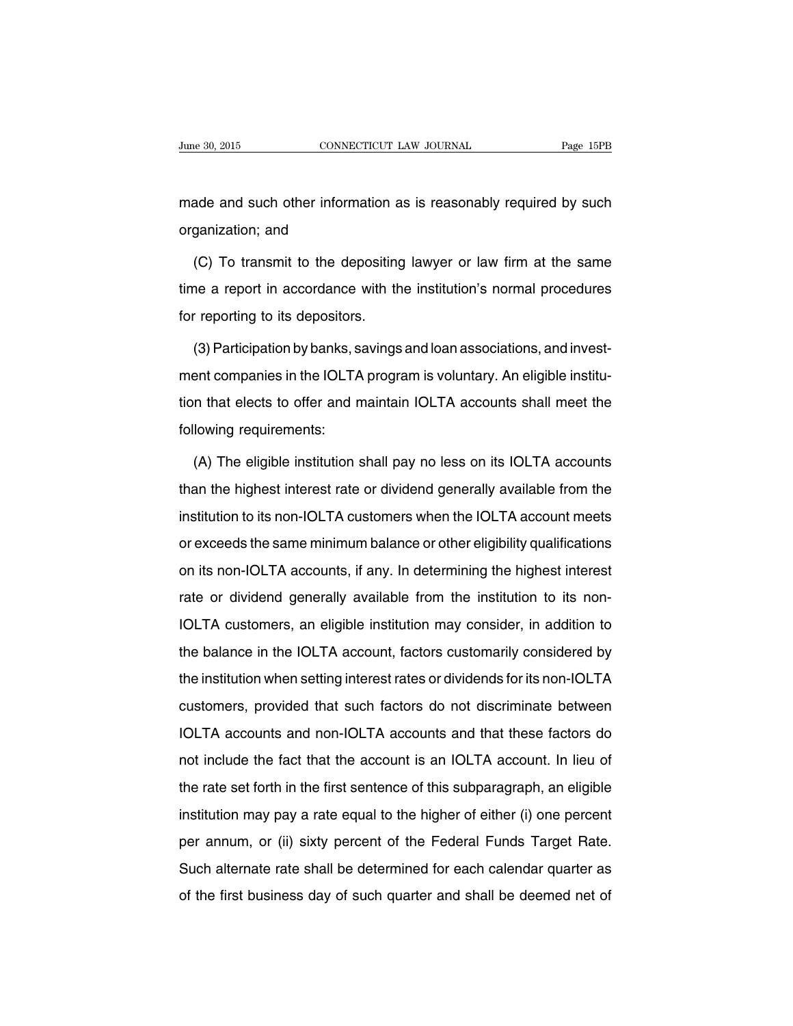made and such other information as is reasonably required by such organization; and

(C) To transmit to the depositing lawyer or law firm at the same time a report in accordance with the institution's normal procedures for reporting to its depositors.

(3)Participation by banks, savings and loan associations, and investment companies in the IOLTA program is voluntary. An eligible institution that elects to offer and maintain IOLTA accounts shall meet the following requirements:

(A) The eligible institution shall pay no less on its IOLTA accounts than the highest interest rate or dividend generally available from the institution to its non-IOLTA customers when the IOLTA account meets or exceeds the same minimum balance or other eligibility qualifications on its non-IOLTA accounts, if any. In determining the highest interest rate or dividend generally available from the institution to its non-IOLTA customers, an eligible institution may consider, in addition to the balance in the IOLTA account, factors customarily considered by the institution when setting interest rates or dividends for its non-IOLTA customers, provided that such factors do not discriminate between IOLTA accounts and non-IOLTA accounts and that these factors do not include the fact that the account is an IOLTA account. In lieu of the rate set forth in the first sentence of this subparagraph, an eligible institution may pay a rate equal to the higher of either (i) one percent per annum, or (ii) sixty percent of the Federal Funds Target Rate. Such alternate rate shall be determined for each calendar quarter as of the first business day of such quarter and shall be deemed net of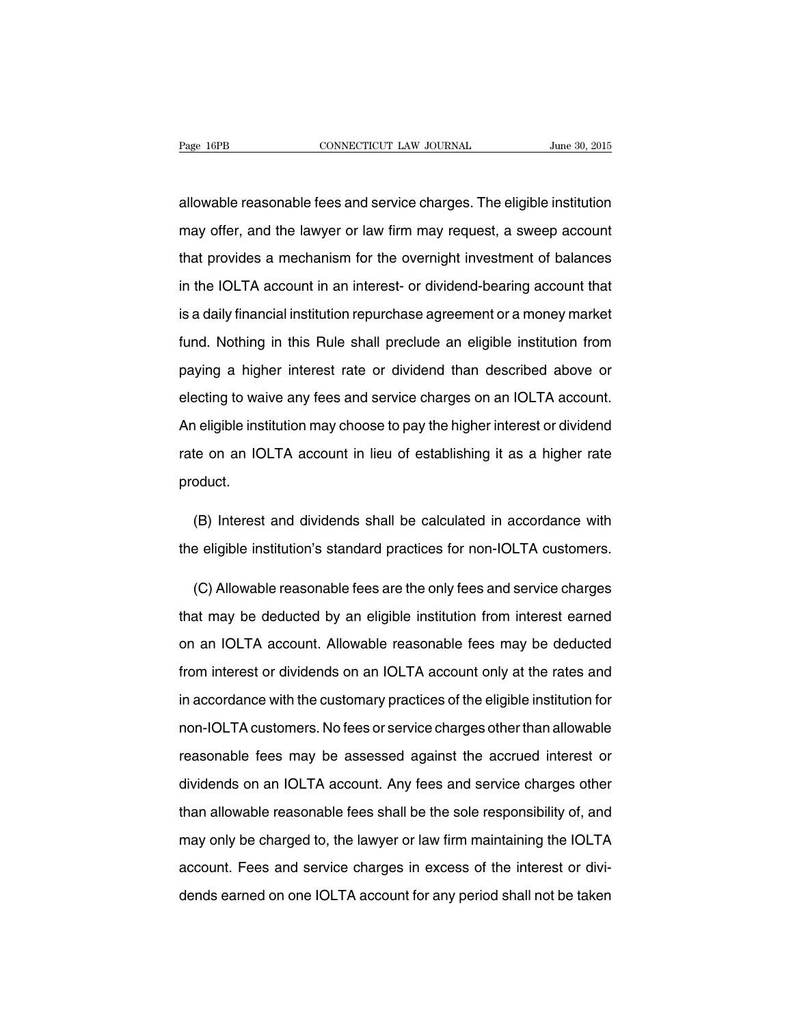allowable reasonable fees and service charges. The eligible institution may offer, and the lawyer or law firm may request, a sweep account that provides a mechanism for the overnight investment of balances in the IOLTA account in an interest- or dividend-bearing account that is a daily financial institution repurchase agreement or a money market fund. Nothing in this Rule shall preclude an eligible institution from paying a higher interest rate or dividend than described above or electing to waive any fees and service charges on an IOLTA account. An eligible institution may choose to pay the higher interest or dividend rate on an IOLTA account in lieu of establishing it as a higher rate product.

(B) Interest and dividends shall be calculated in accordance with the eligible institution's standard practices for non-IOLTA customers.

(C) Allowable reasonable fees are the only fees and service charges that may be deducted by an eligible institution from interest earned on an IOLTA account. Allowable reasonable fees may be deducted from interest or dividends on an IOLTA account only at the rates and in accordance with the customary practices of the eligible institution for non-IOLTA customers. No fees or service charges other than allowable reasonable fees may be assessed against the accrued interest or dividends on an IOLTA account. Any fees and service charges other than allowable reasonable fees shall be the sole responsibility of, and may only be charged to, the lawyer or law firm maintaining the IOLTA account. Fees and service charges in excess of the interest or dividends earned on one IOLTA account for any period shall not be taken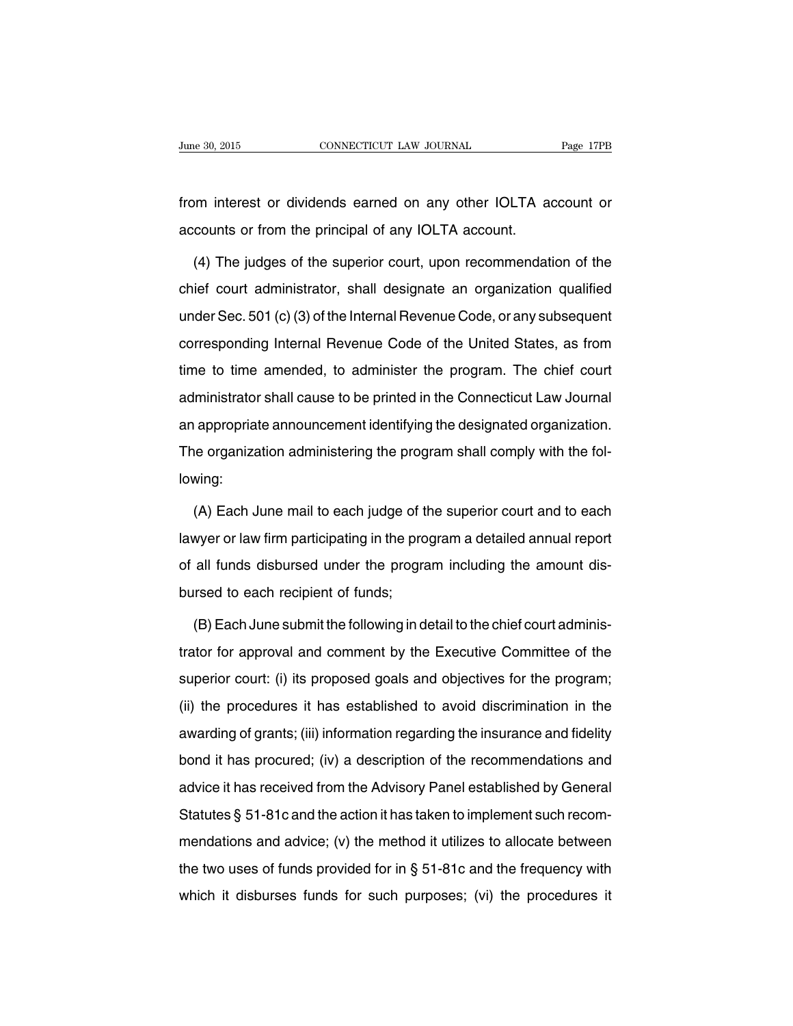from interest or dividends earned on any other IOLTA account or accounts or from the principal of any IOLTA account.

(4) The judges of the superior court, upon recommendation of the chief court administrator, shall designate an organization qualified under Sec. 501 (c)(3) of the Internal Revenue Code, or any subsequent corresponding Internal Revenue Code of the United States, as from time to time amended, to administer the program. The chief court administrator shall cause to be printed in the Connecticut Law Journal an appropriate announcement identifying the designated organization. The organization administering the program shall comply with the following:

(A) Each June mail to each judge of the superior court and to each lawyer or law firm participating in the program a detailed annual report of all funds disbursed under the program including the amount disbursed to each recipient of funds;

(B) Each June submit the following in detail to the chief court administrator for approval and comment by the Executive Committee of the superior court: (i) its proposed goals and objectives for the program; (ii) the procedures it has established to avoid discrimination in the awarding of grants; (iii) information regarding the insurance and fidelity bond it has procured; (iv) a description of the recommendations and advice it has received from the Advisory Panel established by General Statutes § 51-81c and the action it has taken to implement such recommendations and advice; (v) the method it utilizes to allocate between the two uses of funds provided for in § 51-81c and the frequency with which it disburses funds for such purposes; (vi) the procedures it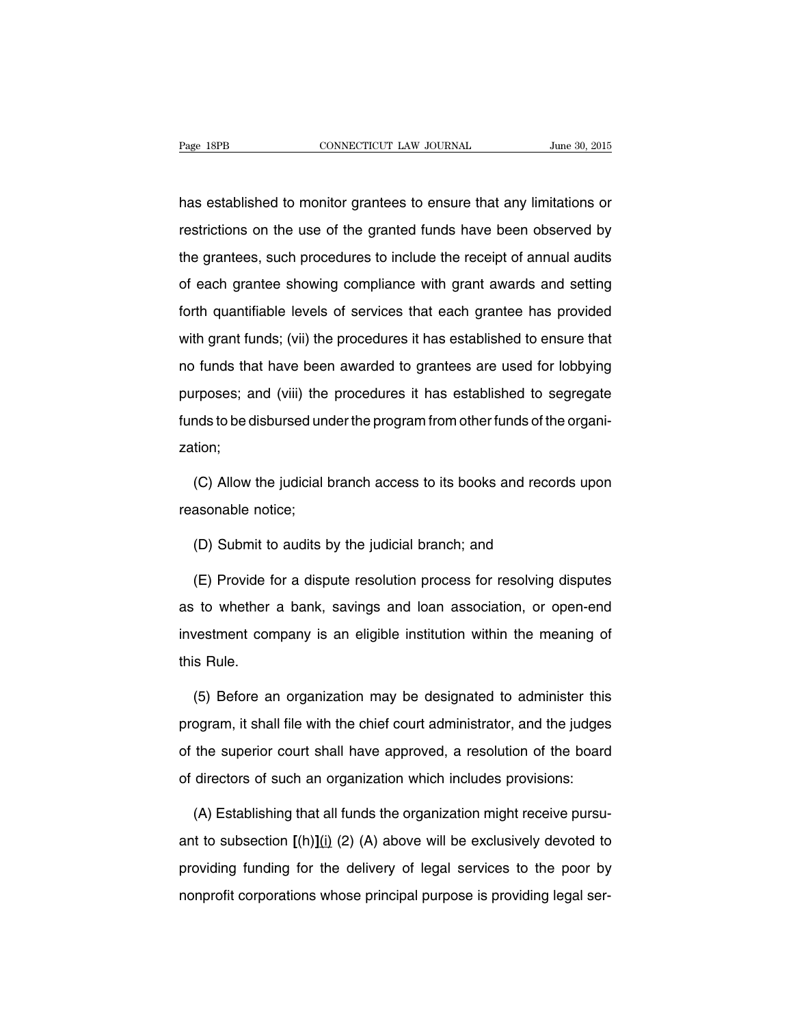has established to monitor grantees to ensure that any limitations or restrictions on the use of the granted funds have been observed by the grantees, such procedures to include the receipt of annual audits of each grantee showing compliance with grant awards and setting forth quantifiable levels of services that each grantee has provided with grant funds; (vii) the procedures it has established to ensure that no funds that have been awarded to grantees are used for lobbying purposes; and (viii) the procedures it has established to segregate funds to be disbursed under the program from other funds of the organization;

(C) Allow the judicial branch access to its books and records upon reasonable notice;

(D) Submit to audits by the judicial branch; and

(E) Provide for a dispute resolution process for resolving disputes as to whether a bank, savings and loan association, or open-end investment company is an eligible institution within the meaning of this Rule.

(5) Before an organization may be designated to administer this program, it shall file with the chief court administrator, and the judges of the superior court shall have approved, a resolution of the board of directors of such an organization which includes provisions:

(A) Establishing that all funds the organization might receive pursuant to subsection **[**(h)**]**(i) (2) (A) above will be exclusively devoted to providing funding for the delivery of legal services to the poor by nonprofit corporations whose principal purpose is providing legal ser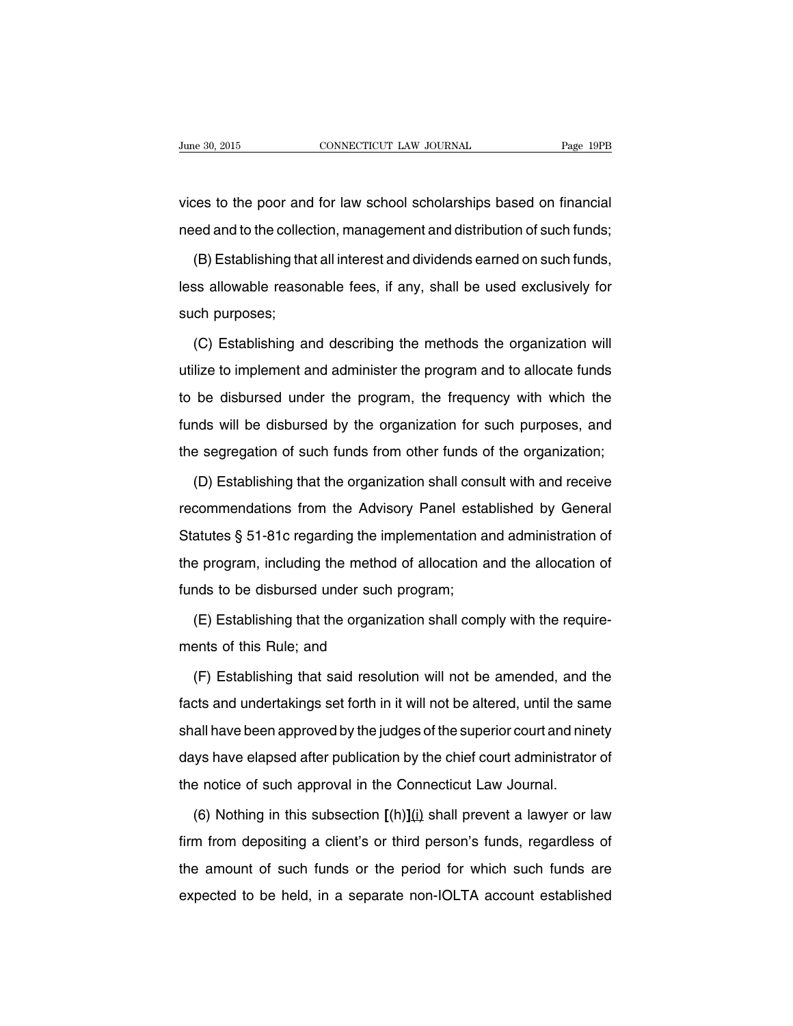vices to the poor and for law school scholarships based on financial need and to the collection, management and distribution of such funds;

(B) Establishing that all interest and dividends earned on such funds, less allowable reasonable fees, if any, shall be used exclusively for such purposes;

(C) Establishing and describing the methods the organization will utilize to implement and administer the program and to allocate funds to be disbursed under the program, the frequency with which the funds will be disbursed by the organization for such purposes, and the segregation of such funds from other funds of the organization;

(D) Establishing that the organization shall consult with and receive recommendations from the Advisory Panel established by General Statutes § 51-81c regarding the implementation and administration of the program, including the method of allocation and the allocation of funds to be disbursed under such program;

(E) Establishing that the organization shall comply with the requirements of this Rule; and

(F) Establishing that said resolution will not be amended, and the facts and undertakings set forth in it will not be altered, until the same shall have been approved by the judges of the superior court and ninety days have elapsed after publication by the chief court administrator of the notice of such approval in the Connecticut Law Journal.

(6) Nothing in this subsection **[**(h)**]**(i) shall prevent a lawyer or law firm from depositing a client's or third person's funds, regardless of the amount of such funds or the period for which such funds are expected to be held, in a separate non-IOLTA account established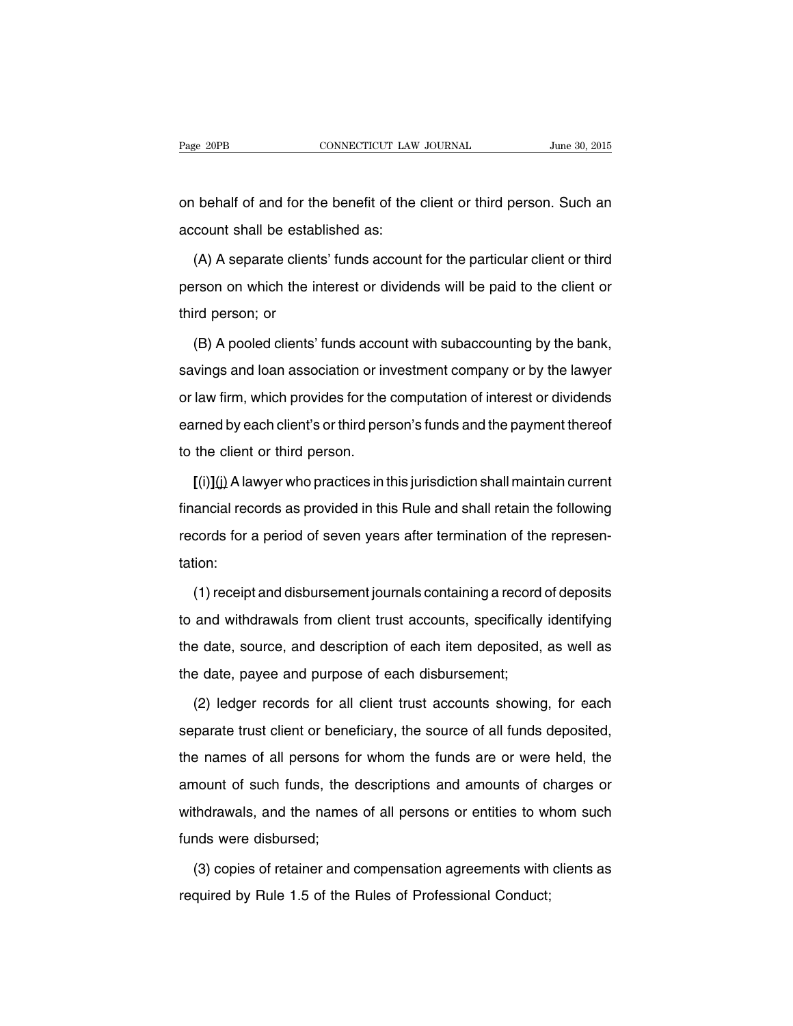on behalf of and for the benefit of the client or third person. Such an account shall be established as:

(A) A separate clients' funds account for the particular client or third person on which the interest or dividends will be paid to the client or third person; or

(B) A pooled clients' funds account with subaccounting by the bank, savings and loan association or investment company or by the lawyer or law firm, which provides for the computation of interest or dividends earned by each client's or third person's funds and the payment thereof to the client or third person.

**[**(i)**]**(j) Alawyer who practices in this jurisdiction shall maintain current financial records as provided in this Rule and shall retain the following records for a period of seven years after termination of the representation:

(1) receipt and disbursement journals containing a record of deposits to and withdrawals from client trust accounts, specifically identifying the date, source, and description of each item deposited, as well as the date, payee and purpose of each disbursement;

(2) ledger records for all client trust accounts showing, for each separate trust client or beneficiary, the source of all funds deposited, the names of all persons for whom the funds are or were held, the amount of such funds, the descriptions and amounts of charges or withdrawals, and the names of all persons or entities to whom such funds were disbursed;

(3) copies of retainer and compensation agreements with clients as required by Rule 1.5 of the Rules of Professional Conduct;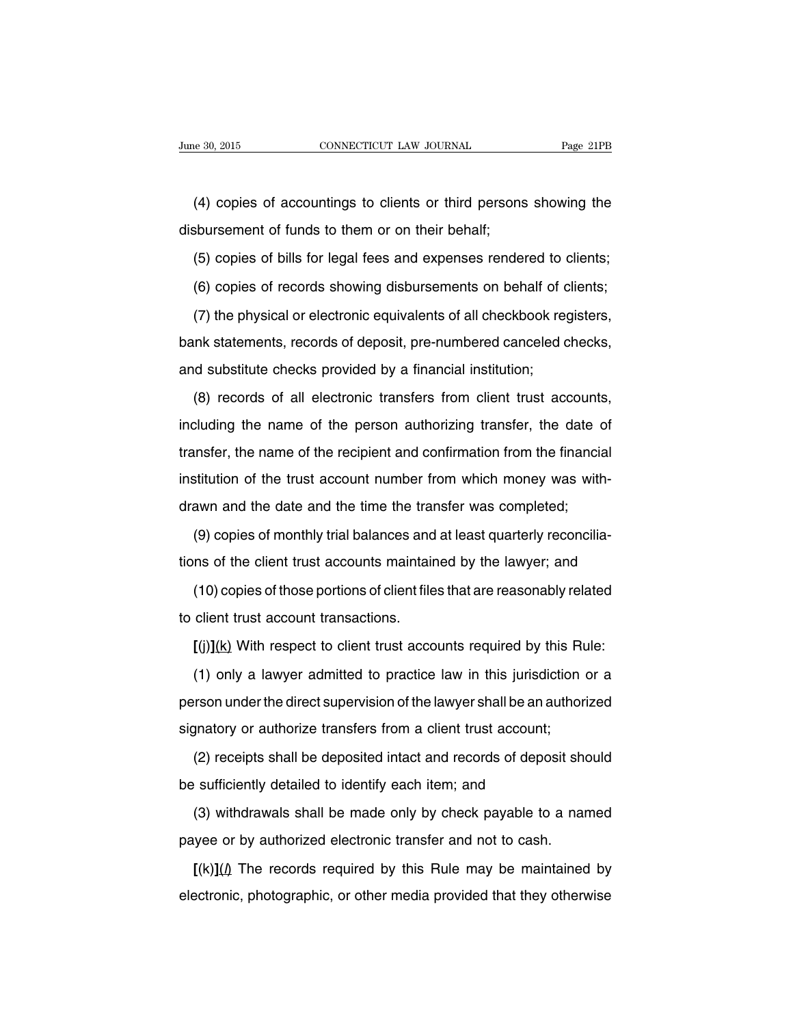(4) copies of accountings to clients or third persons showing the disbursement of funds to them or on their behalf;

(5) copies of bills for legal fees and expenses rendered to clients;

(6) copies of records showing disbursements on behalf of clients;

(7) the physical or electronic equivalents of all checkbook registers, bank statements, records of deposit, pre-numbered canceled checks, and substitute checks provided by a financial institution;

(8) records of all electronic transfers from client trust accounts, including the name of the person authorizing transfer, the date of transfer, the name of the recipient and confirmation from the financial institution of the trust account number from which money was withdrawn and the date and the time the transfer was completed;

(9) copies of monthly trial balances and at least quarterly reconciliations of the client trust accounts maintained by the lawyer; and

(10) copies of those portions of client files that are reasonably related to client trust account transactions.

**[**(j)**]**(k) With respect to client trust accounts required by this Rule:

(1) only a lawyer admitted to practice law in this jurisdiction or a person under the direct supervision of the lawyer shall be an authorized signatory or authorize transfers from a client trust account;

(2) receipts shall be deposited intact and records of deposit should be sufficiently detailed to identify each item; and

(3) withdrawals shall be made only by check payable to a named payee or by authorized electronic transfer and not to cash.

 $\left[\frac{(k)}{(l)}\right]$  The records required by this Rule may be maintained by electronic, photographic, or other media provided that they otherwise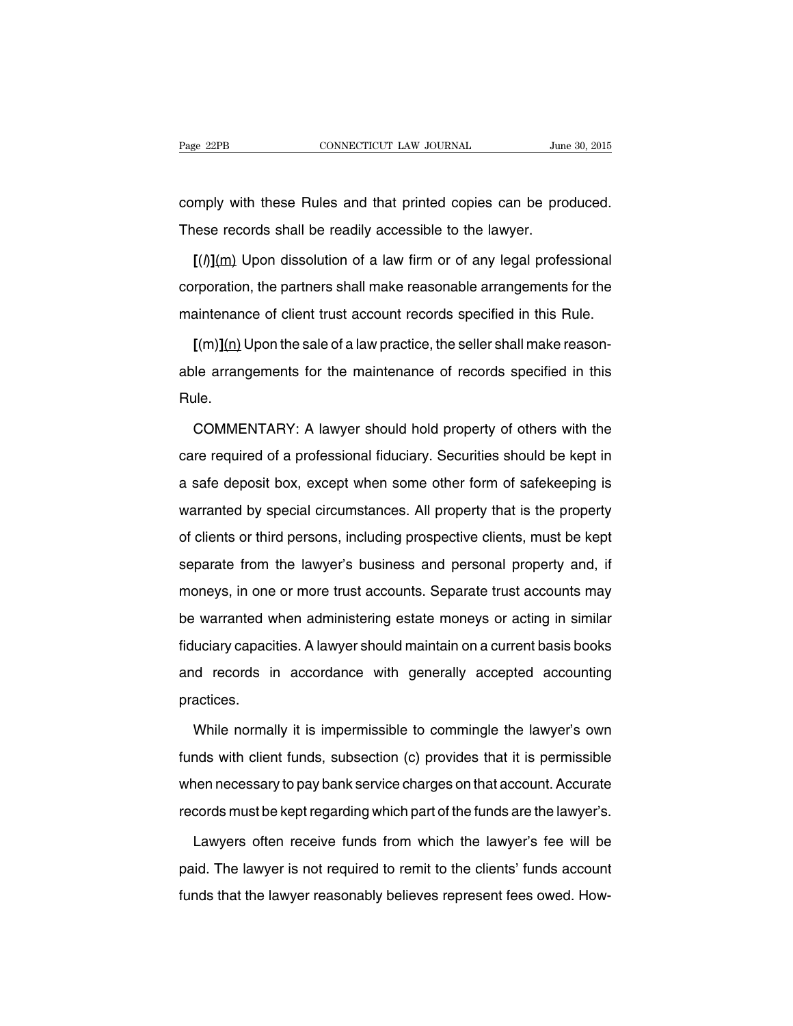comply with these Rules and that printed copies can be produced. These records shall be readily accessible to the lawyer.

**[**(l)**]**(m) Upon dissolution of a law firm or of any legal professional corporation, the partners shall make reasonable arrangements for the maintenance of client trust account records specified in this Rule.

**[**(m)**]**(n) Upon the sale of a law practice, the seller shall make reasonable arrangements for the maintenance of records specified in this Rule.

COMMENTARY: A lawyer should hold property of others with the care required of a professional fiduciary. Securities should be kept in a safe deposit box, except when some other form of safekeeping is warranted by special circumstances. All property that is the property of clients or third persons, including prospective clients, must be kept separate from the lawyer's business and personal property and, if moneys, in one or more trust accounts. Separate trust accounts may be warranted when administering estate moneys or acting in similar fiduciary capacities. A lawyer should maintain on a current basis books and records in accordance with generally accepted accounting practices.

While normally it is impermissible to commingle the lawyer's own funds with client funds, subsection (c) provides that it is permissible when necessary to pay bank service charges on that account. Accurate records must be kept regarding which part of the funds are the lawyer's.

Lawyers often receive funds from which the lawyer's fee will be paid. The lawyer is not required to remit to the clients' funds account funds that the lawyer reasonably believes represent fees owed. How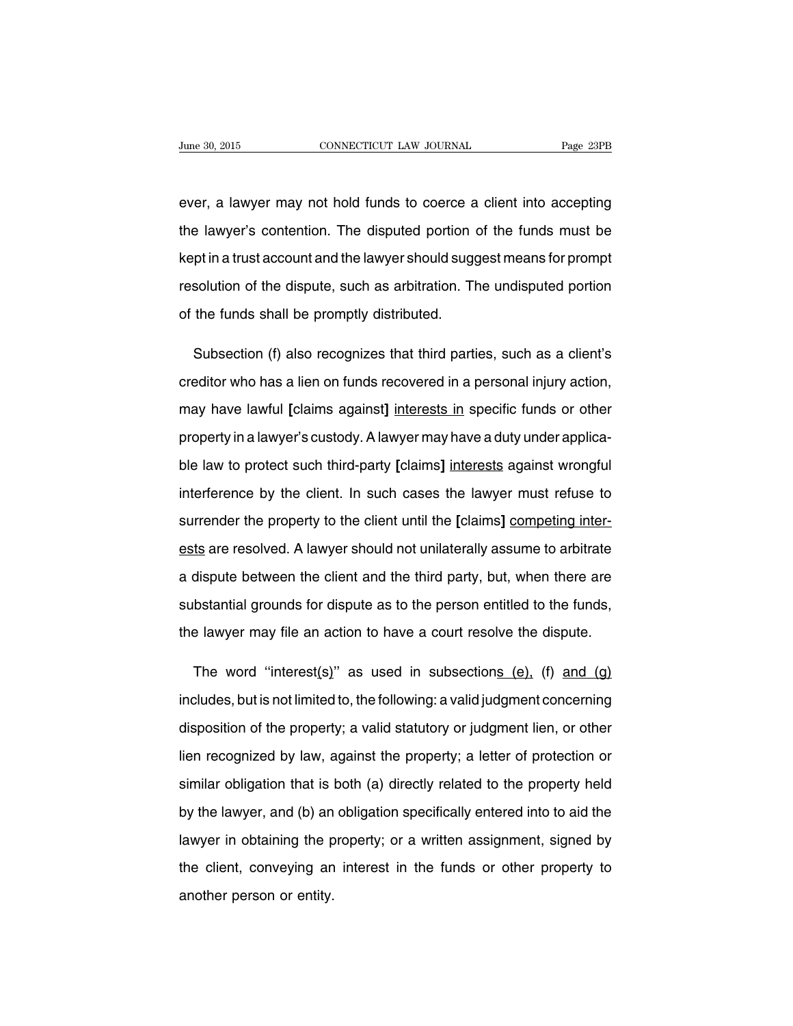ever, a lawyer may not hold funds to coerce a client into accepting the lawyer's contention. The disputed portion of the funds must be kept in a trust account and the lawyer should suggest means for prompt resolution of the dispute, such as arbitration. The undisputed portion of the funds shall be promptly distributed.

Subsection (f) also recognizes that third parties, such as a client's creditor who has a lien on funds recovered in a personal injury action, may have lawful **[**claims against**]** interests in specific funds or other property in a lawyer's custody. A lawyer may have a duty under applicable law to protect such third-party **[**claims**]** interests against wrongful interference by the client. In such cases the lawyer must refuse to surrender the property to the client until the **[**claims**]** competing interests are resolved. A lawyer should not unilaterally assume to arbitrate a dispute between the client and the third party, but, when there are substantial grounds for dispute as to the person entitled to the funds, the lawyer may file an action to have a court resolve the dispute.

The word "interest(s)" as used in subsections  $(e)$ ,  $(f)$  and  $(g)$ includes, but is not limited to, the following: a valid judgment concerning disposition of the property; a valid statutory or judgment lien, or other lien recognized by law, against the property; a letter of protection or similar obligation that is both (a) directly related to the property held by the lawyer, and (b) an obligation specifically entered into to aid the lawyer in obtaining the property; or a written assignment, signed by the client, conveying an interest in the funds or other property to another person or entity.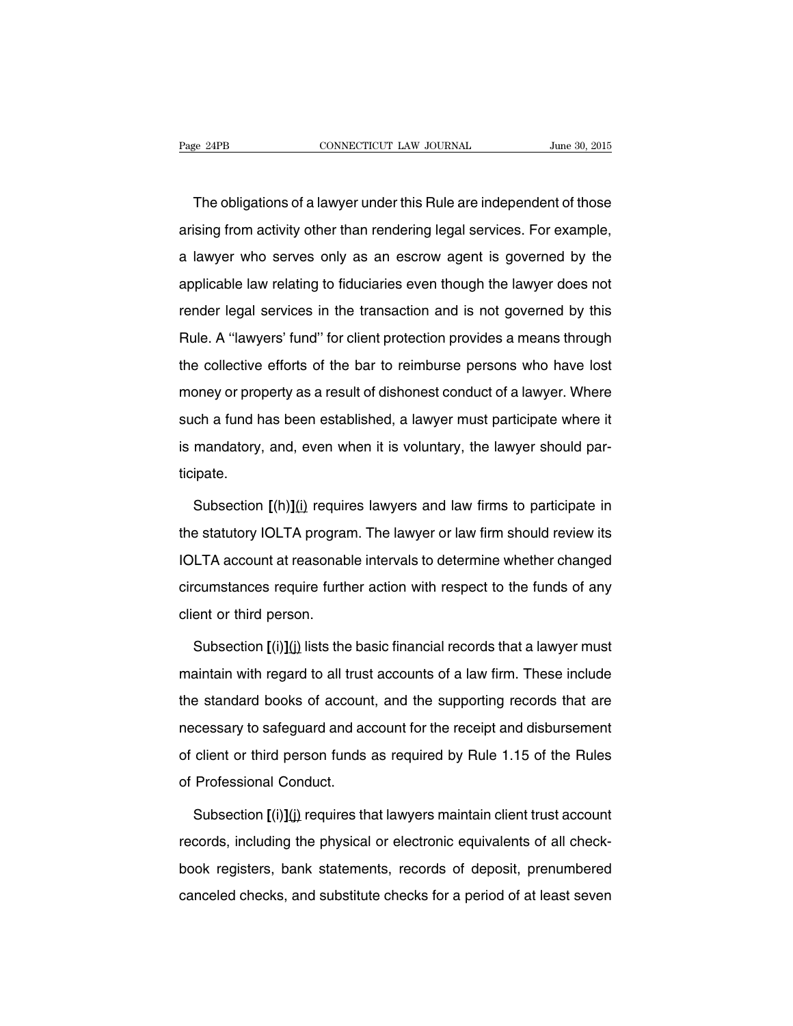The obligations of a lawyer under this Rule are independent of those arising from activity other than rendering legal services. For example, a lawyer who serves only as an escrow agent is governed by the applicable law relating to fiduciaries even though the lawyer does not render legal services in the transaction and is not governed by this Rule. A ''lawyers' fund'' for client protection provides a means through the collective efforts of the bar to reimburse persons who have lost money or property as a result of dishonest conduct of a lawyer. Where such a fund has been established, a lawyer must participate where it is mandatory, and, even when it is voluntary, the lawyer should participate.

Subsection **[**(h)**]**(i) requires lawyers and law firms to participate in the statutory IOLTA program. The lawyer or law firm should review its IOLTA account at reasonable intervals to determine whether changed circumstances require further action with respect to the funds of any client or third person.

Subsection **[**(i)**]**(j) lists the basic financial records that a lawyer must maintain with regard to all trust accounts of a law firm. These include the standard books of account, and the supporting records that are necessary to safeguard and account for the receipt and disbursement of client or third person funds as required by Rule 1.15 of the Rules of Professional Conduct.

Subsection  $[(i)](j)$  requires that lawyers maintain client trust account records, including the physical or electronic equivalents of all checkbook registers, bank statements, records of deposit, prenumbered canceled checks, and substitute checks for a period of at least seven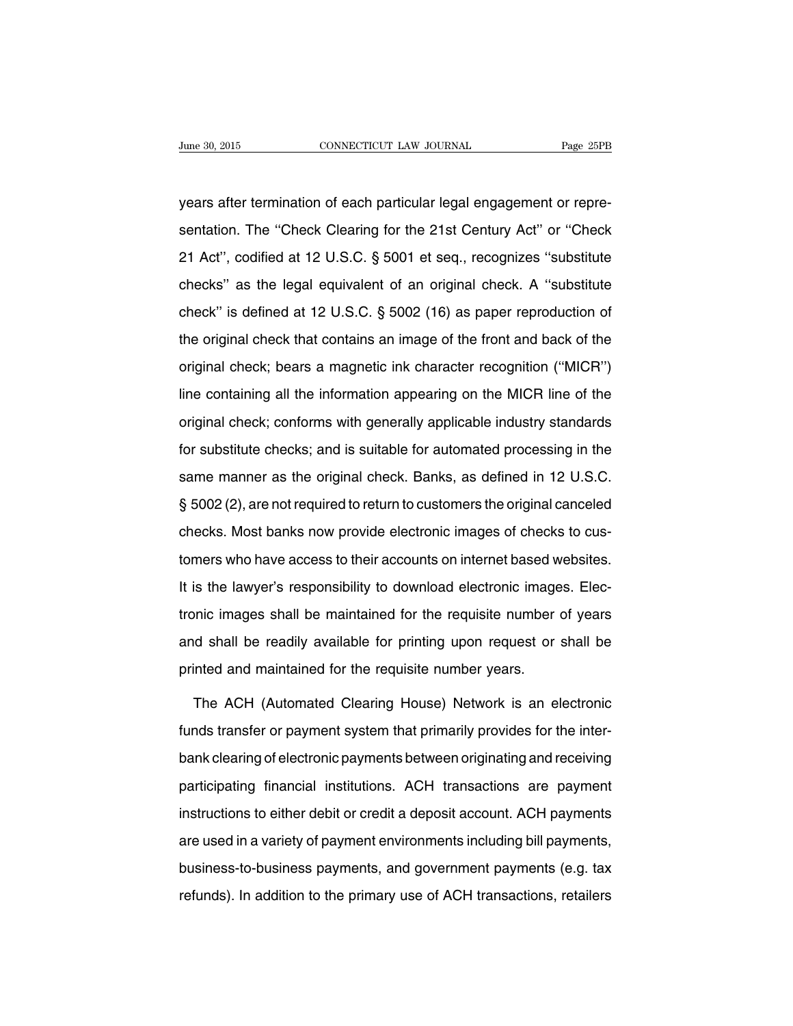years after termination of each particular legal engagement or representation. The ''Check Clearing for the 21st Century Act'' or ''Check 21 Act'', codified at 12 U.S.C. § 5001 et seq., recognizes ''substitute checks'' as the legal equivalent of an original check. A ''substitute check'' is defined at 12 U.S.C. § 5002 (16) as paper reproduction of the original check that contains an image of the front and back of the original check; bears a magnetic ink character recognition (''MICR'') line containing all the information appearing on the MICR line of the original check; conforms with generally applicable industry standards for substitute checks; and is suitable for automated processing in the same manner as the original check. Banks, as defined in 12 U.S.C. § 5002 (2), are not required to return to customers the original canceled checks. Most banks now provide electronic images of checks to customers who have access to their accounts on internet based websites. It is the lawyer's responsibility to download electronic images. Electronic images shall be maintained for the requisite number of years and shall be readily available for printing upon request or shall be printed and maintained for the requisite number years.

The ACH (Automated Clearing House) Network is an electronic funds transfer or payment system that primarily provides for the interbank clearing of electronic payments between originating and receiving participating financial institutions. ACH transactions are payment instructions to either debit or credit a deposit account. ACH payments are used in a variety of payment environments including bill payments, business-to-business payments, and government payments (e.g. tax refunds). In addition to the primary use of ACH transactions, retailers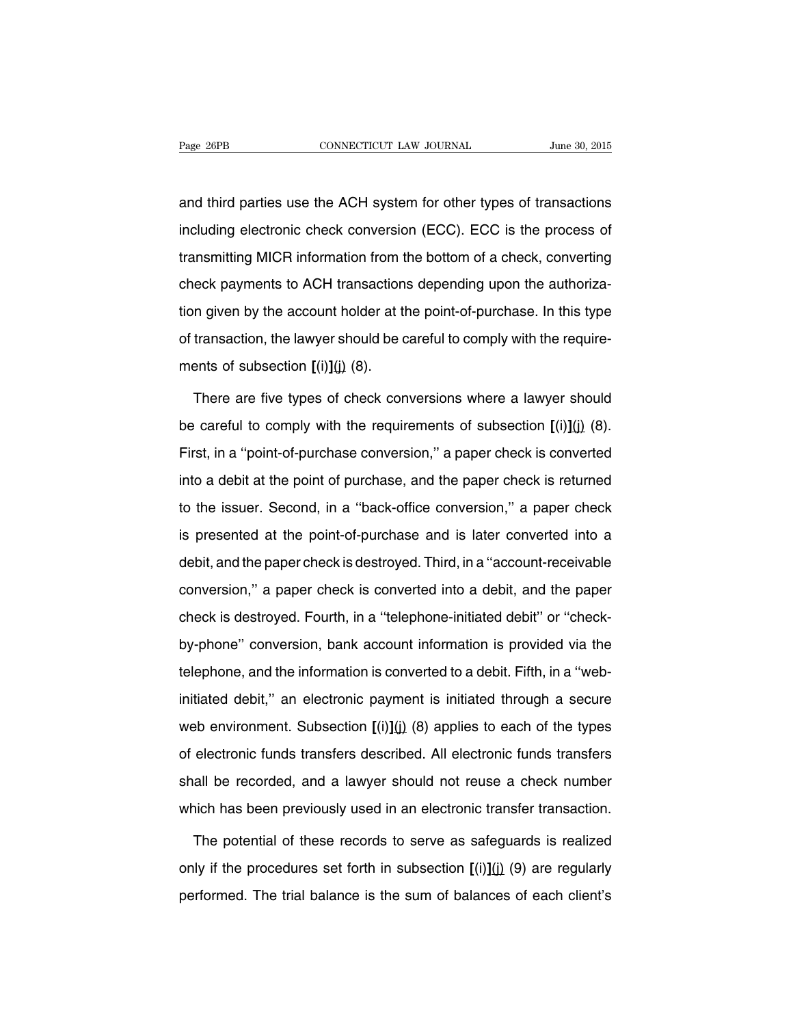and third parties use the ACH system for other types of transactions including electronic check conversion (ECC). ECC is the process of transmitting MICR information from the bottom of a check, converting check payments to ACH transactions depending upon the authorization given by the account holder at the point-of-purchase. In this type of transaction, the lawyer should be careful to comply with the requirements of subsection **[**(i)**]**(j) (8).

There are five types of check conversions where a lawyer should be careful to comply with the requirements of subsection **[**(i)**]**(j) (8). First, in a ''point-of-purchase conversion,'' a paper check is converted into a debit at the point of purchase, and the paper check is returned to the issuer. Second, in a ''back-office conversion,'' a paper check is presented at the point-of-purchase and is later converted into a debit, and the paper check is destroyed. Third, in a ''account-receivable conversion,'' a paper check is converted into a debit, and the paper check is destroyed. Fourth, in a ''telephone-initiated debit'' or ''checkby-phone'' conversion, bank account information is provided via the telephone, and the information is converted to a debit. Fifth, in a ''webinitiated debit,'' an electronic payment is initiated through a secure web environment. Subsection  $[(i)](j)$  (8) applies to each of the types of electronic funds transfers described. All electronic funds transfers shall be recorded, and a lawyer should not reuse a check number which has been previously used in an electronic transfer transaction.

The potential of these records to serve as safeguards is realized only if the procedures set forth in subsection **[**(i)**]**(j) (9) are regularly performed. The trial balance is the sum of balances of each client's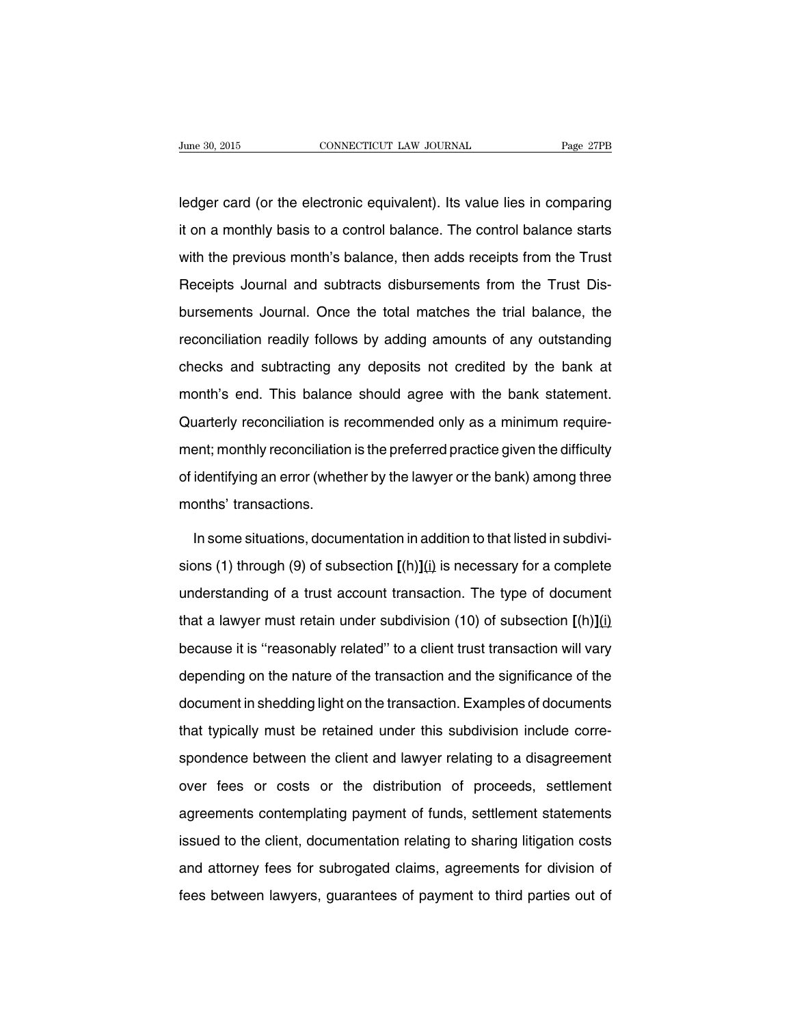ledger card (or the electronic equivalent). Its value lies in comparing it on a monthly basis to a control balance. The control balance starts with the previous month's balance, then adds receipts from the Trust Receipts Journal and subtracts disbursements from the Trust Disbursements Journal. Once the total matches the trial balance, the reconciliation readily follows by adding amounts of any outstanding checks and subtracting any deposits not credited by the bank at month's end. This balance should agree with the bank statement. Quarterly reconciliation is recommended only as a minimum requirement; monthly reconciliation is the preferred practice given the difficulty of identifying an error (whether by the lawyer or the bank) among three months' transactions.

In some situations, documentation in addition to that listed in subdivisions (1) through (9) of subsection **[**(h)**]**(i) is necessary for a complete understanding of a trust account transaction. The type of document that a lawyer must retain under subdivision (10) of subsection **[**(h)**]**(i) because it is ''reasonably related'' to a client trust transaction will vary depending on the nature of the transaction and the significance of the document in shedding light on the transaction. Examples of documents that typically must be retained under this subdivision include correspondence between the client and lawyer relating to a disagreement over fees or costs or the distribution of proceeds, settlement agreements contemplating payment of funds, settlement statements issued to the client, documentation relating to sharing litigation costs and attorney fees for subrogated claims, agreements for division of fees between lawyers, guarantees of payment to third parties out of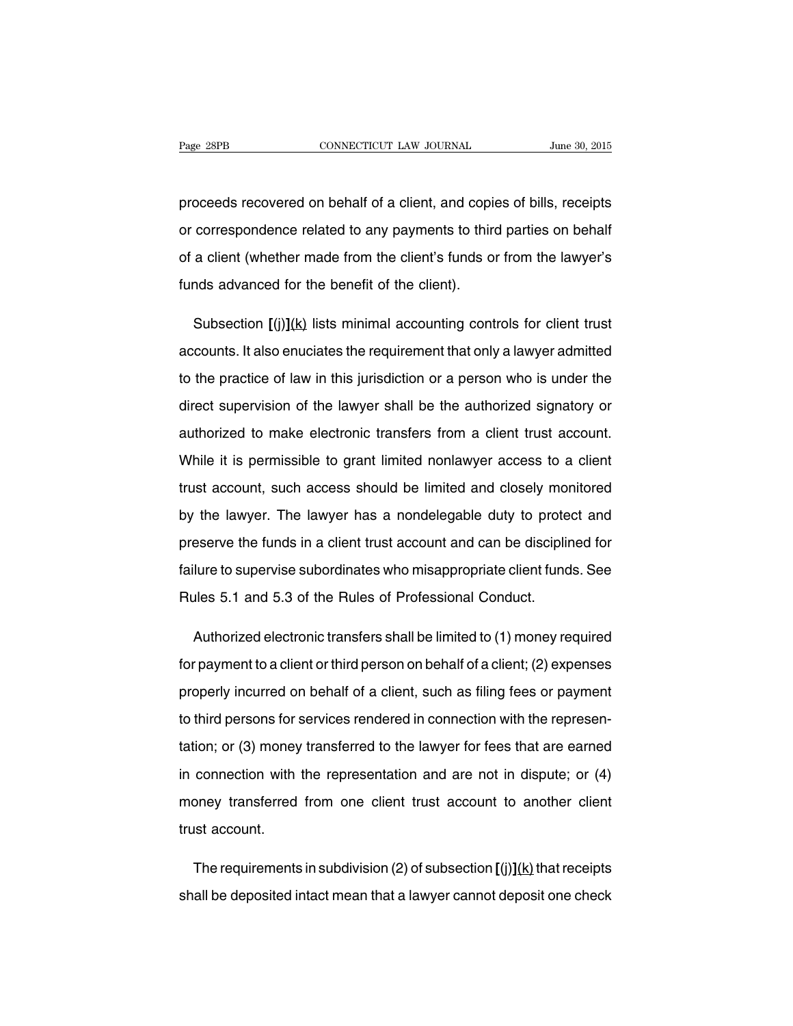proceeds recovered on behalf of a client, and copies of bills, receipts or correspondence related to any payments to third parties on behalf of a client (whether made from the client's funds or from the lawyer's funds advanced for the benefit of the client).

Subsection **[**(j)**]**(k) lists minimal accounting controls for client trust accounts. It also enuciates the requirement that only a lawyer admitted to the practice of law in this jurisdiction or a person who is under the direct supervision of the lawyer shall be the authorized signatory or authorized to make electronic transfers from a client trust account. While it is permissible to grant limited nonlawyer access to a client trust account, such access should be limited and closely monitored by the lawyer. The lawyer has a nondelegable duty to protect and preserve the funds in a client trust account and can be disciplined for failure to supervise subordinates who misappropriate client funds. See Rules 5.1 and 5.3 of the Rules of Professional Conduct.

Authorized electronic transfers shall be limited to (1) money required for payment to a client or third person on behalf of a client; (2) expenses properly incurred on behalf of a client, such as filing fees or payment to third persons for services rendered in connection with the representation; or (3) money transferred to the lawyer for fees that are earned in connection with the representation and are not in dispute; or (4) money transferred from one client trust account to another client trust account.

The requirements in subdivision (2) of subsection  $\left[\binom{i}{k}\right]$  that receipts shall be deposited intact mean that a lawyer cannot deposit one check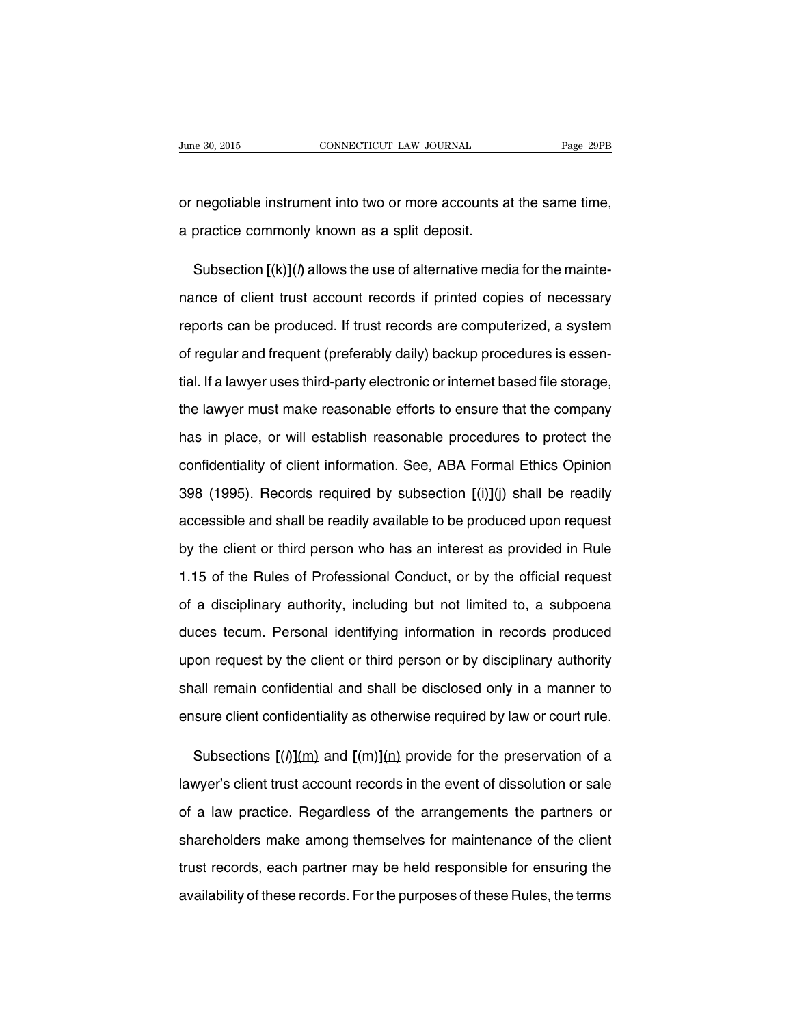or negotiable instrument into two or more accounts at the same time, a practice commonly known as a split deposit.

Subsection  $\left[\frac{k}{\Omega}\right]$  allows the use of alternative media for the maintenance of client trust account records if printed copies of necessary reports can be produced. If trust records are computerized, a system of regular and frequent (preferably daily) backup procedures is essential. If a lawyer uses third-party electronic or internet based file storage, the lawyer must make reasonable efforts to ensure that the company has in place, or will establish reasonable procedures to protect the confidentiality of client information. See, ABA Formal Ethics Opinion 398 (1995). Records required by subsection **[**(i)**]**(j) shall be readily accessible and shall be readily available to be produced upon request by the client or third person who has an interest as provided in Rule 1.15 of the Rules of Professional Conduct, or by the official request of a disciplinary authority, including but not limited to, a subpoena duces tecum. Personal identifying information in records produced upon request by the client or third person or by disciplinary authority shall remain confidential and shall be disclosed only in a manner to ensure client confidentiality as otherwise required by law or court rule.

Subsections  $[(\textit{l})](m)$  and  $[(m)](n)$  provide for the preservation of a lawyer's client trust account records in the event of dissolution or sale of a law practice. Regardless of the arrangements the partners or shareholders make among themselves for maintenance of the client trust records, each partner may be held responsible for ensuring the availability of these records. For the purposes of these Rules, the terms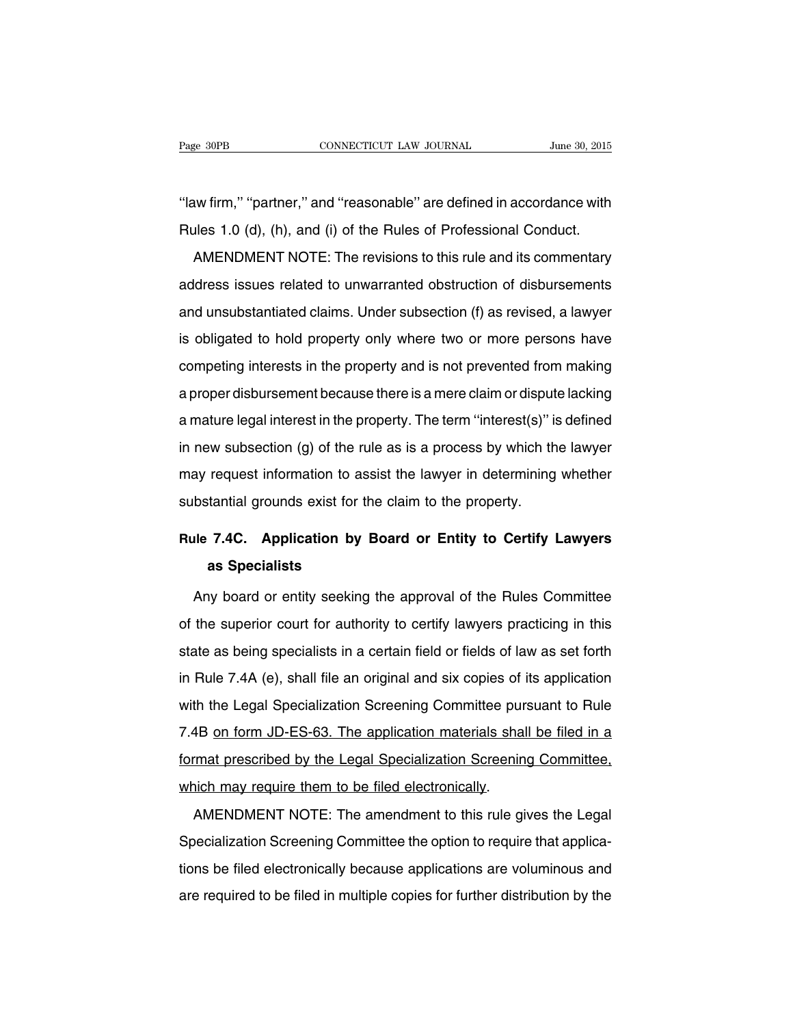"law firm," "partner," and "reasonable" are defined in accordance with Rules 1.0 (d), (h), and (i) of the Rules of Professional Conduct.

AMENDMENT NOTE: The revisions to this rule and its commentary address issues related to unwarranted obstruction of disbursements and unsubstantiated claims. Under subsection (f) as revised, a lawyer is obligated to hold property only where two or more persons have competing interests in the property and is not prevented from making a proper disbursement because there is a mere claim or dispute lacking a mature legal interest in the property. The term ''interest(s)'' is defined in new subsection (g) of the rule as is a process by which the lawyer may request information to assist the lawyer in determining whether substantial grounds exist for the claim to the property.

# **Rule 7.4C. Application by Board or Entity to Certify Lawyers as Specialists**

Any board or entity seeking the approval of the Rules Committee of the superior court for authority to certify lawyers practicing in this state as being specialists in a certain field or fields of law as set forth in Rule 7.4A (e), shall file an original and six copies of its application with the Legal Specialization Screening Committee pursuant to Rule 7.4B on form JD-ES-63. The application materials shall be filed in a format prescribed by the Legal Specialization Screening Committee, which may require them to be filed electronically.

AMENDMENT NOTE: The amendment to this rule gives the Legal Specialization Screening Committee the option to require that applications be filed electronically because applications are voluminous and are required to be filed in multiple copies for further distribution by the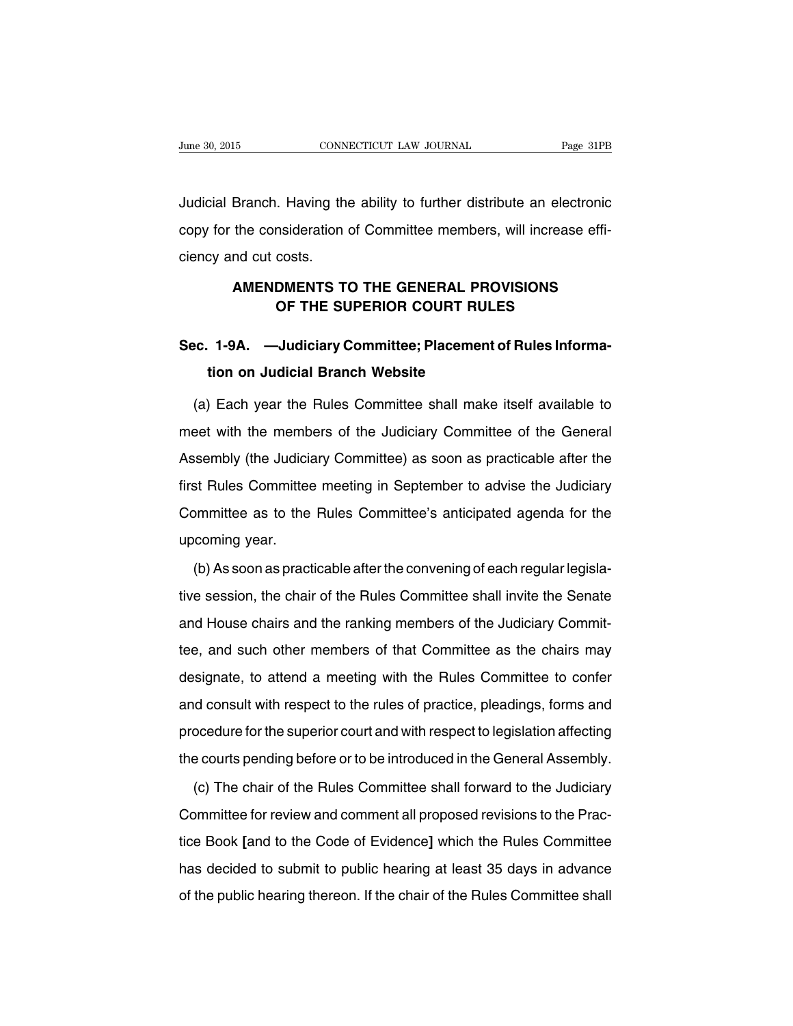Judicial Branch. Having the ability to further distribute an electronic copy for the consideration of Committee members, will increase efficiency and cut costs.

### **AMENDMENTS TO THE GENERAL PROVISIONS OF THE SUPERIOR COURT RULES**

## **Sec. 1-9A. —Judiciary Committee; Placement of Rules Information on Judicial Branch Website**

(a) Each year the Rules Committee shall make itself available to meet with the members of the Judiciary Committee of the General Assembly (the Judiciary Committee) as soon as practicable after the first Rules Committee meeting in September to advise the Judiciary Committee as to the Rules Committee's anticipated agenda for the upcoming year.

(b) As soon as practicable after the convening of each regular legislative session, the chair of the Rules Committee shall invite the Senate and House chairs and the ranking members of the Judiciary Committee, and such other members of that Committee as the chairs may designate, to attend a meeting with the Rules Committee to confer and consult with respect to the rules of practice, pleadings, forms and procedure for the superior court and with respect to legislation affecting the courts pending before or to be introduced in the General Assembly.

(c) The chair of the Rules Committee shall forward to the Judiciary Committee for review and comment all proposed revisions to the Practice Book **[**and to the Code of Evidence**]** which the Rules Committee has decided to submit to public hearing at least 35 days in advance of the public hearing thereon. If the chair of the Rules Committee shall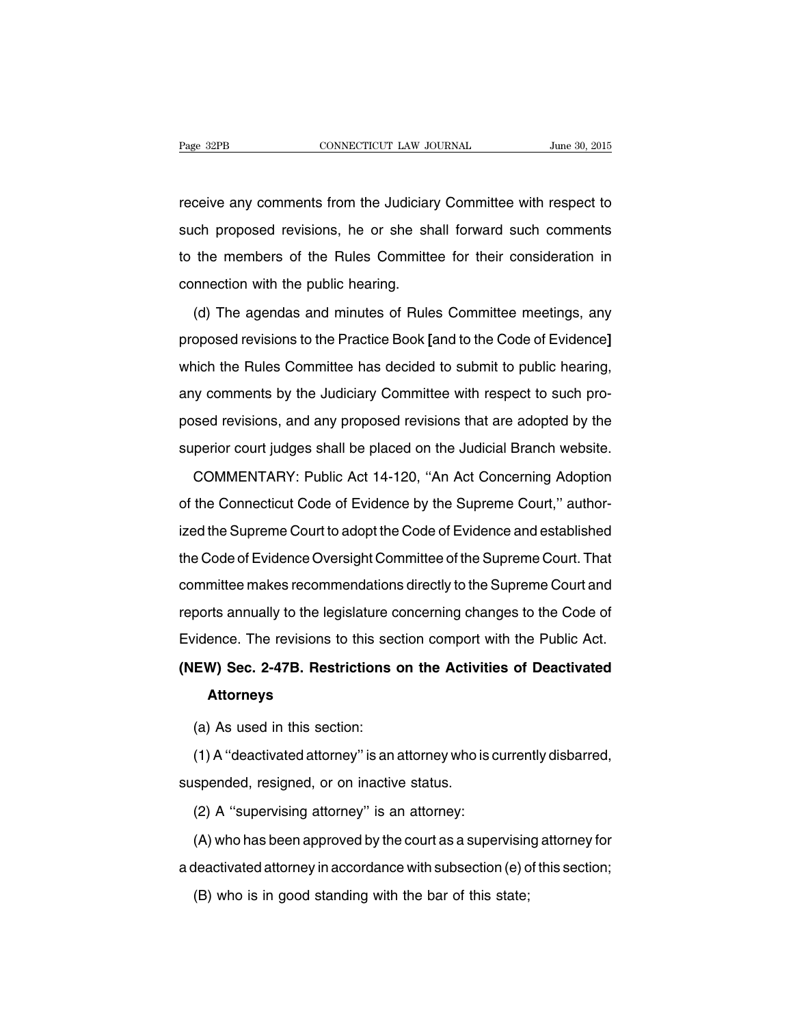receive any comments from the Judiciary Committee with respect to such proposed revisions, he or she shall forward such comments to the members of the Rules Committee for their consideration in connection with the public hearing.

(d) The agendas and minutes of Rules Committee meetings, any proposed revisions to the Practice Book **[**and to the Code of Evidence**]** which the Rules Committee has decided to submit to public hearing, any comments by the Judiciary Committee with respect to such proposed revisions, and any proposed revisions that are adopted by the superior court judges shall be placed on the Judicial Branch website.

COMMENTARY: Public Act 14-120, ''An Act Concerning Adoption of the Connecticut Code of Evidence by the Supreme Court,'' authorized the Supreme Court to adopt the Code of Evidence and established the Code of Evidence Oversight Committee of the Supreme Court. That committee makes recommendations directly to the Supreme Court and reports annually to the legislature concerning changes to the Code of Evidence. The revisions to this section comport with the Public Act.

# **(NEW) Sec. 2-47B. Restrictions on the Activities of Deactivated Attorneys**

(a) As used in this section:

(1) A ''deactivated attorney'' is an attorney who is currently disbarred, suspended, resigned, or on inactive status.

(2) A ''supervising attorney'' is an attorney:

(A) who has been approved by the court as a supervising attorney for a deactivated attorney in accordance with subsection (e) of this section;

(B) who is in good standing with the bar of this state;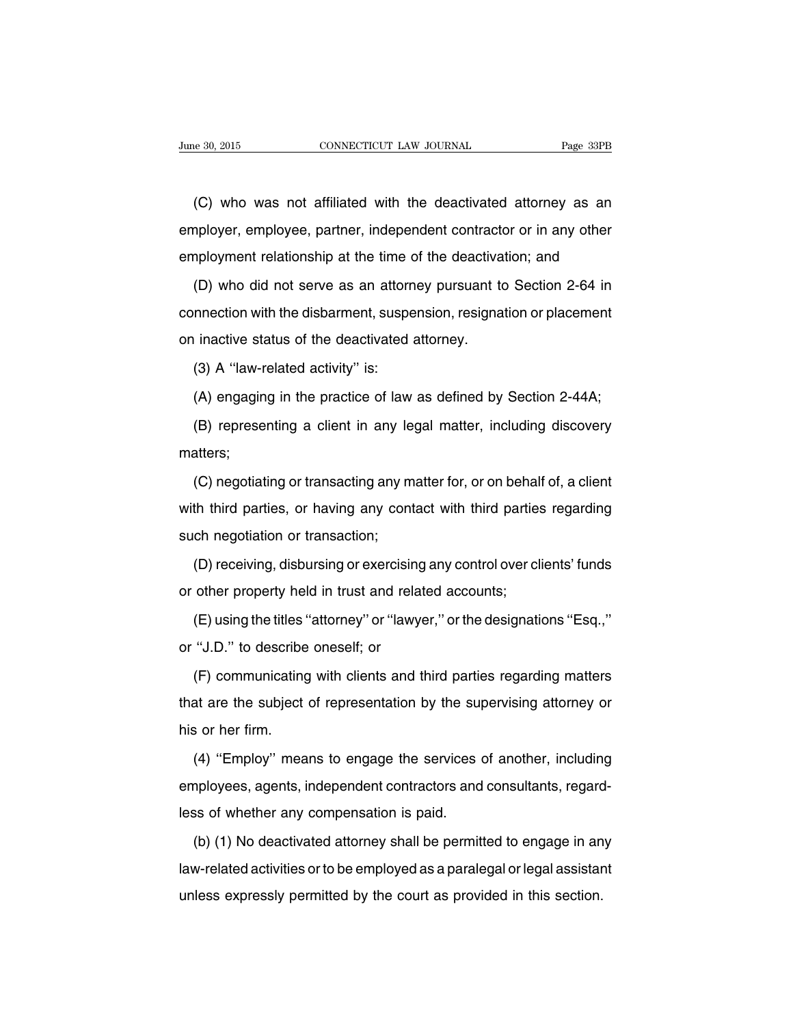(C) who was not affiliated with the deactivated attorney as an employer, employee, partner, independent contractor or in any other employment relationship at the time of the deactivation; and

(D) who did not serve as an attorney pursuant to Section 2-64 in connection with the disbarment, suspension, resignation or placement on inactive status of the deactivated attorney.

(3) A ''law-related activity'' is:

(A) engaging in the practice of law as defined by Section 2-44A;

(B) representing a client in any legal matter, including discovery matters;

(C) negotiating or transacting any matter for, or on behalf of, a client with third parties, or having any contact with third parties regarding such negotiation or transaction;

(D) receiving, disbursing or exercising any control over clients' funds or other property held in trust and related accounts;

(E) using the titles ''attorney'' or ''lawyer,'' or the designations ''Esq.,'' or ''J.D.'' to describe oneself; or

(F) communicating with clients and third parties regarding matters that are the subject of representation by the supervising attorney or his or her firm.

(4) ''Employ'' means to engage the services of another, including employees, agents, independent contractors and consultants, regardless of whether any compensation is paid.

(b) (1) No deactivated attorney shall be permitted to engage in any law-related activities or to be employed as a paralegal or legal assistant unless expressly permitted by the court as provided in this section.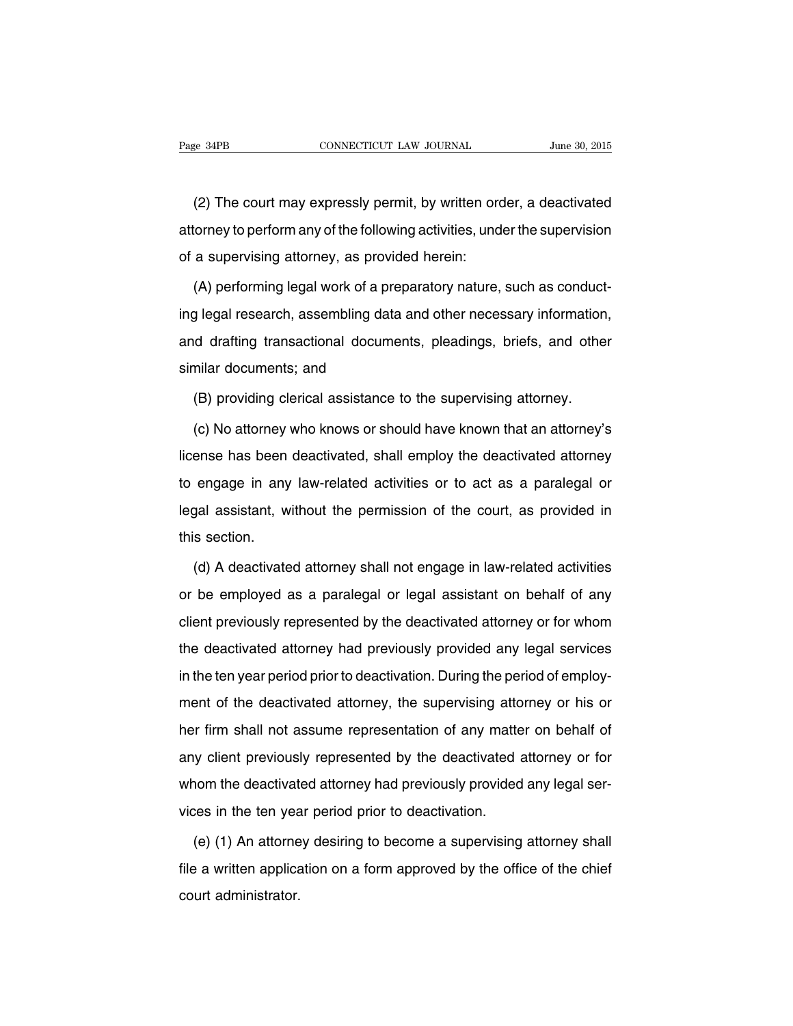(2) The court may expressly permit, by written order, a deactivated attorney to perform any of the following activities, under the supervision of a supervising attorney, as provided herein:

(A) performing legal work of a preparatory nature, such as conducting legal research, assembling data and other necessary information, and drafting transactional documents, pleadings, briefs, and other similar documents; and

(B) providing clerical assistance to the supervising attorney.

(c) No attorney who knows or should have known that an attorney's license has been deactivated, shall employ the deactivated attorney to engage in any law-related activities or to act as a paralegal or legal assistant, without the permission of the court, as provided in this section.

(d) A deactivated attorney shall not engage in law-related activities or be employed as a paralegal or legal assistant on behalf of any client previously represented by the deactivated attorney or for whom the deactivated attorney had previously provided any legal services in the ten year period prior to deactivation. During the period of employment of the deactivated attorney, the supervising attorney or his or her firm shall not assume representation of any matter on behalf of any client previously represented by the deactivated attorney or for whom the deactivated attorney had previously provided any legal services in the ten year period prior to deactivation.

(e) (1) An attorney desiring to become a supervising attorney shall file a written application on a form approved by the office of the chief court administrator.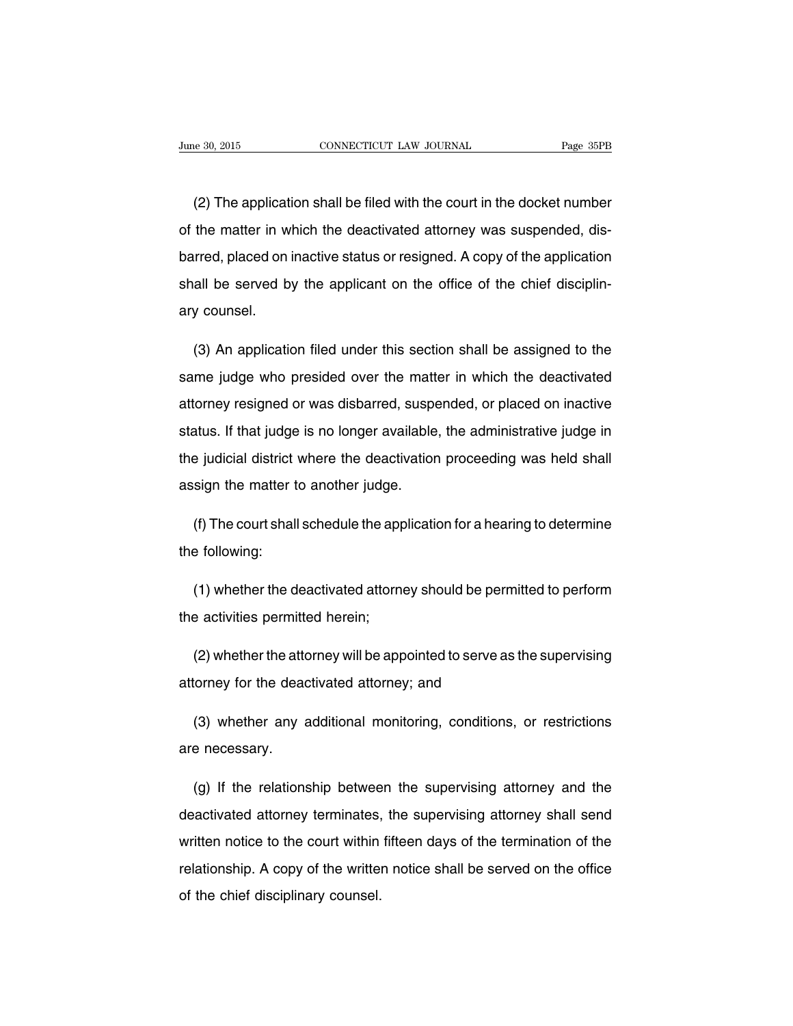(2) The application shall be filed with the court in the docket number of the matter in which the deactivated attorney was suspended, disbarred, placed on inactive status or resigned. A copy of the application shall be served by the applicant on the office of the chief disciplinary counsel.

(3) An application filed under this section shall be assigned to the same judge who presided over the matter in which the deactivated attorney resigned or was disbarred, suspended, or placed on inactive status. If that judge is no longer available, the administrative judge in the judicial district where the deactivation proceeding was held shall assign the matter to another judge.

(f) The court shall schedule the application for a hearing to determine the following:

(1) whether the deactivated attorney should be permitted to perform the activities permitted herein;

(2) whether the attorney will be appointed to serve as the supervising attorney for the deactivated attorney; and

(3) whether any additional monitoring, conditions, or restrictions are necessary.

(g) If the relationship between the supervising attorney and the deactivated attorney terminates, the supervising attorney shall send written notice to the court within fifteen days of the termination of the relationship. A copy of the written notice shall be served on the office of the chief disciplinary counsel.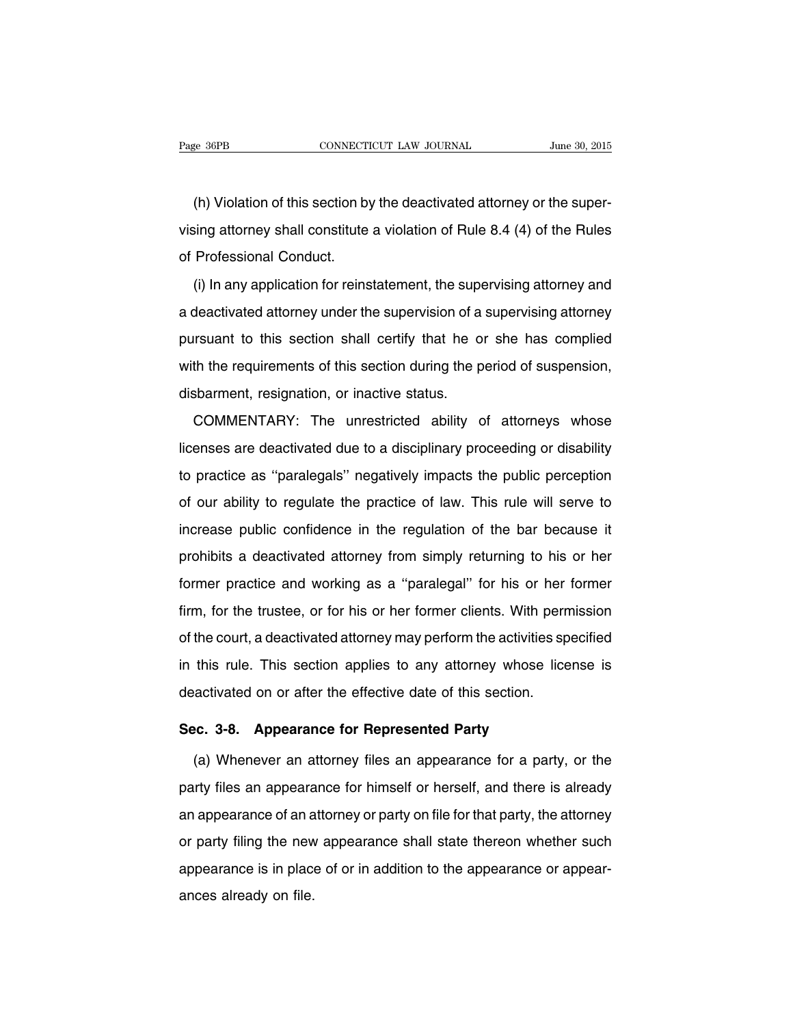(h) Violation of this section by the deactivated attorney or the supervising attorney shall constitute a violation of Rule 8.4 (4) of the Rules of Professional Conduct.

(i) In any application for reinstatement, the supervising attorney and a deactivated attorney under the supervision of a supervising attorney pursuant to this section shall certify that he or she has complied with the requirements of this section during the period of suspension, disbarment, resignation, or inactive status.

COMMENTARY: The unrestricted ability of attorneys whose licenses are deactivated due to a disciplinary proceeding or disability to practice as ''paralegals'' negatively impacts the public perception of our ability to regulate the practice of law. This rule will serve to increase public confidence in the regulation of the bar because it prohibits a deactivated attorney from simply returning to his or her former practice and working as a ''paralegal'' for his or her former firm, for the trustee, or for his or her former clients. With permission of the court, a deactivated attorney may perform the activities specified in this rule. This section applies to any attorney whose license is deactivated on or after the effective date of this section.

#### **Sec. 3-8. Appearance for Represented Party**

(a) Whenever an attorney files an appearance for a party, or the party files an appearance for himself or herself, and there is already an appearance of an attorney or party on file for that party, the attorney or party filing the new appearance shall state thereon whether such appearance is in place of or in addition to the appearance or appearances already on file.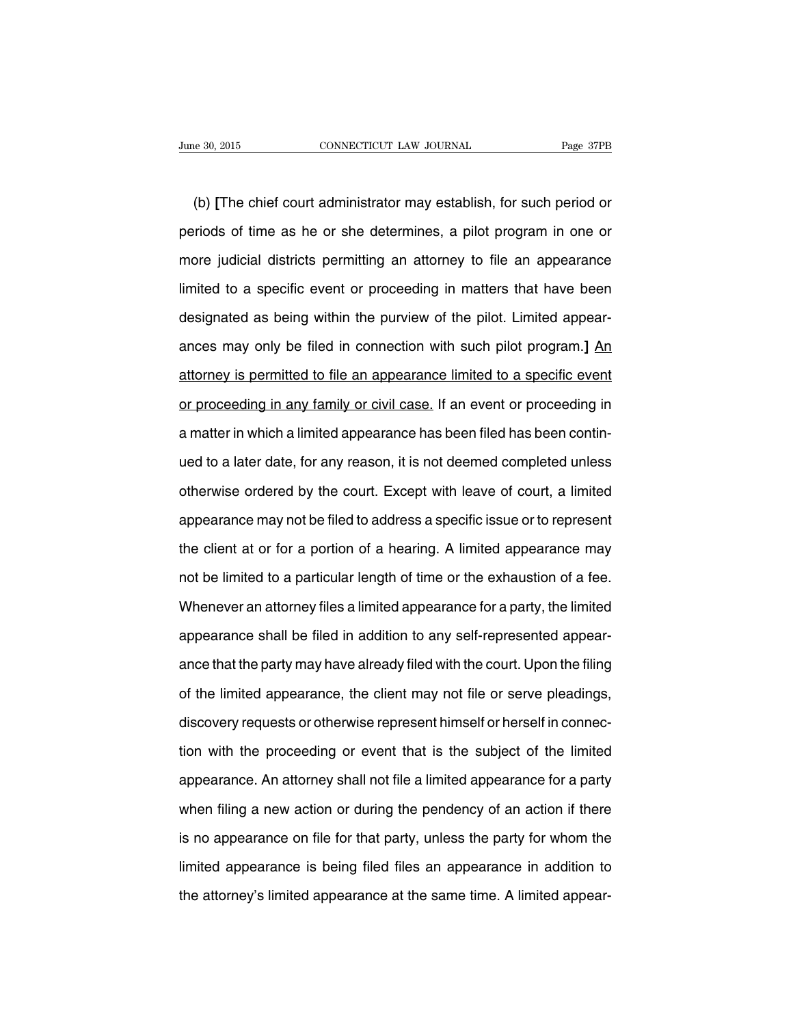(b) **[**The chief court administrator may establish, for such period or periods of time as he or she determines, a pilot program in one or more judicial districts permitting an attorney to file an appearance limited to a specific event or proceeding in matters that have been designated as being within the purview of the pilot. Limited appearances may only be filed in connection with such pilot program.**]** An attorney is permitted to file an appearance limited to a specific event or proceeding in any family or civil case. If an event or proceeding in a matter in which a limited appearance has been filed has been continued to a later date, for any reason, it is not deemed completed unless otherwise ordered by the court. Except with leave of court, a limited appearance may not be filed to address a specific issue or to represent the client at or for a portion of a hearing. A limited appearance may not be limited to a particular length of time or the exhaustion of a fee. Whenever an attorney files a limited appearance for a party, the limited appearance shall be filed in addition to any self-represented appearance that the party may have already filed with the court. Upon the filing of the limited appearance, the client may not file or serve pleadings, discovery requests or otherwise represent himself or herself in connection with the proceeding or event that is the subject of the limited appearance. An attorney shall not file a limited appearance for a party when filing a new action or during the pendency of an action if there is no appearance on file for that party, unless the party for whom the limited appearance is being filed files an appearance in addition to the attorney's limited appearance at the same time. A limited appear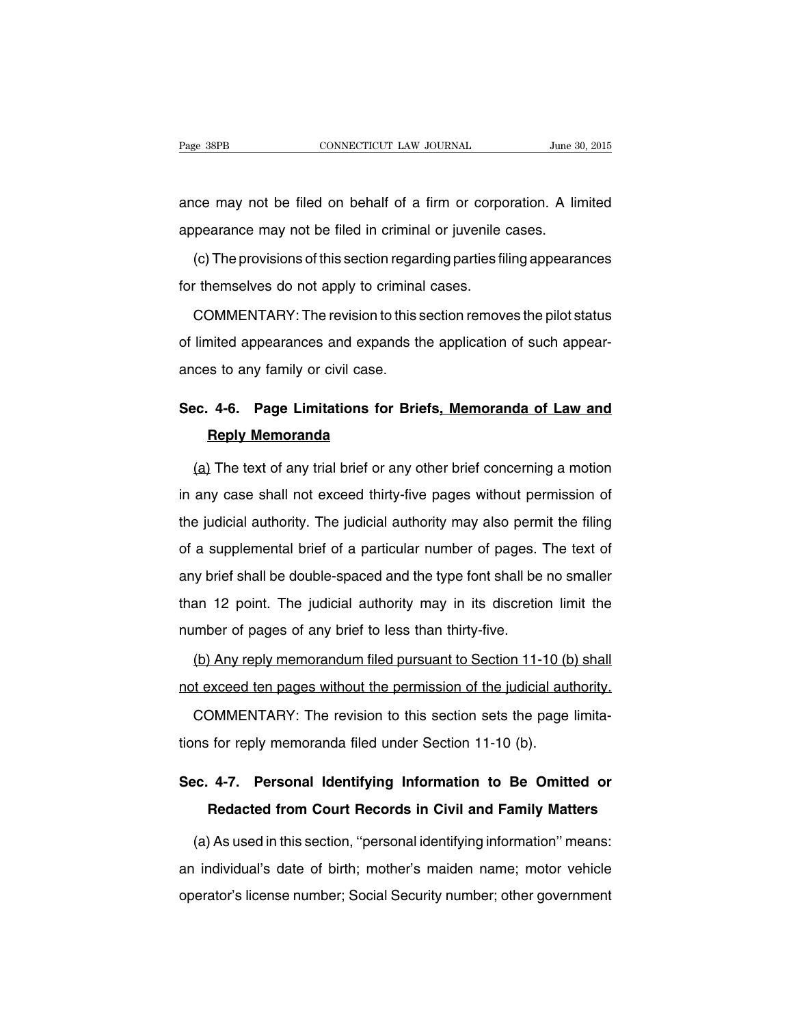ance may not be filed on behalf of a firm or corporation. A limited appearance may not be filed in criminal or juvenile cases.

(c) The provisions of this section regarding parties filing appearances for themselves do not apply to criminal cases.

COMMENTARY: The revision to this section removes the pilot status of limited appearances and expands the application of such appearances to any family or civil case.

# **Sec. 4-6. Page Limitations for Briefs, Memoranda of Law and Reply Memoranda**

(a) The text of any trial brief or any other brief concerning a motion in any case shall not exceed thirty-five pages without permission of the judicial authority. The judicial authority may also permit the filing of a supplemental brief of a particular number of pages. The text of any brief shall be double-spaced and the type font shall be no smaller than 12 point. The judicial authority may in its discretion limit the number of pages of any brief to less than thirty-five.

(b) Any reply memorandum filed pursuant to Section 11-10 (b) shall not exceed ten pages without the permission of the judicial authority.

COMMENTARY: The revision to this section sets the page limitations for reply memoranda filed under Section 11-10 (b).

## **Sec. 4-7. Personal Identifying Information to Be Omitted or Redacted from Court Records in Civil and Family Matters**

(a) As used in this section, ''personal identifying information'' means: an individual's date of birth; mother's maiden name; motor vehicle operator's license number; Social Security number; other government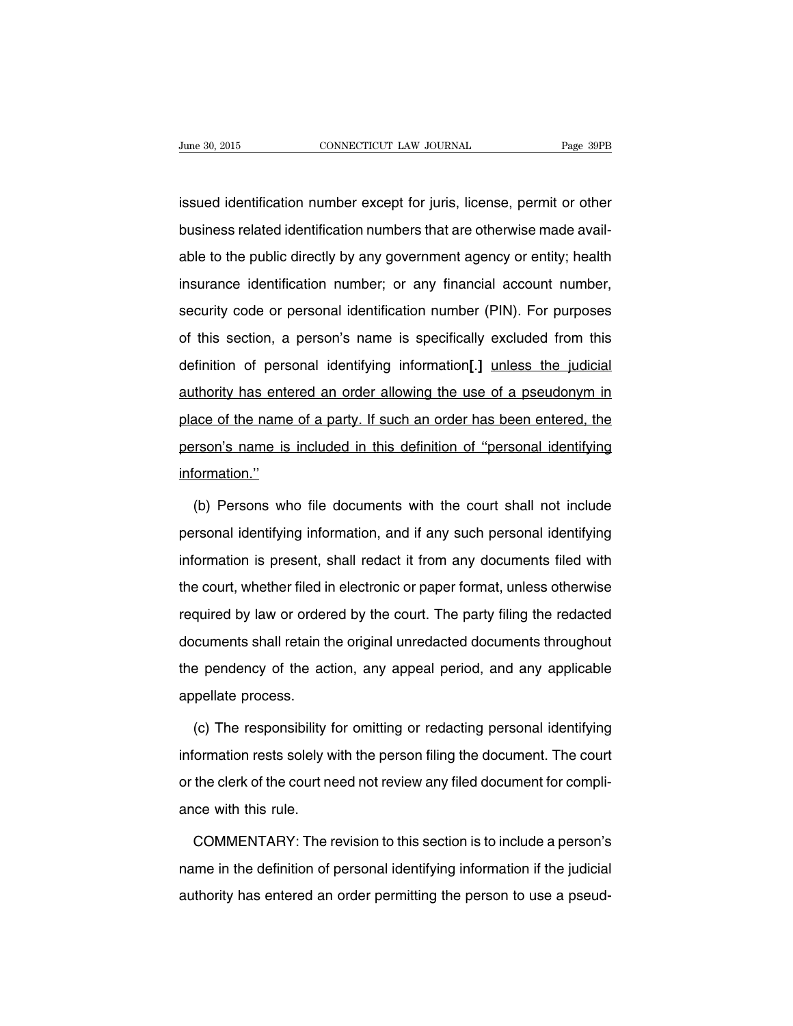issued identification number except for juris, license, permit or other business related identification numbers that are otherwise made available to the public directly by any government agency or entity; health insurance identification number; or any financial account number, security code or personal identification number (PIN). For purposes of this section, a person's name is specifically excluded from this definition of personal identifying information**[**.**]** unless the judicial authority has entered an order allowing the use of a pseudonym in place of the name of a party. If such an order has been entered, the person's name is included in this definition of ''personal identifying information.''

(b) Persons who file documents with the court shall not include personal identifying information, and if any such personal identifying information is present, shall redact it from any documents filed with the court, whether filed in electronic or paper format, unless otherwise required by law or ordered by the court. The party filing the redacted documents shall retain the original unredacted documents throughout the pendency of the action, any appeal period, and any applicable appellate process.

(c) The responsibility for omitting or redacting personal identifying information rests solely with the person filing the document. The court or the clerk of the court need not review any filed document for compliance with this rule.

COMMENTARY: The revision to this section is to include a person's name in the definition of personal identifying information if the judicial authority has entered an order permitting the person to use a pseud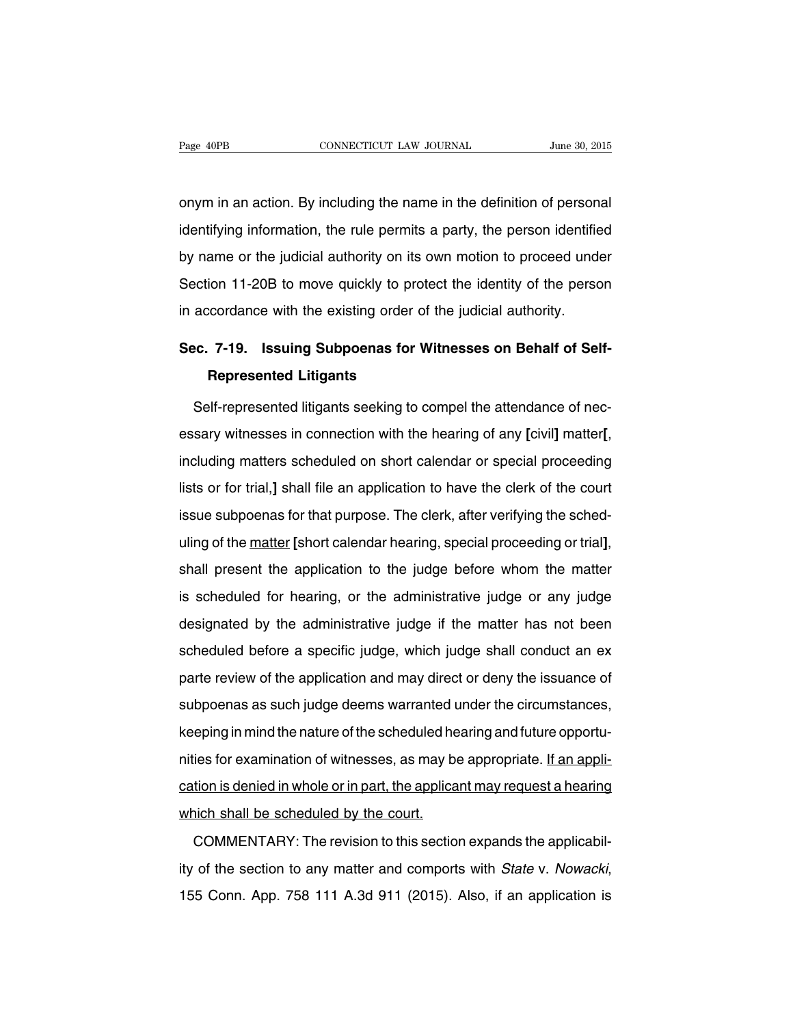onym in an action. By including the name in the definition of personal identifying information, the rule permits a party, the person identified by name or the judicial authority on its own motion to proceed under Section 11-20B to move quickly to protect the identity of the person in accordance with the existing order of the judicial authority.

# **Sec. 7-19. Issuing Subpoenas for Witnesses on Behalf of Self-Represented Litigants**

Self-represented litigants seeking to compel the attendance of necessary witnesses in connection with the hearing of any **[**civil**]** matter**[**, including matters scheduled on short calendar or special proceeding lists or for trial,**]** shall file an application to have the clerk of the court issue subpoenas for that purpose. The clerk, after verifying the scheduling of the matter **[**short calendar hearing, special proceeding or trial**]**, shall present the application to the judge before whom the matter is scheduled for hearing, or the administrative judge or any judge designated by the administrative judge if the matter has not been scheduled before a specific judge, which judge shall conduct an ex parte review of the application and may direct or deny the issuance of subpoenas as such judge deems warranted under the circumstances, keeping in mind the nature of the scheduled hearing and future opportunities for examination of witnesses, as may be appropriate. If an application is denied in whole or in part, the applicant may request a hearing which shall be scheduled by the court.

COMMENTARY: The revision to this section expands the applicability of the section to any matter and comports with State v. Nowacki, 155 Conn. App. 758 111 A.3d 911 (2015). Also, if an application is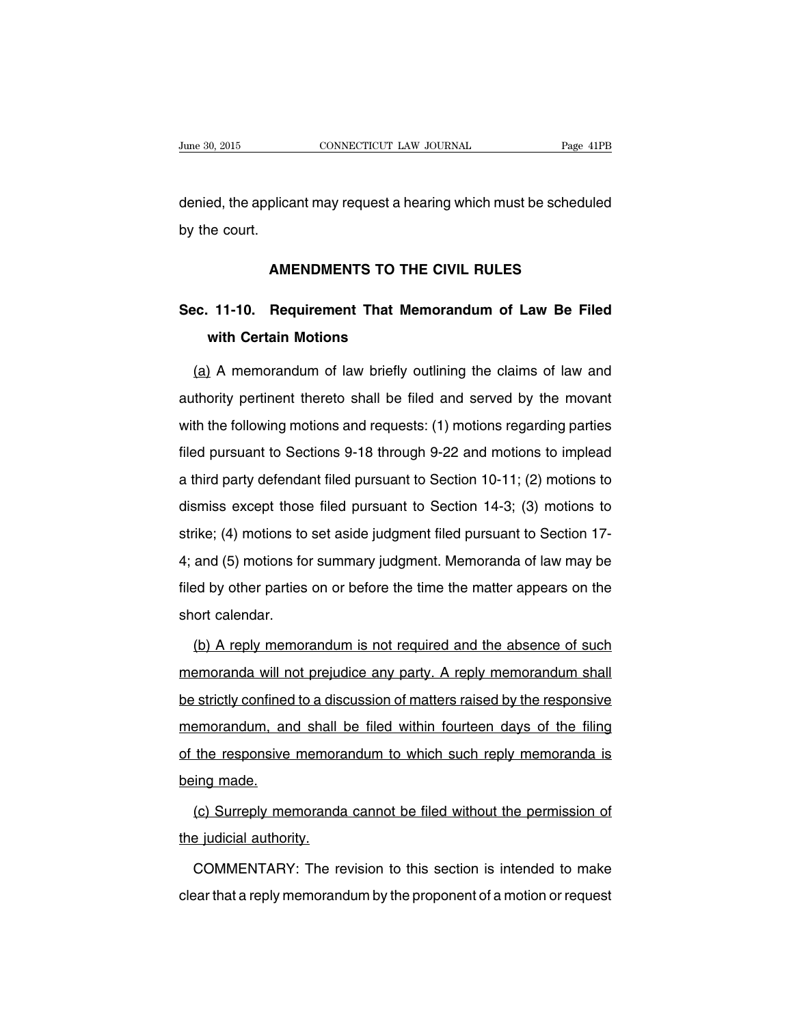denied, the applicant may request a hearing which must be scheduled by the court.

### **AMENDMENTS TO THE CIVIL RULES**

# **Sec. 11-10. Requirement That Memorandum of Law Be Filed with Certain Motions**

(a) A memorandum of law briefly outlining the claims of law and authority pertinent thereto shall be filed and served by the movant with the following motions and requests: (1) motions regarding parties filed pursuant to Sections 9-18 through 9-22 and motions to implead a third party defendant filed pursuant to Section 10-11; (2) motions to dismiss except those filed pursuant to Section 14-3; (3) motions to strike; (4) motions to set aside judgment filed pursuant to Section 17- 4; and (5) motions for summary judgment. Memoranda of law may be filed by other parties on or before the time the matter appears on the short calendar.

(b) A reply memorandum is not required and the absence of such memoranda will not prejudice any party. A reply memorandum shall be strictly confined to a discussion of matters raised by the responsive memorandum, and shall be filed within fourteen days of the filing of the responsive memorandum to which such reply memoranda is being made.

(c) Surreply memoranda cannot be filed without the permission of the judicial authority.

COMMENTARY: The revision to this section is intended to make clear that a reply memorandum by the proponent of a motion or request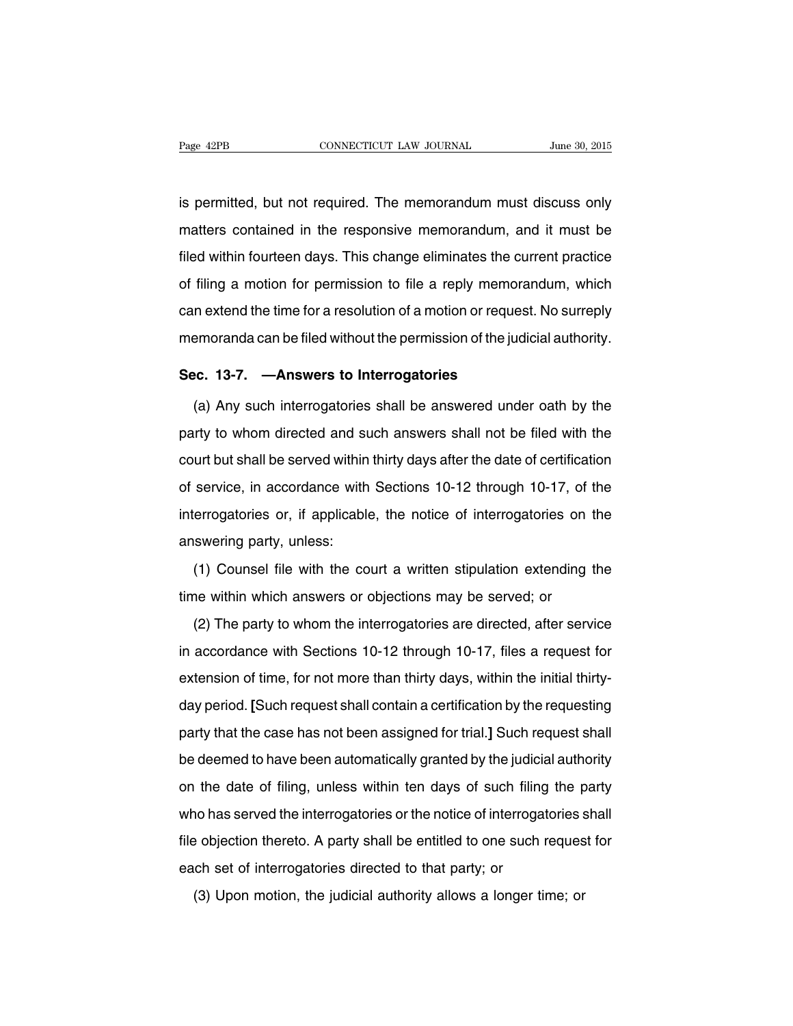is permitted, but not required. The memorandum must discuss only matters contained in the responsive memorandum, and it must be filed within fourteen days. This change eliminates the current practice of filing a motion for permission to file a reply memorandum, which can extend the time for a resolution of a motion or request. No surreply memoranda can be filed without the permission of the judicial authority.

#### **Sec. 13-7. —Answers to Interrogatories**

(a) Any such interrogatories shall be answered under oath by the party to whom directed and such answers shall not be filed with the court but shall be served within thirty days after the date of certification of service, in accordance with Sections 10-12 through 10-17, of the interrogatories or, if applicable, the notice of interrogatories on the answering party, unless:

(1) Counsel file with the court a written stipulation extending the time within which answers or objections may be served; or

(2) The party to whom the interrogatories are directed, after service in accordance with Sections 10-12 through 10-17, files a request for extension of time, for not more than thirty days, within the initial thirtyday period. **[**Such request shall contain a certification by the requesting party that the case has not been assigned for trial.**]** Such request shall be deemed to have been automatically granted by the judicial authority on the date of filing, unless within ten days of such filing the party who has served the interrogatories or the notice of interrogatories shall file objection thereto. A party shall be entitled to one such request for each set of interrogatories directed to that party; or

(3) Upon motion, the judicial authority allows a longer time; or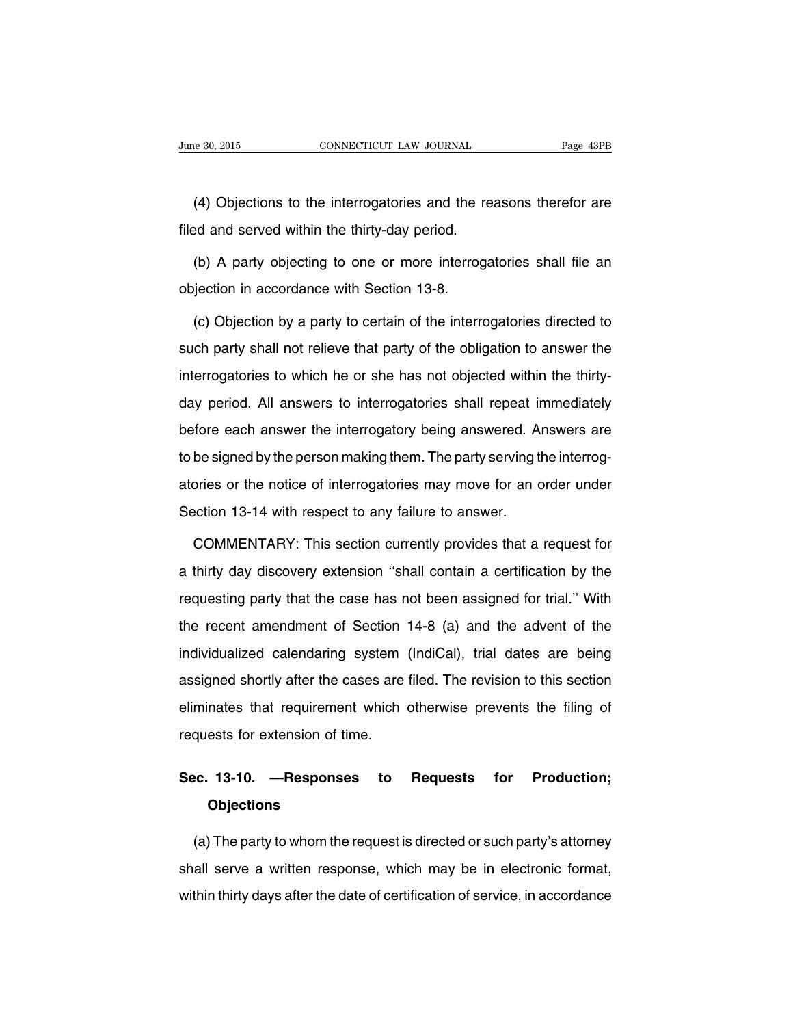(4) Objections to the interrogatories and the reasons therefor are filed and served within the thirty-day period.

(b) A party objecting to one or more interrogatories shall file an objection in accordance with Section 13-8.

(c) Objection by a party to certain of the interrogatories directed to such party shall not relieve that party of the obligation to answer the interrogatories to which he or she has not objected within the thirtyday period. All answers to interrogatories shall repeat immediately before each answer the interrogatory being answered. Answers are to be signed by the person making them. The party serving the interrogatories or the notice of interrogatories may move for an order under Section 13-14 with respect to any failure to answer.

COMMENTARY: This section currently provides that a request for a thirty day discovery extension ''shall contain a certification by the requesting party that the case has not been assigned for trial.'' With the recent amendment of Section 14-8 (a) and the advent of the individualized calendaring system (IndiCal), trial dates are being assigned shortly after the cases are filed. The revision to this section eliminates that requirement which otherwise prevents the filing of requests for extension of time.

# **Sec. 13-10. —Responses to Requests for Production; Objections**

(a) The party to whom the request is directed or such party's attorney shall serve a written response, which may be in electronic format, within thirty days after the date of certification of service, in accordance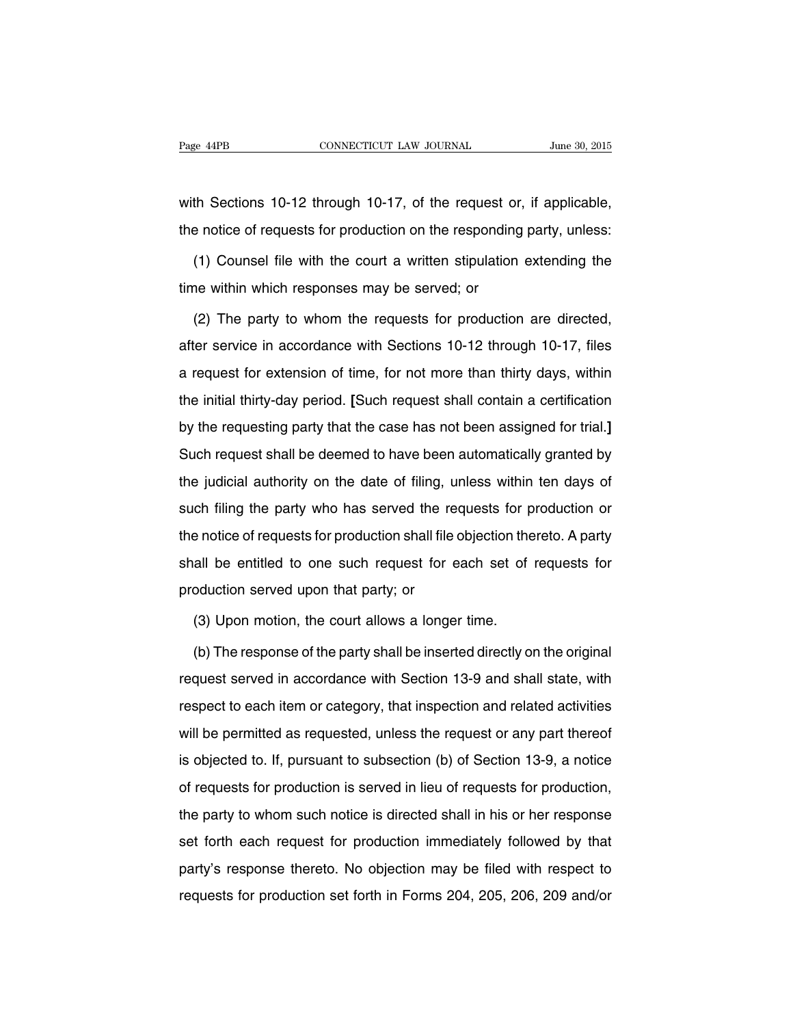with Sections 10-12 through 10-17, of the request or, if applicable, the notice of requests for production on the responding party, unless:

(1) Counsel file with the court a written stipulation extending the time within which responses may be served; or

(2) The party to whom the requests for production are directed, after service in accordance with Sections 10-12 through 10-17, files a request for extension of time, for not more than thirty days, within the initial thirty-day period. **[**Such request shall contain a certification by the requesting party that the case has not been assigned for trial.**]** Such request shall be deemed to have been automatically granted by the judicial authority on the date of filing, unless within ten days of such filing the party who has served the requests for production or the notice of requests for production shall file objection thereto. A party shall be entitled to one such request for each set of requests for production served upon that party; or

(3) Upon motion, the court allows a longer time.

(b) The response of the party shall be inserted directly on the original request served in accordance with Section 13-9 and shall state, with respect to each item or category, that inspection and related activities will be permitted as requested, unless the request or any part thereof is objected to. If, pursuant to subsection (b) of Section 13-9, a notice of requests for production is served in lieu of requests for production, the party to whom such notice is directed shall in his or her response set forth each request for production immediately followed by that party's response thereto. No objection may be filed with respect to requests for production set forth in Forms 204, 205, 206, 209 and/or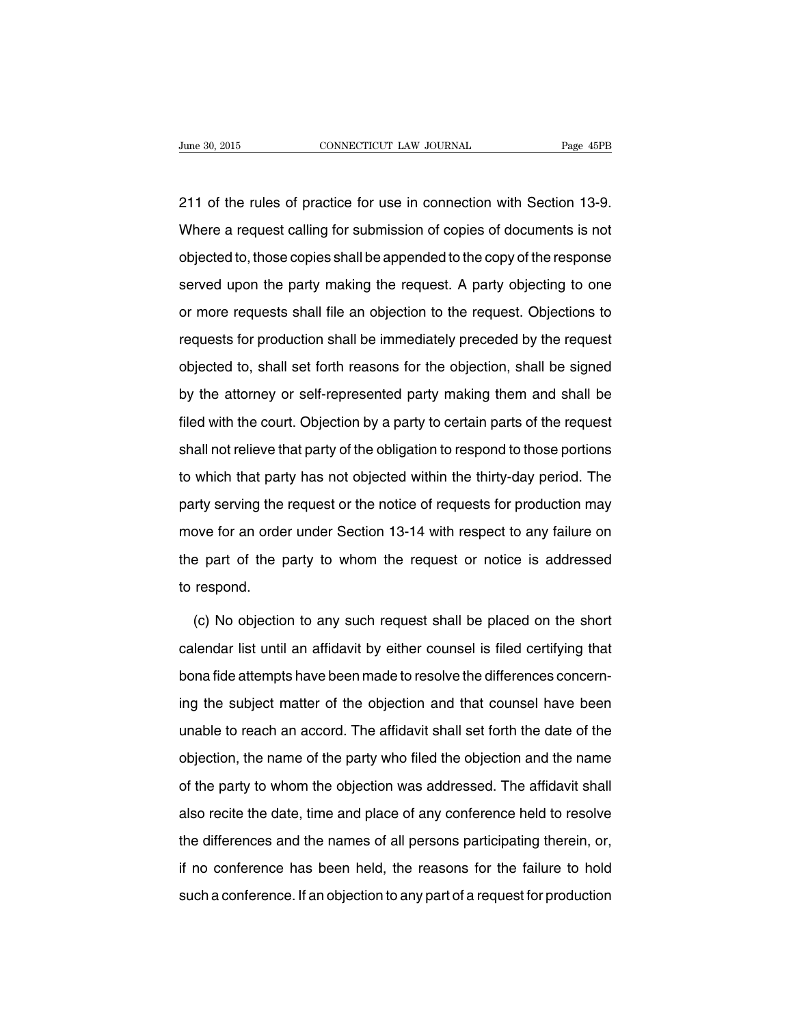211 of the rules of practice for use in connection with Section 13-9. Where a request calling for submission of copies of documents is not objected to, those copies shall be appended to the copy of the response served upon the party making the request. A party objecting to one or more requests shall file an objection to the request. Objections to requests for production shall be immediately preceded by the request objected to, shall set forth reasons for the objection, shall be signed by the attorney or self-represented party making them and shall be filed with the court. Objection by a party to certain parts of the request shall not relieve that party of the obligation to respond to those portions to which that party has not objected within the thirty-day period. The party serving the request or the notice of requests for production may move for an order under Section 13-14 with respect to any failure on the part of the party to whom the request or notice is addressed to respond.

(c) No objection to any such request shall be placed on the short calendar list until an affidavit by either counsel is filed certifying that bona fide attempts have been made to resolve the differences concerning the subject matter of the objection and that counsel have been unable to reach an accord. The affidavit shall set forth the date of the objection, the name of the party who filed the objection and the name of the party to whom the objection was addressed. The affidavit shall also recite the date, time and place of any conference held to resolve the differences and the names of all persons participating therein, or, if no conference has been held, the reasons for the failure to hold such a conference. If an objection to any part of a request for production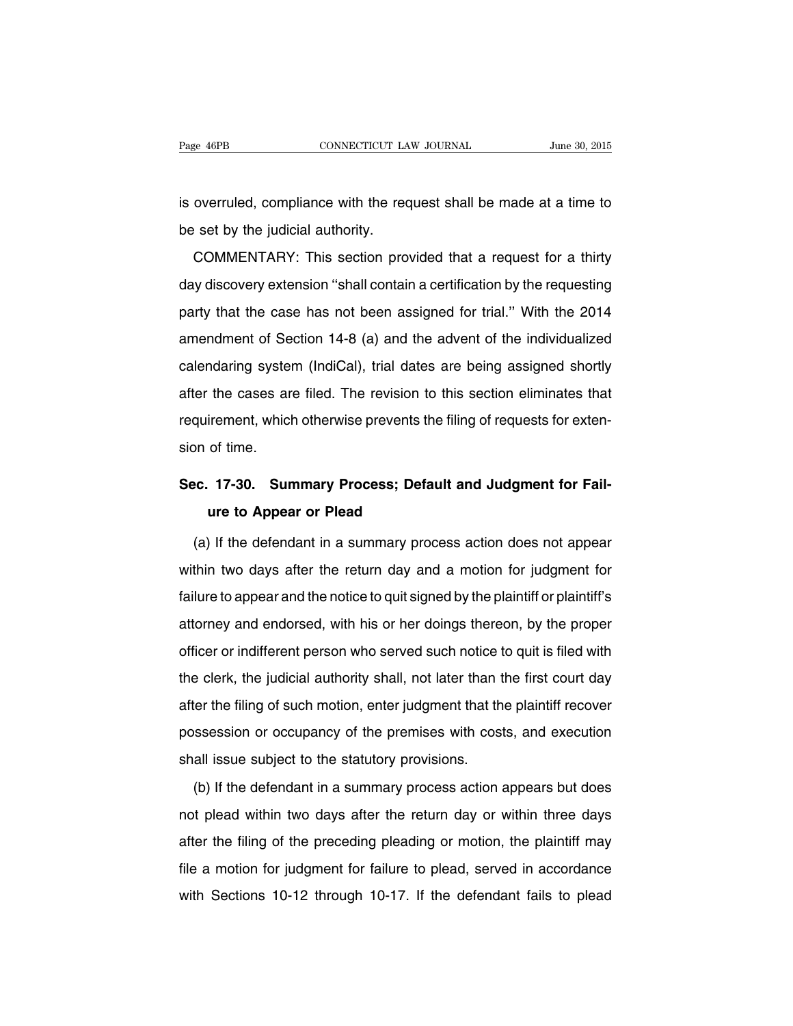is overruled, compliance with the request shall be made at a time to be set by the judicial authority.

COMMENTARY: This section provided that a request for a thirty day discovery extension ''shall contain a certification by the requesting party that the case has not been assigned for trial.'' With the 2014 amendment of Section 14-8 (a) and the advent of the individualized calendaring system (IndiCal), trial dates are being assigned shortly after the cases are filed. The revision to this section eliminates that requirement, which otherwise prevents the filing of requests for extension of time.

# **Sec. 17-30. Summary Process; Default and Judgment for Failure to Appear or Plead**

(a) If the defendant in a summary process action does not appear within two days after the return day and a motion for judgment for failure to appear and the notice to quit signed by the plaintiff or plaintiff's attorney and endorsed, with his or her doings thereon, by the proper officer or indifferent person who served such notice to quit is filed with the clerk, the judicial authority shall, not later than the first court day after the filing of such motion, enter judgment that the plaintiff recover possession or occupancy of the premises with costs, and execution shall issue subject to the statutory provisions.

(b) If the defendant in a summary process action appears but does not plead within two days after the return day or within three days after the filing of the preceding pleading or motion, the plaintiff may file a motion for judgment for failure to plead, served in accordance with Sections 10-12 through 10-17. If the defendant fails to plead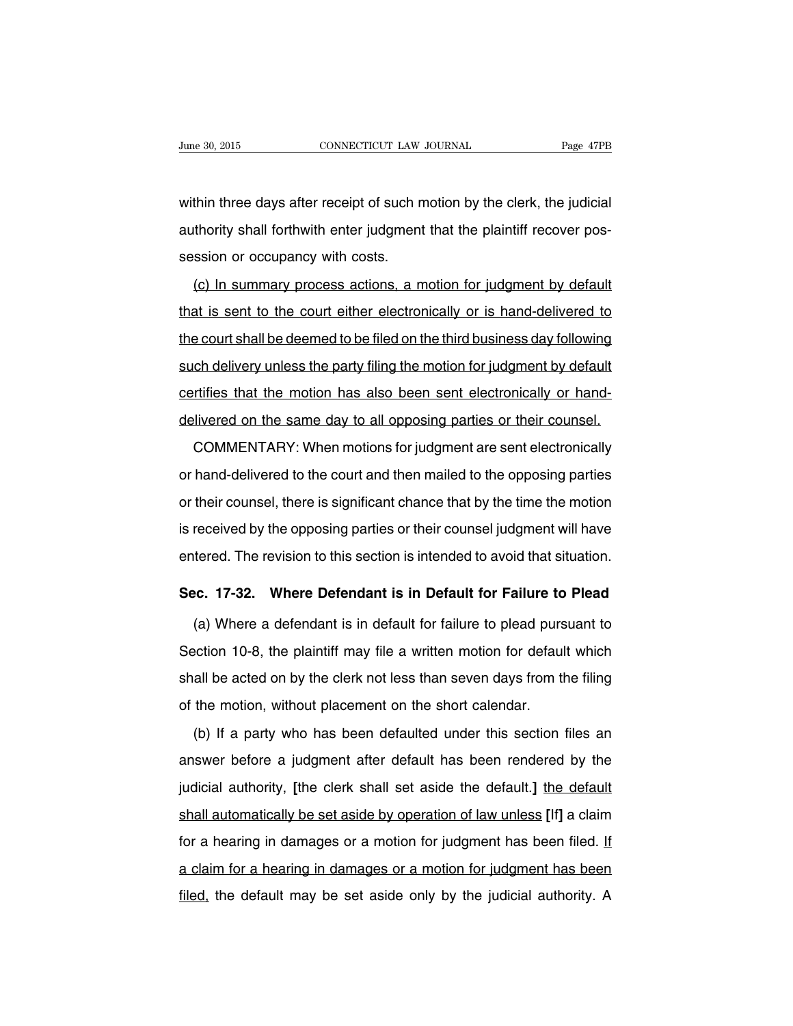within three days after receipt of such motion by the clerk, the judicial authority shall forthwith enter judgment that the plaintiff recover possession or occupancy with costs.

(c) In summary process actions, a motion for judgment by default that is sent to the court either electronically or is hand-delivered to the court shall be deemed to be filed on the third business day following such delivery unless the party filing the motion for judgment by default certifies that the motion has also been sent electronically or handdelivered on the same day to all opposing parties or their counsel.

COMMENTARY: When motions for judgment are sent electronically or hand-delivered to the court and then mailed to the opposing parties or their counsel, there is significant chance that by the time the motion is received by the opposing parties or their counsel judgment will have entered. The revision to this section is intended to avoid that situation.

#### **Sec. 17-32. Where Defendant is in Default for Failure to Plead**

(a) Where a defendant is in default for failure to plead pursuant to Section 10-8, the plaintiff may file a written motion for default which shall be acted on by the clerk not less than seven days from the filing of the motion, without placement on the short calendar.

(b) If a party who has been defaulted under this section files an answer before a judgment after default has been rendered by the judicial authority, **[**the clerk shall set aside the default.**]** the default shall automatically be set aside by operation of law unless **[**If**]** a claim for a hearing in damages or a motion for judgment has been filed. If a claim for a hearing in damages or a motion for judgment has been filed, the default may be set aside only by the judicial authority. A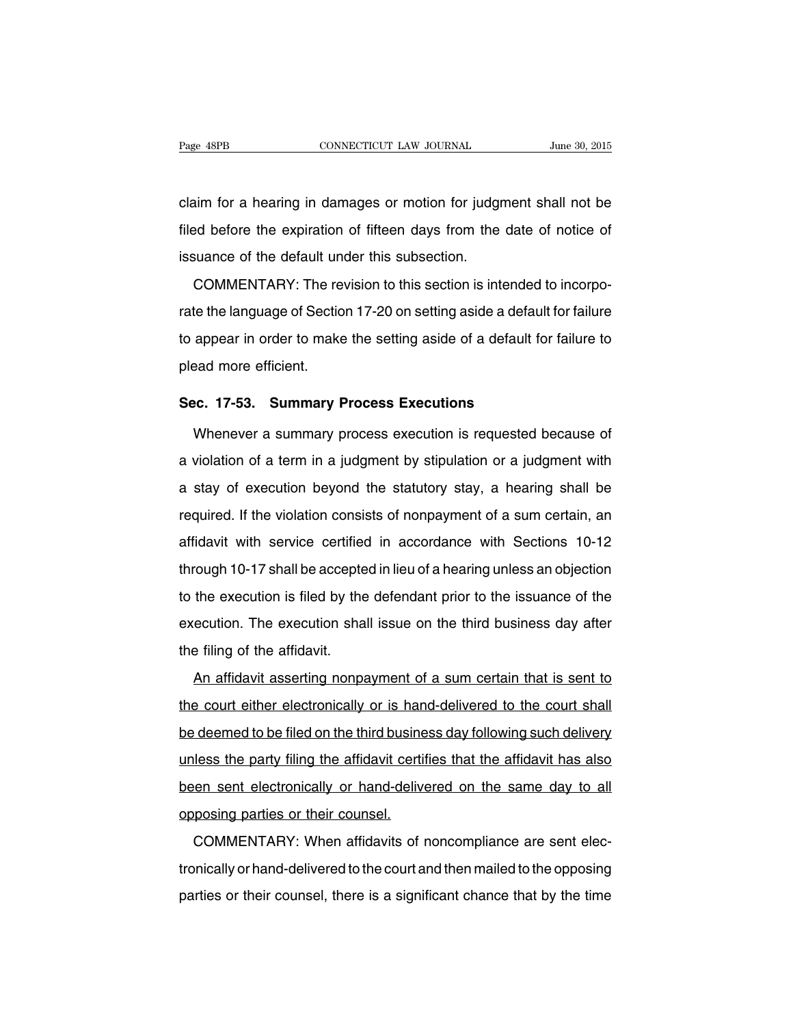claim for a hearing in damages or motion for judgment shall not be filed before the expiration of fifteen days from the date of notice of issuance of the default under this subsection.

COMMENTARY: The revision to this section is intended to incorporate the language of Section 17-20 on setting aside a default for failure to appear in order to make the setting aside of a default for failure to plead more efficient.

#### **Sec. 17-53. Summary Process Executions**

Whenever a summary process execution is requested because of a violation of a term in a judgment by stipulation or a judgment with a stay of execution beyond the statutory stay, a hearing shall be required. If the violation consists of nonpayment of a sum certain, an affidavit with service certified in accordance with Sections 10-12 through 10-17 shall be accepted in lieu of a hearing unless an objection to the execution is filed by the defendant prior to the issuance of the execution. The execution shall issue on the third business day after the filing of the affidavit.

An affidavit asserting nonpayment of a sum certain that is sent to the court either electronically or is hand-delivered to the court shall be deemed to be filed on the third business day following such delivery unless the party filing the affidavit certifies that the affidavit has also been sent electronically or hand-delivered on the same day to all opposing parties or their counsel.

COMMENTARY: When affidavits of noncompliance are sent electronically or hand-delivered to the court and then mailed to the opposing parties or their counsel, there is a significant chance that by the time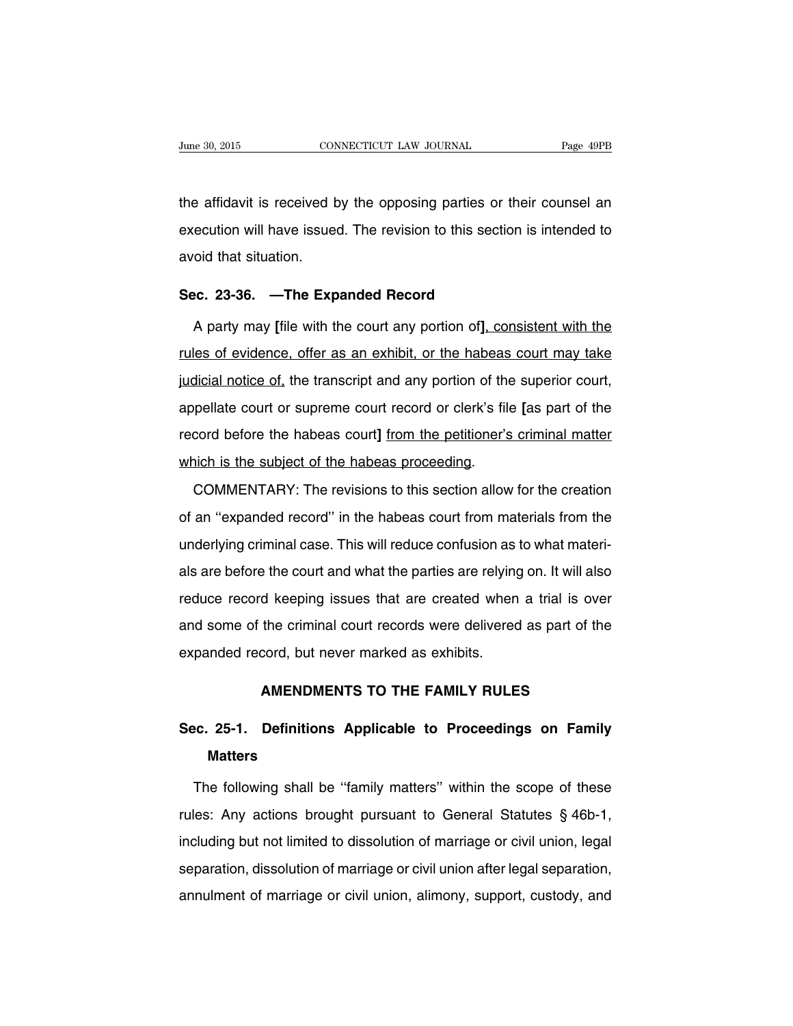the affidavit is received by the opposing parties or their counsel an execution will have issued. The revision to this section is intended to avoid that situation.

#### **Sec. 23-36. —The Expanded Record**

A party may **[**file with the court any portion of**]**, consistent with the rules of evidence, offer as an exhibit, or the habeas court may take judicial notice of, the transcript and any portion of the superior court, appellate court or supreme court record or clerk's file **[**as part of the record before the habeas court**]** from the petitioner's criminal matter which is the subject of the habeas proceeding.

COMMENTARY: The revisions to this section allow for the creation of an ''expanded record'' in the habeas court from materials from the underlying criminal case. This will reduce confusion as to what materials are before the court and what the parties are relying on. It will also reduce record keeping issues that are created when a trial is over and some of the criminal court records were delivered as part of the expanded record, but never marked as exhibits.

### **AMENDMENTS TO THE FAMILY RULES**

# **Sec. 25-1. Definitions Applicable to Proceedings on Family Matters**

The following shall be ''family matters'' within the scope of these rules: Any actions brought pursuant to General Statutes § 46b-1, including but not limited to dissolution of marriage or civil union, legal separation, dissolution of marriage or civil union after legal separation, annulment of marriage or civil union, alimony, support, custody, and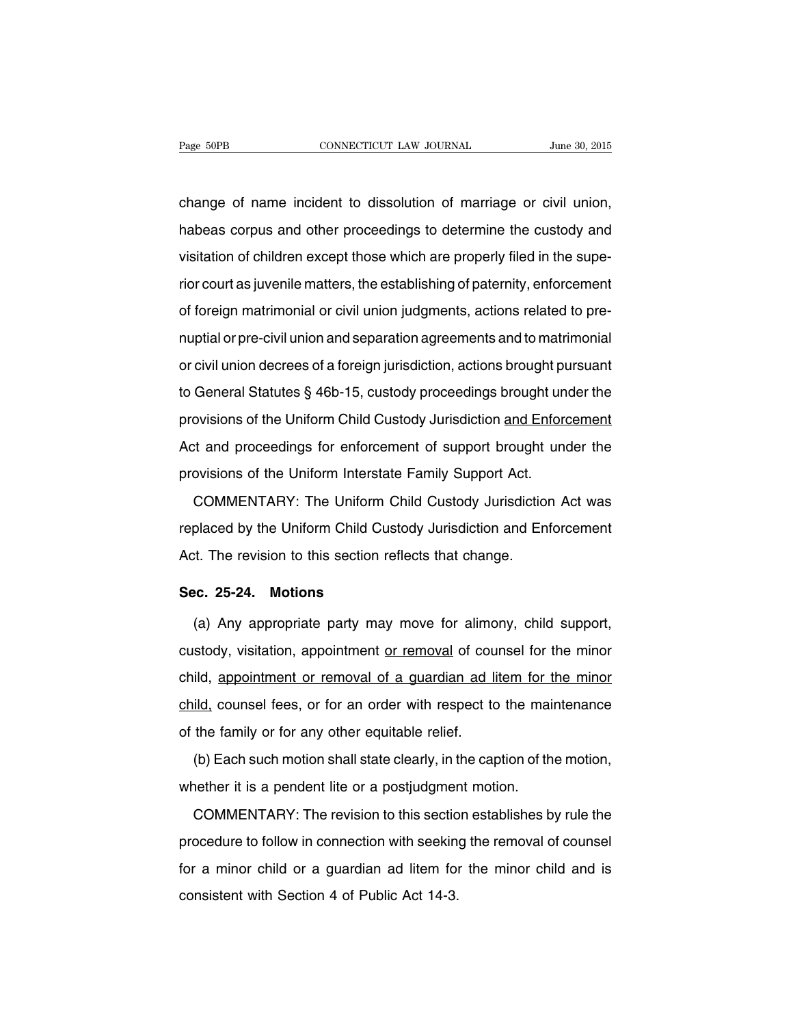change of name incident to dissolution of marriage or civil union, habeas corpus and other proceedings to determine the custody and visitation of children except those which are properly filed in the superior court as juvenile matters, the establishing of paternity, enforcement of foreign matrimonial or civil union judgments, actions related to prenuptial or pre-civil union and separation agreements and to matrimonial or civil union decrees of a foreign jurisdiction, actions brought pursuant to General Statutes § 46b-15, custody proceedings brought under the provisions of the Uniform Child Custody Jurisdiction and Enforcement Act and proceedings for enforcement of support brought under the provisions of the Uniform Interstate Family Support Act.

COMMENTARY: The Uniform Child Custody Jurisdiction Act was replaced by the Uniform Child Custody Jurisdiction and Enforcement Act. The revision to this section reflects that change.

#### **Sec. 25-24. Motions**

(a) Any appropriate party may move for alimony, child support, custody, visitation, appointment or removal of counsel for the minor child, appointment or removal of a guardian ad litem for the minor child, counsel fees, or for an order with respect to the maintenance of the family or for any other equitable relief.

(b) Each such motion shall state clearly, in the caption of the motion, whether it is a pendent lite or a postjudgment motion.

COMMENTARY: The revision to this section establishes by rule the procedure to follow in connection with seeking the removal of counsel for a minor child or a guardian ad litem for the minor child and is consistent with Section 4 of Public Act 14-3.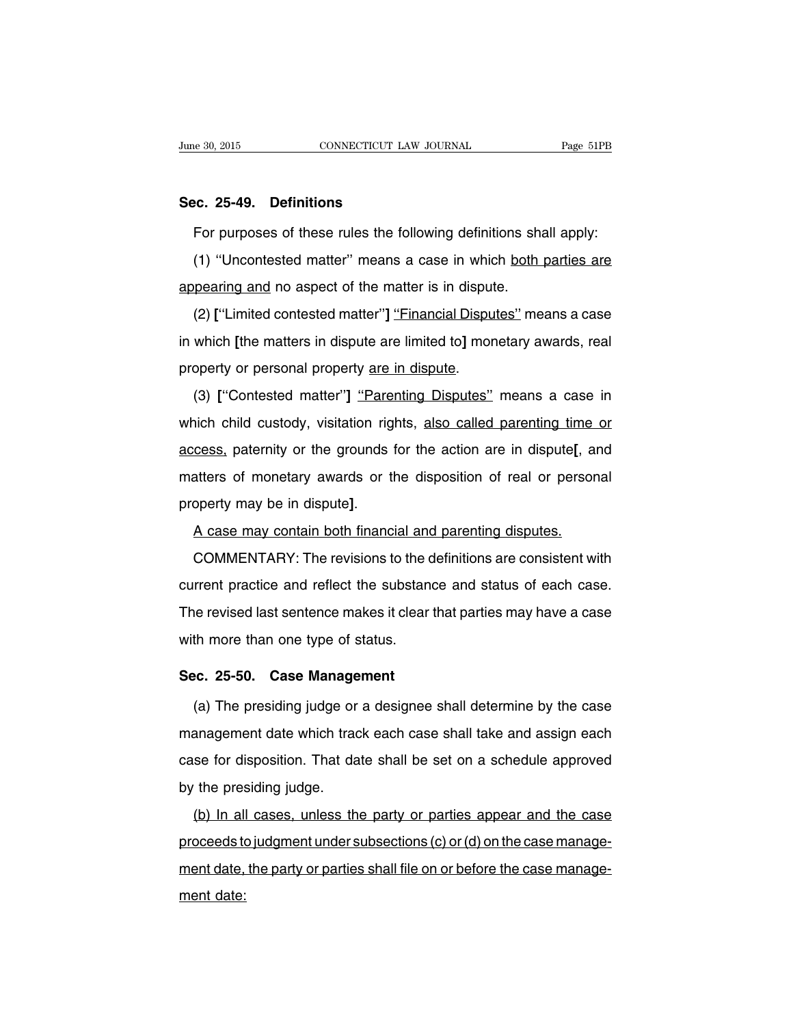#### **Sec. 25-49. Definitions**

For purposes of these rules the following definitions shall apply:

(1) ''Uncontested matter'' means a case in which both parties are appearing and no aspect of the matter is in dispute.

(2) **[**''Limited contested matter''**]** ''Financial Disputes'' means a case in which **[**the matters in dispute are limited to**]** monetary awards, real property or personal property are in dispute.

(3) **[**''Contested matter''**]** ''Parenting Disputes'' means a case in which child custody, visitation rights, also called parenting time or access, paternity or the grounds for the action are in dispute**[**, and matters of monetary awards or the disposition of real or personal property may be in dispute**]**.

A case may contain both financial and parenting disputes.

COMMENTARY: The revisions to the definitions are consistent with current practice and reflect the substance and status of each case. The revised last sentence makes it clear that parties may have a case with more than one type of status.

#### **Sec. 25-50. Case Management**

(a) The presiding judge or a designee shall determine by the case management date which track each case shall take and assign each case for disposition. That date shall be set on a schedule approved by the presiding judge.

(b) In all cases, unless the party or parties appear and the case proceeds to judgment under subsections (c) or (d) on the case management date, the party or parties shall file on or before the case management date: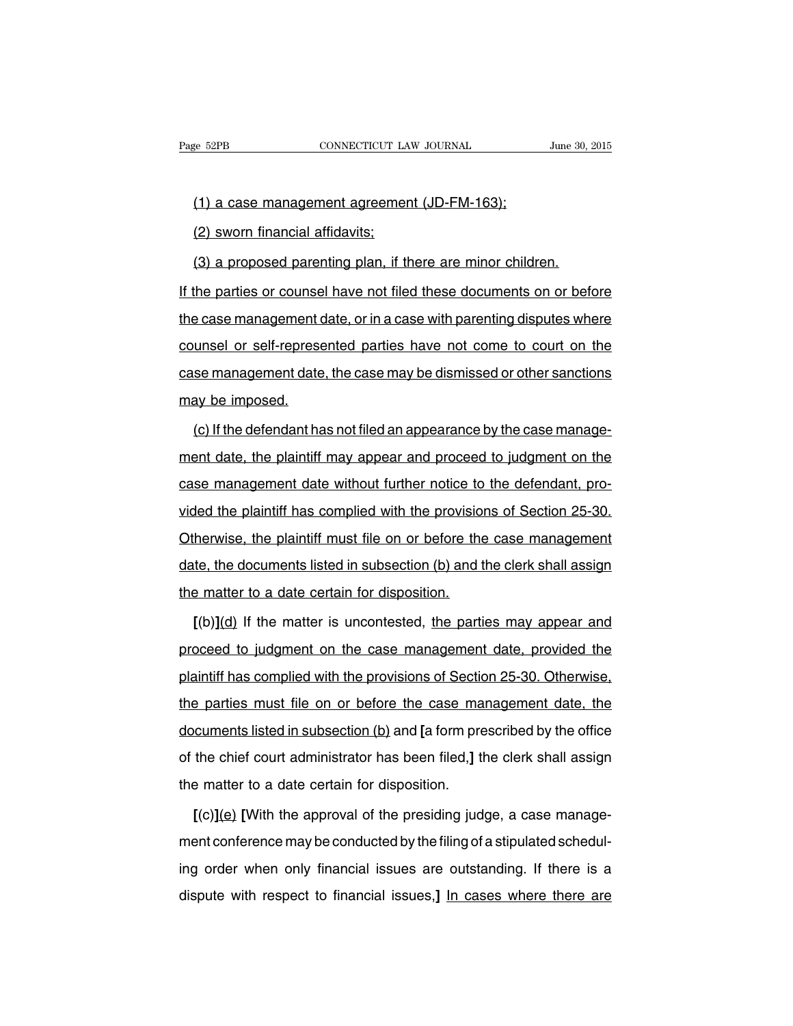(1) a case management agreement (JD-FM-163);

(2) sworn financial affidavits;

(3) a proposed parenting plan, if there are minor children.

If the parties or counsel have not filed these documents on or before the case management date, or in a case with parenting disputes where counsel or self-represented parties have not come to court on the case management date, the case may be dismissed or other sanctions may be imposed.

(c) If the defendant has not filed an appearance by the case management date, the plaintiff may appear and proceed to judgment on the case management date without further notice to the defendant, provided the plaintiff has complied with the provisions of Section 25-30. Otherwise, the plaintiff must file on or before the case management date, the documents listed in subsection (b) and the clerk shall assign the matter to a date certain for disposition.

**[**(b)**]**(d) If the matter is uncontested, the parties may appear and proceed to judgment on the case management date, provided the plaintiff has complied with the provisions of Section 25-30. Otherwise, the parties must file on or before the case management date, the documents listed in subsection (b) and **[**a form prescribed by the office of the chief court administrator has been filed,**]** the clerk shall assign the matter to a date certain for disposition.

**[**(c)**]**(e) **[**With the approval of the presiding judge, a case management conference may be conducted by the filing of a stipulated scheduling order when only financial issues are outstanding. If there is a dispute with respect to financial issues,**]** In cases where there are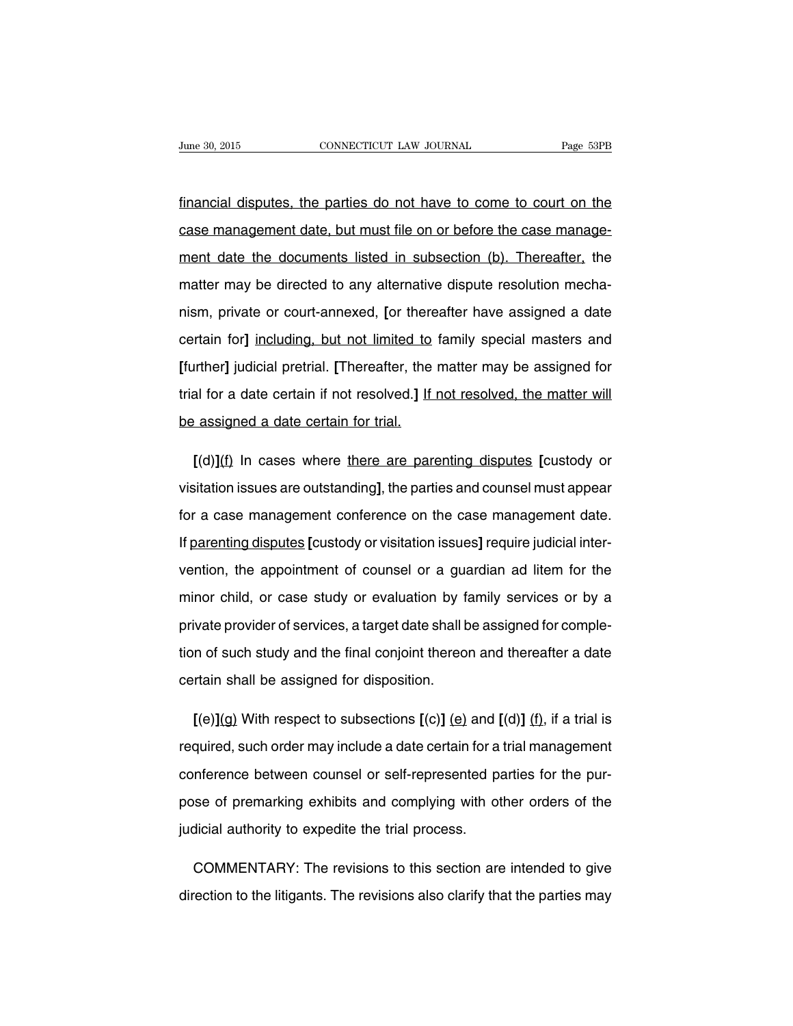financial disputes, the parties do not have to come to court on the case management date, but must file on or before the case management date the documents listed in subsection (b). Thereafter, the matter may be directed to any alternative dispute resolution mechanism, private or court-annexed, **[**or thereafter have assigned a date certain for**]** including, but not limited to family special masters and **[**further**]** judicial pretrial. **[**Thereafter, the matter may be assigned for trial for a date certain if not resolved.**]** If not resolved, the matter will be assigned a date certain for trial.

**[**(d)**]**(f) In cases where there are parenting disputes **[**custody or visitation issues are outstanding**]**, the parties and counsel must appear for a case management conference on the case management date. If parenting disputes **[**custody or visitation issues**]** require judicial intervention, the appointment of counsel or a guardian ad litem for the minor child, or case study or evaluation by family services or by a private provider of services, a target date shall be assigned for completion of such study and the final conjoint thereon and thereafter a date certain shall be assigned for disposition.

**[**(e)**]**(g) With respect to subsections **[**(c)**]** (e) and **[**(d)**]** (f), if a trial is required, such order may include a date certain for a trial management conference between counsel or self-represented parties for the purpose of premarking exhibits and complying with other orders of the judicial authority to expedite the trial process.

COMMENTARY: The revisions to this section are intended to give direction to the litigants. The revisions also clarify that the parties may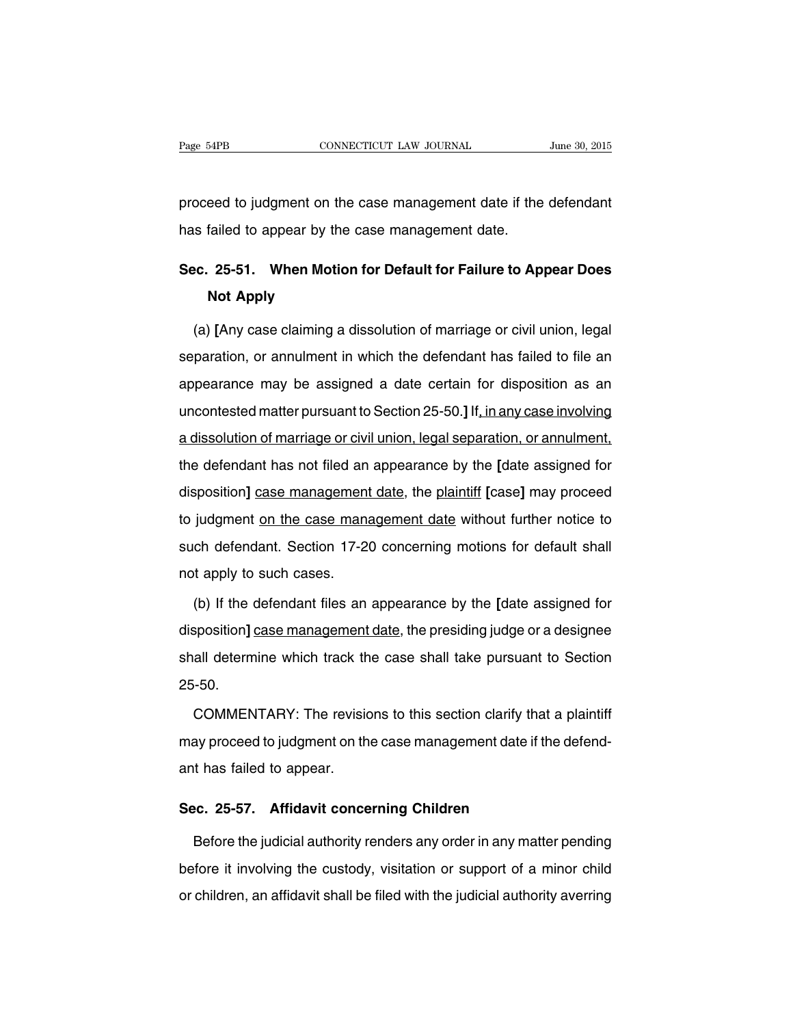proceed to judgment on the case management date if the defendant has failed to appear by the case management date.

# **Sec. 25-51. When Motion for Default for Failure to Appear Does Not Apply**

(a) **[**Any case claiming a dissolution of marriage or civil union, legal separation, or annulment in which the defendant has failed to file an appearance may be assigned a date certain for disposition as an uncontested matter pursuant to Section 25-50.**]** If, in any case involving a dissolution of marriage or civil union, legal separation, or annulment, the defendant has not filed an appearance by the **[**date assigned for disposition**]** case management date, the plaintiff **[**case**]** may proceed to judgment on the case management date without further notice to such defendant. Section 17-20 concerning motions for default shall not apply to such cases.

(b) If the defendant files an appearance by the **[**date assigned for disposition**]** case management date, the presiding judge or a designee shall determine which track the case shall take pursuant to Section 25-50.

COMMENTARY: The revisions to this section clarify that a plaintiff may proceed to judgment on the case management date if the defendant has failed to appear.

#### **Sec. 25-57. Affidavit concerning Children**

Before the judicial authority renders any order in any matter pending before it involving the custody, visitation or support of a minor child or children, an affidavit shall be filed with the judicial authority averring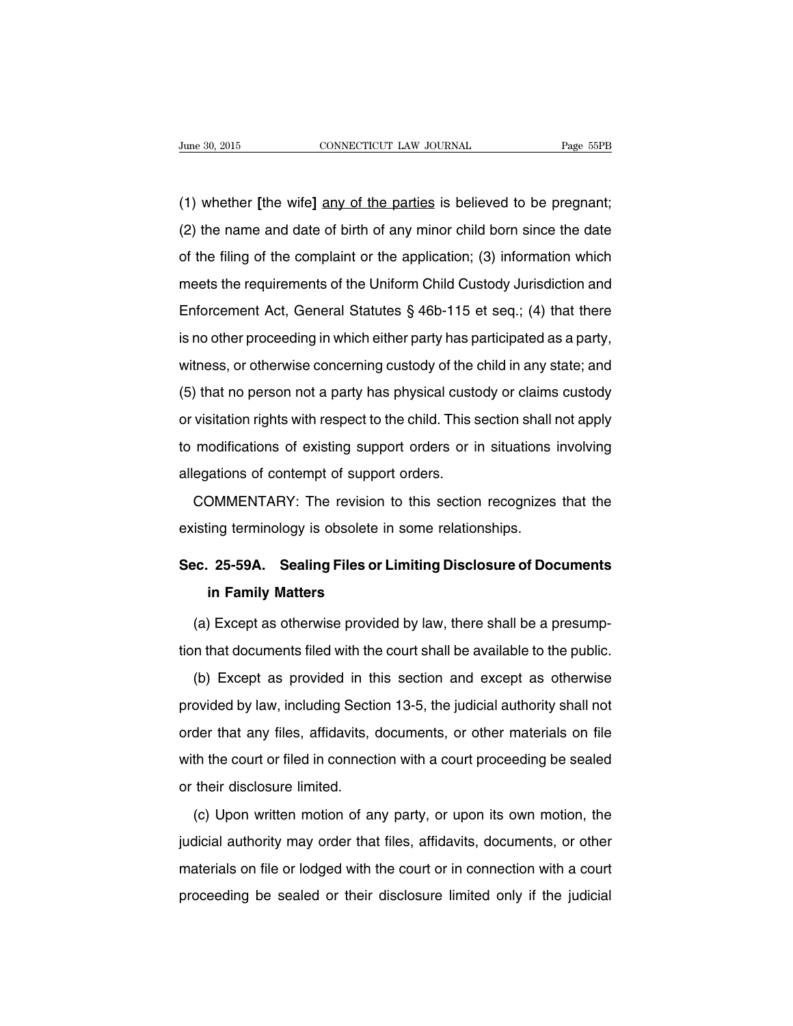(1) whether **[**the wife**]** any of the parties is believed to be pregnant; (2) the name and date of birth of any minor child born since the date of the filing of the complaint or the application; (3) information which meets the requirements of the Uniform Child Custody Jurisdiction and Enforcement Act, General Statutes § 46b-115 et seq.; (4) that there is no other proceeding in which either party has participated as a party, witness, or otherwise concerning custody of the child in any state; and (5) that no person not a party has physical custody or claims custody or visitation rights with respect to the child. This section shall not apply to modifications of existing support orders or in situations involving allegations of contempt of support orders.

COMMENTARY: The revision to this section recognizes that the existing terminology is obsolete in some relationships.

# **Sec. 25-59A. Sealing Files or Limiting Disclosure of Documents in Family Matters**

(a) Except as otherwise provided by law, there shall be a presumption that documents filed with the court shall be available to the public.

(b) Except as provided in this section and except as otherwise provided by law, including Section 13-5, the judicial authority shall not order that any files, affidavits, documents, or other materials on file with the court or filed in connection with a court proceeding be sealed or their disclosure limited.

(c) Upon written motion of any party, or upon its own motion, the judicial authority may order that files, affidavits, documents, or other materials on file or lodged with the court or in connection with a court proceeding be sealed or their disclosure limited only if the judicial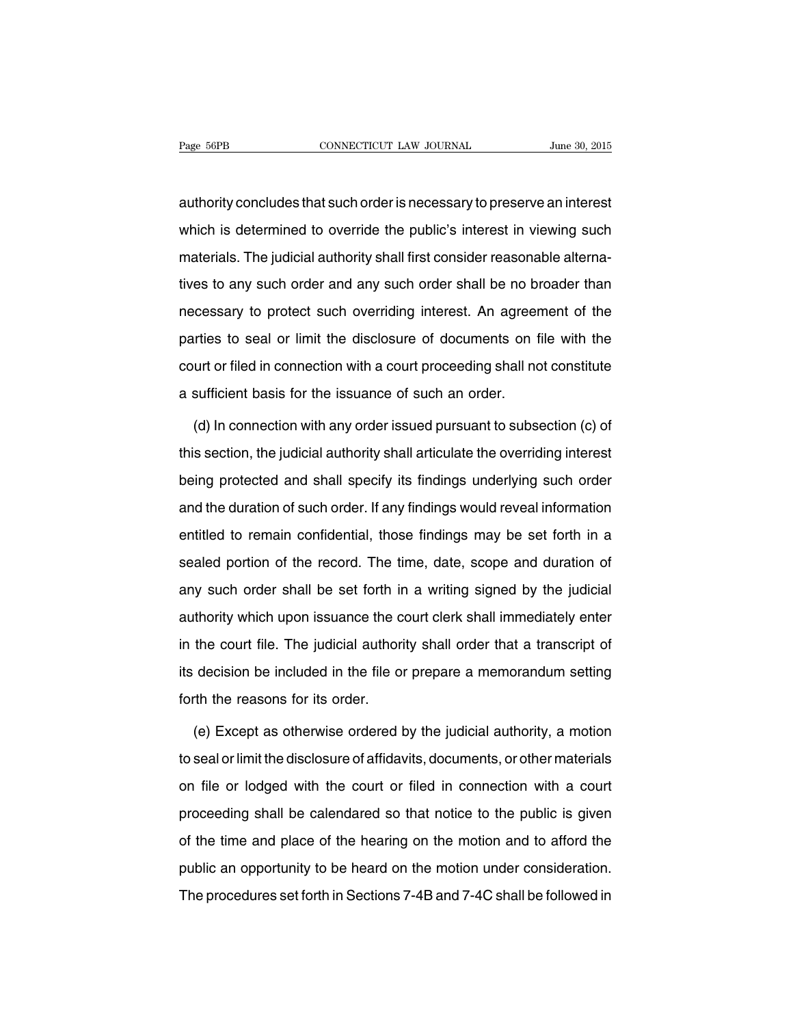authority concludes that such order is necessary to preserve an interest which is determined to override the public's interest in viewing such materials. The judicial authority shall first consider reasonable alternatives to any such order and any such order shall be no broader than necessary to protect such overriding interest. An agreement of the parties to seal or limit the disclosure of documents on file with the court or filed in connection with a court proceeding shall not constitute a sufficient basis for the issuance of such an order.

(d) In connection with any order issued pursuant to subsection (c) of this section, the judicial authority shall articulate the overriding interest being protected and shall specify its findings underlying such order and the duration of such order. If any findings would reveal information entitled to remain confidential, those findings may be set forth in a sealed portion of the record. The time, date, scope and duration of any such order shall be set forth in a writing signed by the judicial authority which upon issuance the court clerk shall immediately enter in the court file. The judicial authority shall order that a transcript of its decision be included in the file or prepare a memorandum setting forth the reasons for its order.

(e) Except as otherwise ordered by the judicial authority, a motion to seal or limit the disclosure of affidavits, documents, or other materials on file or lodged with the court or filed in connection with a court proceeding shall be calendared so that notice to the public is given of the time and place of the hearing on the motion and to afford the public an opportunity to be heard on the motion under consideration. The procedures set forth in Sections 7-4B and 7-4C shall be followed in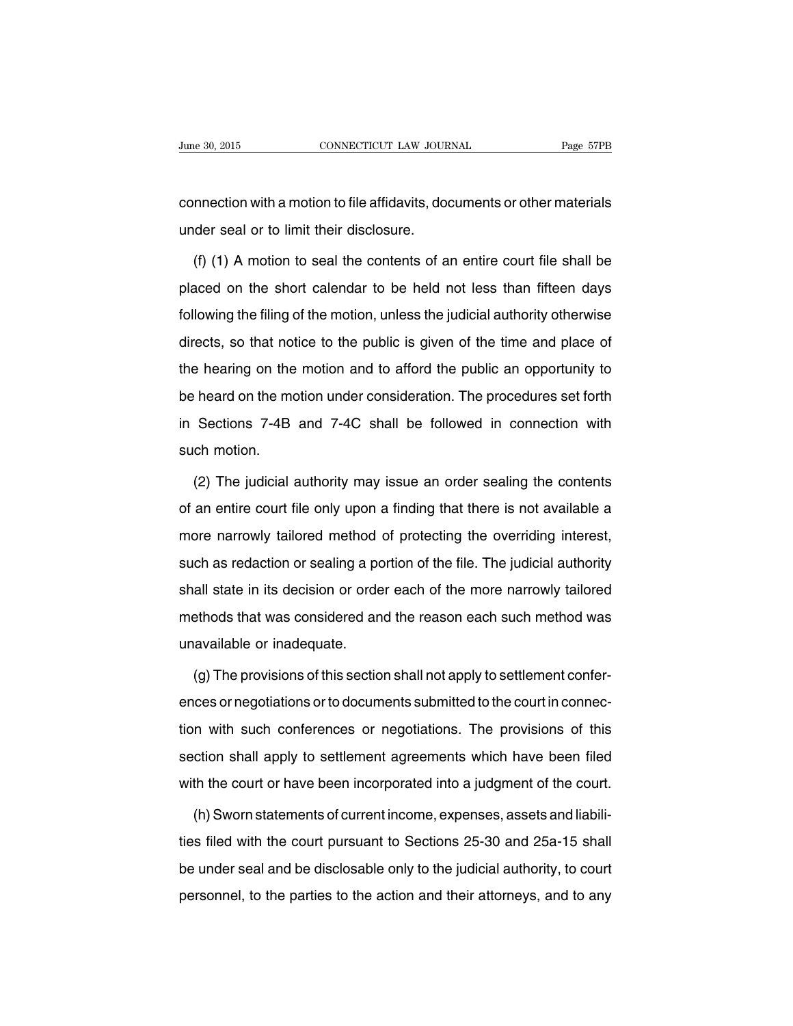connection with a motion to file affidavits, documents or other materials under seal or to limit their disclosure.

(f) (1) A motion to seal the contents of an entire court file shall be placed on the short calendar to be held not less than fifteen days following the filing of the motion, unless the judicial authority otherwise directs, so that notice to the public is given of the time and place of the hearing on the motion and to afford the public an opportunity to be heard on the motion under consideration. The procedures set forth in Sections 7-4B and 7-4C shall be followed in connection with such motion.

(2) The judicial authority may issue an order sealing the contents of an entire court file only upon a finding that there is not available a more narrowly tailored method of protecting the overriding interest, such as redaction or sealing a portion of the file. The judicial authority shall state in its decision or order each of the more narrowly tailored methods that was considered and the reason each such method was unavailable or inadequate.

(g) The provisions of this section shall not apply to settlement conferences or negotiations or to documents submitted to the court in connection with such conferences or negotiations. The provisions of this section shall apply to settlement agreements which have been filed with the court or have been incorporated into a judgment of the court.

(h)Sworn statements of current income, expenses, assets and liabilities filed with the court pursuant to Sections 25-30 and 25a-15 shall be under seal and be disclosable only to the judicial authority, to court personnel, to the parties to the action and their attorneys, and to any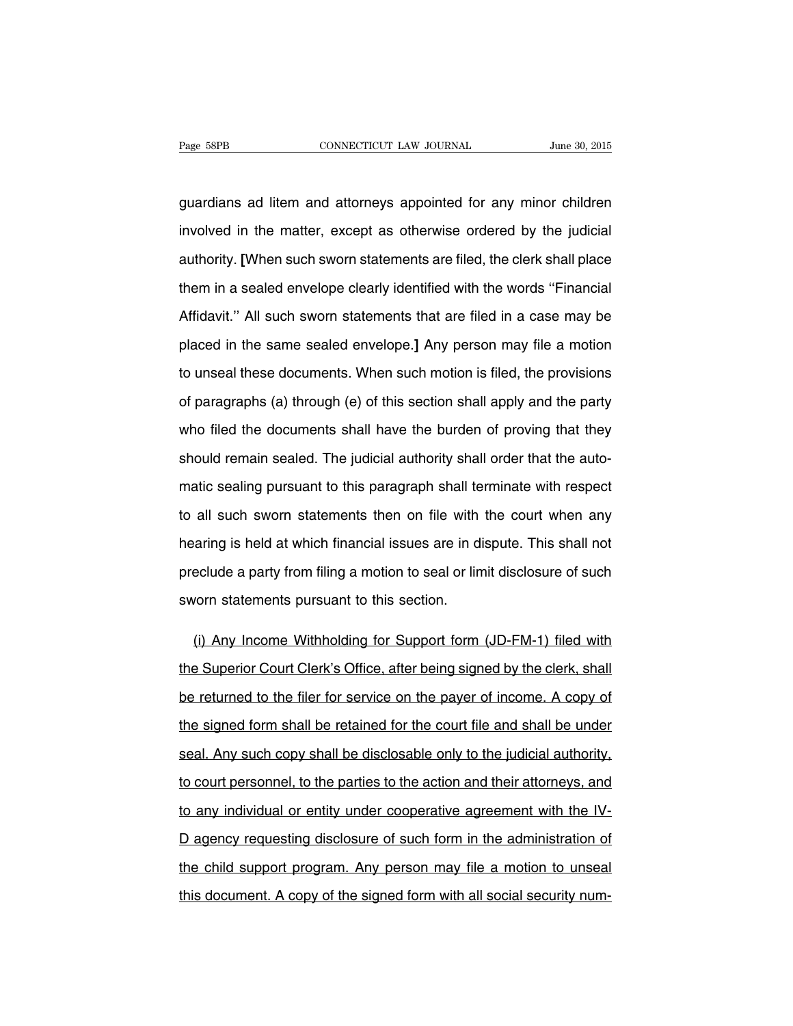guardians ad litem and attorneys appointed for any minor children involved in the matter, except as otherwise ordered by the judicial authority. **[**When such sworn statements are filed, the clerk shall place them in a sealed envelope clearly identified with the words ''Financial Affidavit.'' All such sworn statements that are filed in a case may be placed in the same sealed envelope.**]** Any person may file a motion to unseal these documents. When such motion is filed, the provisions of paragraphs (a) through (e) of this section shall apply and the party who filed the documents shall have the burden of proving that they should remain sealed. The judicial authority shall order that the automatic sealing pursuant to this paragraph shall terminate with respect to all such sworn statements then on file with the court when any hearing is held at which financial issues are in dispute. This shall not preclude a party from filing a motion to seal or limit disclosure of such sworn statements pursuant to this section.

(i) Any Income Withholding for Support form (JD-FM-1) filed with the Superior Court Clerk's Office, after being signed by the clerk, shall be returned to the filer for service on the payer of income. A copy of the signed form shall be retained for the court file and shall be under seal. Any such copy shall be disclosable only to the judicial authority, to court personnel, to the parties to the action and their attorneys, and to any individual or entity under cooperative agreement with the IV-D agency requesting disclosure of such form in the administration of the child support program. Any person may file a motion to unseal this document. A copy of the signed form with all social security num-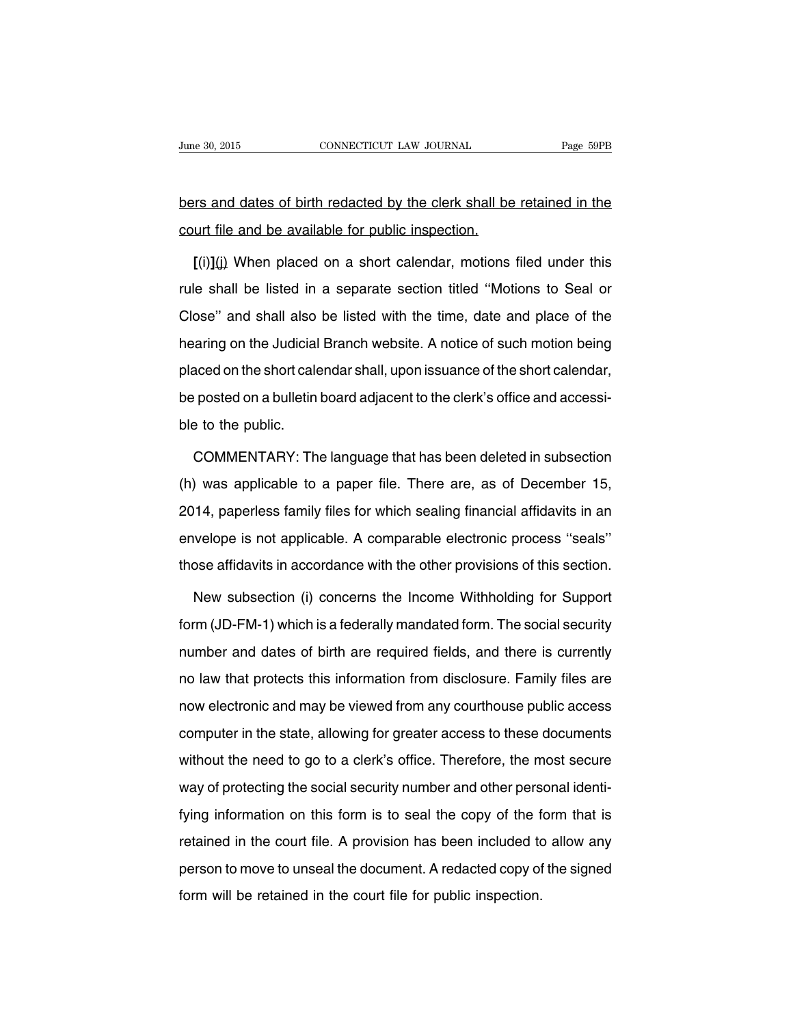# bers and dates of birth redacted by the clerk shall be retained in the court file and be available for public inspection.

**[**(i)**]**(j) When placed on a short calendar, motions filed under this rule shall be listed in a separate section titled ''Motions to Seal or Close'' and shall also be listed with the time, date and place of the hearing on the Judicial Branch website. A notice of such motion being placed on the short calendar shall, upon issuance of the short calendar, be posted on a bulletin board adjacent to the clerk's office and accessible to the public.

COMMENTARY: The language that has been deleted in subsection (h) was applicable to a paper file. There are, as of December 15, 2014, paperless family files for which sealing financial affidavits in an envelope is not applicable. A comparable electronic process ''seals'' those affidavits in accordance with the other provisions of this section.

New subsection (i) concerns the Income Withholding for Support form (JD-FM-1) which is a federally mandated form. The social security number and dates of birth are required fields, and there is currently no law that protects this information from disclosure. Family files are now electronic and may be viewed from any courthouse public access computer in the state, allowing for greater access to these documents without the need to go to a clerk's office. Therefore, the most secure way of protecting the social security number and other personal identifying information on this form is to seal the copy of the form that is retained in the court file. A provision has been included to allow any person to move to unseal the document. A redacted copy of the signed form will be retained in the court file for public inspection.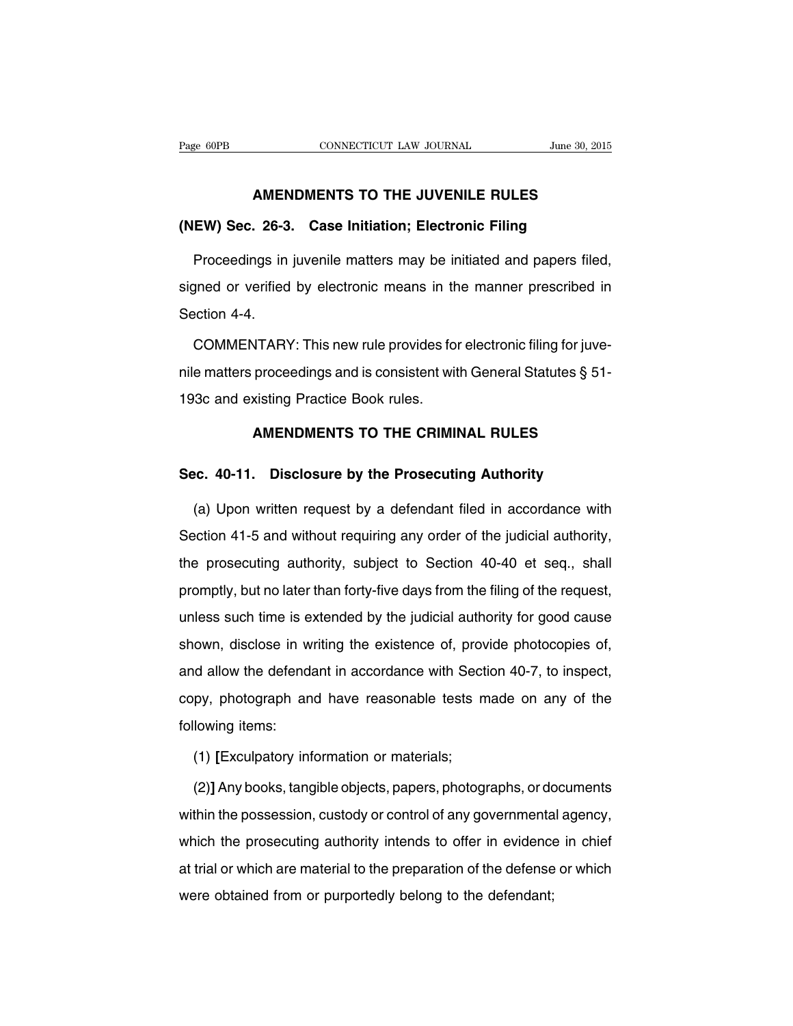#### **AMENDMENTS TO THE JUVENILE RULES**

### **(NEW) Sec. 26-3. Case Initiation; Electronic Filing**

Proceedings in juvenile matters may be initiated and papers filed, signed or verified by electronic means in the manner prescribed in Section 4-4.

COMMENTARY: This new rule provides for electronic filing for juvenile matters proceedings and is consistent with General Statutes § 51- 193c and existing Practice Book rules.

### **AMENDMENTS TO THE CRIMINAL RULES**

#### **Sec. 40-11. Disclosure by the Prosecuting Authority**

(a) Upon written request by a defendant filed in accordance with Section 41-5 and without requiring any order of the judicial authority, the prosecuting authority, subject to Section 40-40 et seq., shall promptly, but no later than forty-five days from the filing of the request, unless such time is extended by the judicial authority for good cause shown, disclose in writing the existence of, provide photocopies of, and allow the defendant in accordance with Section 40-7, to inspect, copy, photograph and have reasonable tests made on any of the following items:

(1) **[**Exculpatory information or materials;

(2)**]** Any books, tangible objects, papers, photographs, or documents within the possession, custody or control of any governmental agency, which the prosecuting authority intends to offer in evidence in chief at trial or which are material to the preparation of the defense or which were obtained from or purportedly belong to the defendant;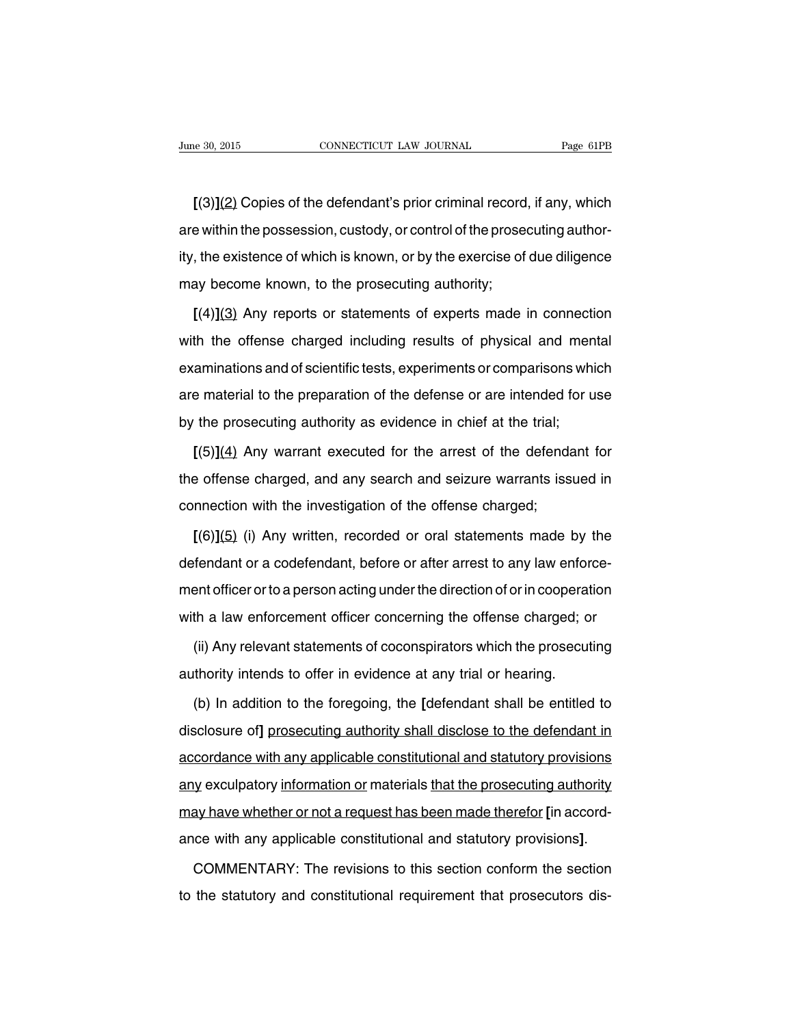**[**(3)**]**(2) Copies of the defendant's prior criminal record, if any, which are within the possession, custody, or control of the prosecuting authority, the existence of which is known, or by the exercise of due diligence may become known, to the prosecuting authority;

**[**(4)**]**(3) Any reports or statements of experts made in connection with the offense charged including results of physical and mental examinations and of scientific tests, experiments or comparisons which are material to the preparation of the defense or are intended for use by the prosecuting authority as evidence in chief at the trial;

**[**(5)**]**(4) Any warrant executed for the arrest of the defendant for the offense charged, and any search and seizure warrants issued in connection with the investigation of the offense charged;

**[**(6)**]**(5) (i) Any written, recorded or oral statements made by the defendant or a codefendant, before or after arrest to any law enforcement officer or to a person acting under the direction of or in cooperation with a law enforcement officer concerning the offense charged; or

(ii) Any relevant statements of coconspirators which the prosecuting authority intends to offer in evidence at any trial or hearing.

(b) In addition to the foregoing, the **[**defendant shall be entitled to disclosure of**]** prosecuting authority shall disclose to the defendant in accordance with any applicable constitutional and statutory provisions any exculpatory information or materials that the prosecuting authority may have whether or not a request has been made therefor **[**in accordance with any applicable constitutional and statutory provisions**]**.

COMMENTARY: The revisions to this section conform the section to the statutory and constitutional requirement that prosecutors dis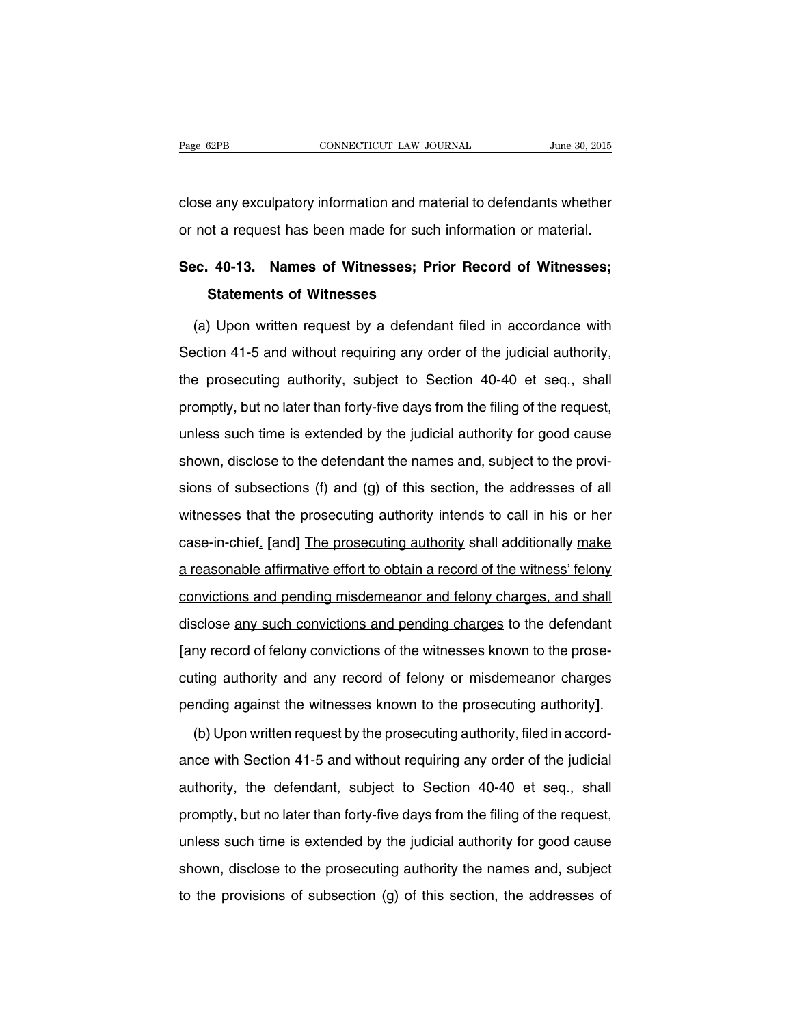close any exculpatory information and material to defendants whether or not a request has been made for such information or material.

# **Sec. 40-13. Names of Witnesses; Prior Record of Witnesses; Statements of Witnesses**

(a) Upon written request by a defendant filed in accordance with Section 41-5 and without requiring any order of the judicial authority, the prosecuting authority, subject to Section 40-40 et seq., shall promptly, but no later than forty-five days from the filing of the request, unless such time is extended by the judicial authority for good cause shown, disclose to the defendant the names and, subject to the provisions of subsections (f) and (g) of this section, the addresses of all witnesses that the prosecuting authority intends to call in his or her case-in-chief. **[**and**]** The prosecuting authority shall additionally make a reasonable affirmative effort to obtain a record of the witness' felony convictions and pending misdemeanor and felony charges, and shall disclose any such convictions and pending charges to the defendant **[**any record of felony convictions of the witnesses known to the prosecuting authority and any record of felony or misdemeanor charges pending against the witnesses known to the prosecuting authority**]**.

(b) Upon written request by the prosecuting authority, filed in accordance with Section 41-5 and without requiring any order of the judicial authority, the defendant, subject to Section 40-40 et seq., shall promptly, but no later than forty-five days from the filing of the request, unless such time is extended by the judicial authority for good cause shown, disclose to the prosecuting authority the names and, subject to the provisions of subsection (g) of this section, the addresses of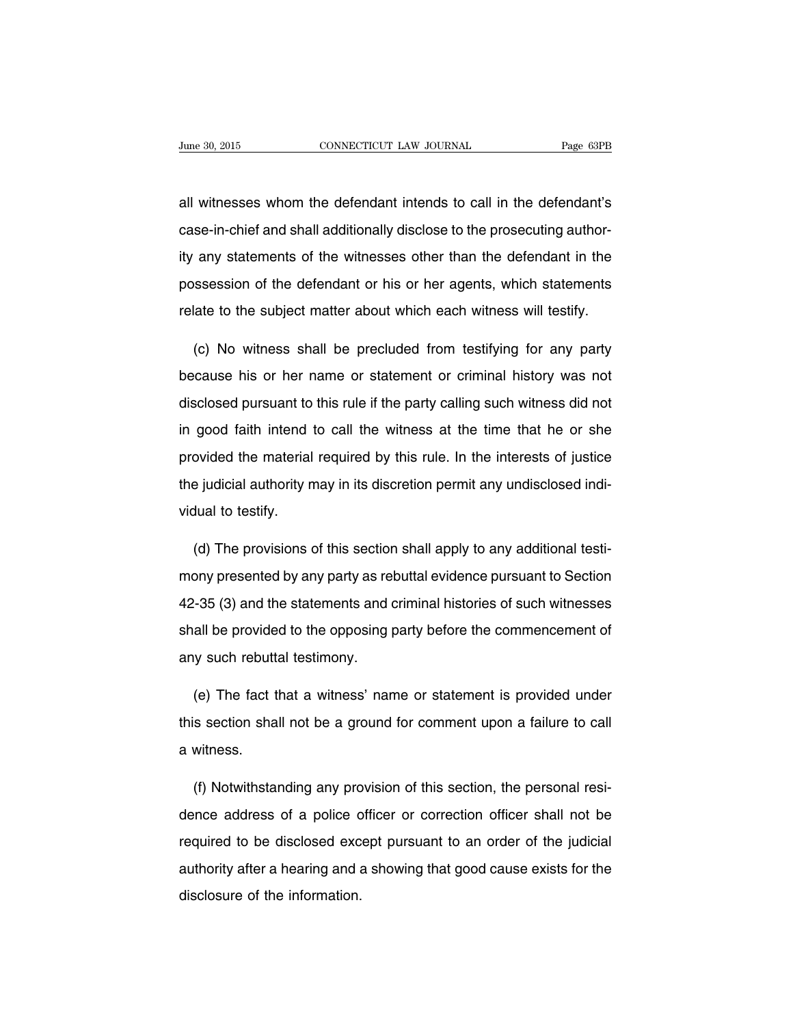all witnesses whom the defendant intends to call in the defendant's case-in-chief and shall additionally disclose to the prosecuting authority any statements of the witnesses other than the defendant in the possession of the defendant or his or her agents, which statements relate to the subject matter about which each witness will testify.

(c) No witness shall be precluded from testifying for any party because his or her name or statement or criminal history was not disclosed pursuant to this rule if the party calling such witness did not in good faith intend to call the witness at the time that he or she provided the material required by this rule. In the interests of justice the judicial authority may in its discretion permit any undisclosed individual to testify.

(d) The provisions of this section shall apply to any additional testimony presented by any party as rebuttal evidence pursuant to Section 42-35 (3) and the statements and criminal histories of such witnesses shall be provided to the opposing party before the commencement of any such rebuttal testimony.

(e) The fact that a witness' name or statement is provided under this section shall not be a ground for comment upon a failure to call a witness.

(f) Notwithstanding any provision of this section, the personal residence address of a police officer or correction officer shall not be required to be disclosed except pursuant to an order of the judicial authority after a hearing and a showing that good cause exists for the disclosure of the information.